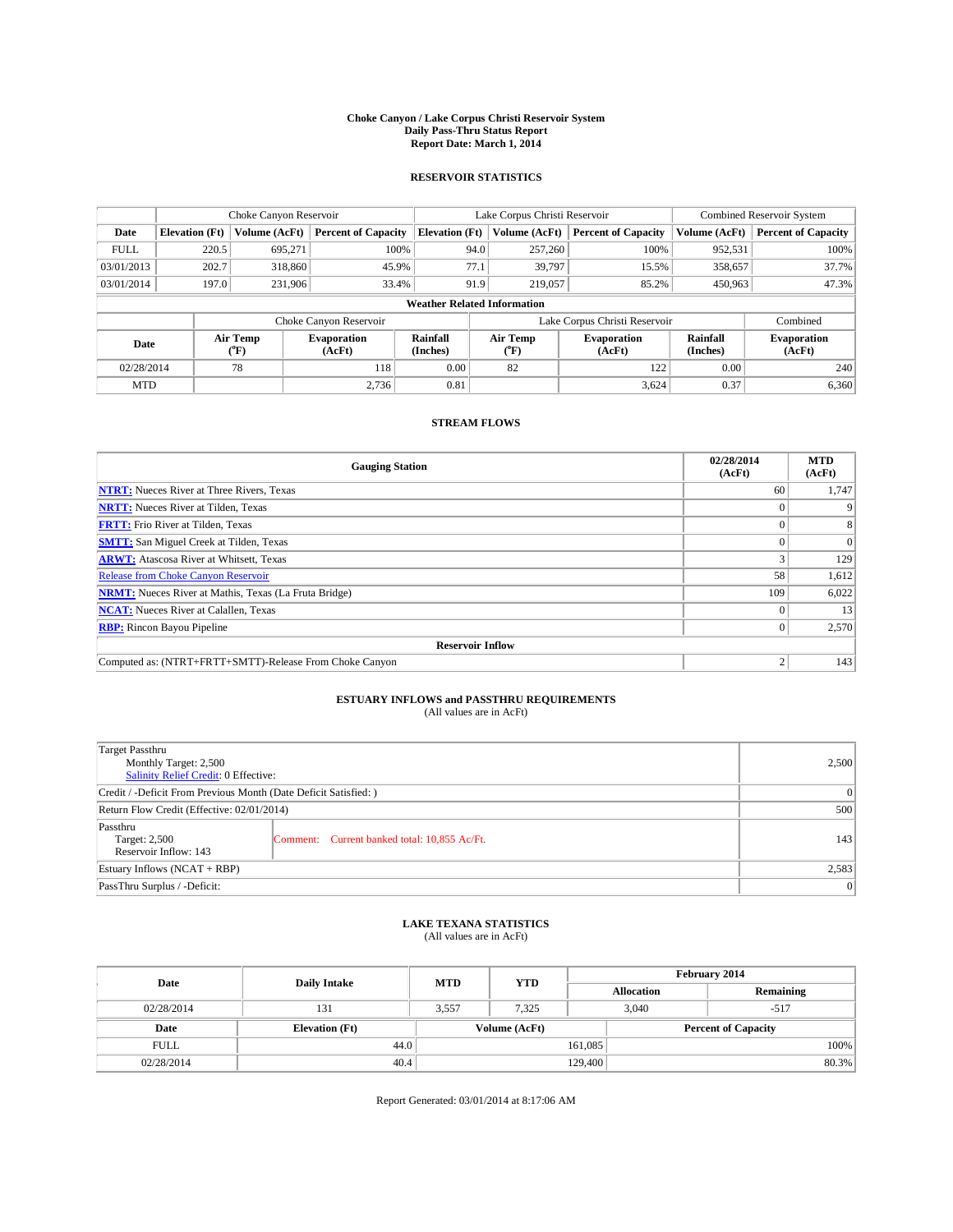#### **Choke Canyon / Lake Corpus Christi Reservoir System Daily Pass-Thru Status Report Report Date: March 1, 2014**

### **RESERVOIR STATISTICS**

|             | Choke Canyon Reservoir             |                  |                              |                      | Lake Corpus Christi Reservoir                                        | <b>Combined Reservoir System</b> |                      |                              |  |
|-------------|------------------------------------|------------------|------------------------------|----------------------|----------------------------------------------------------------------|----------------------------------|----------------------|------------------------------|--|
| Date        | <b>Elevation</b> (Ft)              | Volume (AcFt)    | <b>Percent of Capacity</b>   |                      | <b>Elevation (Ft)</b><br>Volume (AcFt)<br><b>Percent of Capacity</b> |                                  | Volume (AcFt)        | Percent of Capacity          |  |
| <b>FULL</b> | 220.5                              | 695.271          | 100%                         | 94.0                 | 257,260                                                              | 100%                             | 952,531              | 100%                         |  |
| 03/01/2013  | 202.7                              | 318,860          | 45.9%                        | 77.1                 | 39,797                                                               | 15.5%                            | 358,657              | 37.7%                        |  |
| 03/01/2014  | 197.0                              | 231,906          | 33.4%                        | 91.9                 | 219,057                                                              | 85.2%                            | 450,963              | 47.3%                        |  |
|             | <b>Weather Related Information</b> |                  |                              |                      |                                                                      |                                  |                      |                              |  |
|             |                                    |                  | Choke Canyon Reservoir       |                      |                                                                      | Lake Corpus Christi Reservoir    |                      | Combined                     |  |
| Date        |                                    | Air Temp<br>(°F) | <b>Evaporation</b><br>(AcFt) | Rainfall<br>(Inches) | Air Temp<br>(°F)                                                     | <b>Evaporation</b><br>(AcFt)     | Rainfall<br>(Inches) | <b>Evaporation</b><br>(AcFt) |  |
| 02/28/2014  |                                    | 78               | 0.00<br>82<br>118            |                      | 122                                                                  | 0.00                             | 240                  |                              |  |
| <b>MTD</b>  |                                    |                  | 2.736                        | 0.81                 |                                                                      | 3,624                            | 0.37                 | 6,360                        |  |

### **STREAM FLOWS**

| <b>Gauging Station</b>                                       | 02/28/2014<br>(AcFt) | <b>MTD</b><br>(AcFt) |  |  |  |  |
|--------------------------------------------------------------|----------------------|----------------------|--|--|--|--|
| <b>NTRT:</b> Nueces River at Three Rivers, Texas             | 60                   | 1,747                |  |  |  |  |
| <b>NRTT:</b> Nueces River at Tilden, Texas                   |                      |                      |  |  |  |  |
| <b>FRTT:</b> Frio River at Tilden, Texas                     |                      | 8                    |  |  |  |  |
| <b>SMTT:</b> San Miguel Creek at Tilden, Texas               |                      | $\Omega$             |  |  |  |  |
| <b>ARWT:</b> Atascosa River at Whitsett, Texas               |                      | 129                  |  |  |  |  |
| Release from Choke Canyon Reservoir                          | 58                   | 1,612                |  |  |  |  |
| <b>NRMT:</b> Nueces River at Mathis, Texas (La Fruta Bridge) | 109                  | 6,022                |  |  |  |  |
| <b>NCAT:</b> Nueces River at Calallen, Texas                 |                      | 13                   |  |  |  |  |
| <b>RBP:</b> Rincon Bayou Pipeline                            | $^{(1)}$             | 2,570                |  |  |  |  |
| <b>Reservoir Inflow</b>                                      |                      |                      |  |  |  |  |
| Computed as: (NTRT+FRTT+SMTT)-Release From Choke Canyon      | $\overline{c}$       | 143                  |  |  |  |  |

# **ESTUARY INFLOWS and PASSTHRU REQUIREMENTS**<br>(All values are in AcFt)

| Target Passthru<br>Monthly Target: 2,500<br>Salinity Relief Credit: 0 Effective: | 2,500                                        |     |
|----------------------------------------------------------------------------------|----------------------------------------------|-----|
| Credit / -Deficit From Previous Month (Date Deficit Satisfied: )                 | 0                                            |     |
| Return Flow Credit (Effective: 02/01/2014)                                       | 500                                          |     |
| Passthru<br>Target: 2,500<br>Reservoir Inflow: 143                               | Comment: Current banked total: 10,855 Ac/Ft. | 143 |
| Estuary Inflows $(NCAT + RBP)$                                                   | 2,583                                        |     |
| PassThru Surplus / -Deficit:                                                     | 0                                            |     |

## **LAKE TEXANA STATISTICS** (All values are in AcFt)

| Date        | <b>Daily Intake</b>   | <b>MTD</b> | <b>YTD</b>    | February 2014 |                            |           |  |
|-------------|-----------------------|------------|---------------|---------------|----------------------------|-----------|--|
|             |                       |            |               |               | <b>Allocation</b>          | Remaining |  |
| 02/28/2014  | 131                   | 3,557      | 7.325         |               | 3,040<br>$-517$            |           |  |
| Date        | <b>Elevation</b> (Ft) |            | Volume (AcFt) |               | <b>Percent of Capacity</b> |           |  |
| <b>FULL</b> | 44.0                  |            |               | 161,085       |                            | 100%      |  |
| 02/28/2014  | 40.4                  |            |               | 129,400       |                            | 80.3%     |  |

Report Generated: 03/01/2014 at 8:17:06 AM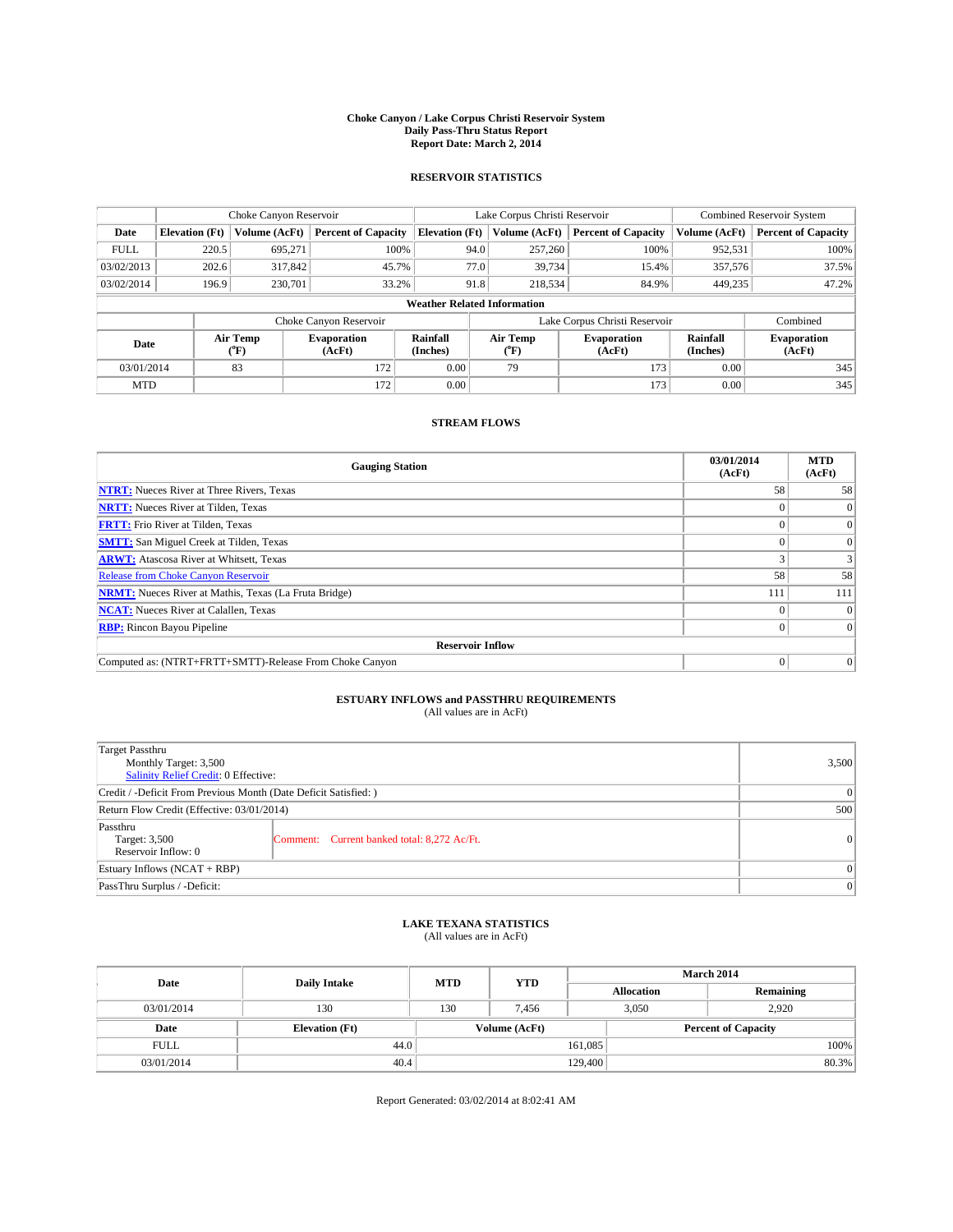#### **Choke Canyon / Lake Corpus Christi Reservoir System Daily Pass-Thru Status Report Report Date: March 2, 2014**

### **RESERVOIR STATISTICS**

|             |                                    | Choke Canyon Reservoir |                              |                       | Lake Corpus Christi Reservoir                  | Combined Reservoir System     |                      |                              |  |
|-------------|------------------------------------|------------------------|------------------------------|-----------------------|------------------------------------------------|-------------------------------|----------------------|------------------------------|--|
| Date        | <b>Elevation</b> (Ft)              | Volume (AcFt)          | <b>Percent of Capacity</b>   | <b>Elevation (Ft)</b> | Volume (AcFt)                                  | <b>Percent of Capacity</b>    | Volume (AcFt)        | <b>Percent of Capacity</b>   |  |
| <b>FULL</b> | 220.5                              | 695.271                | 100%                         | 94.0                  | 257,260                                        | 100%                          | 952,531              | 100%                         |  |
| 03/02/2013  | 202.6                              | 317,842                | 45.7%                        | 77.0                  | 39,734                                         | 15.4%                         | 357,576              | 37.5%                        |  |
| 03/02/2014  | 196.9                              | 230,701                | 33.2%                        | 91.8                  | 218,534                                        | 84.9%                         | 449.235              | 47.2%                        |  |
|             | <b>Weather Related Information</b> |                        |                              |                       |                                                |                               |                      |                              |  |
|             |                                    |                        | Choke Canyon Reservoir       |                       |                                                | Lake Corpus Christi Reservoir |                      | Combined                     |  |
| Date        |                                    | Air Temp<br>(°F)       | <b>Evaporation</b><br>(AcFt) | Rainfall<br>(Inches)  | Air Temp<br>Evaporation<br>(AcFt)<br>$(^{0}F)$ |                               | Rainfall<br>(Inches) | <b>Evaporation</b><br>(AcFt) |  |
| 03/01/2014  |                                    | 83                     | 172                          | 0.00                  | 79                                             | 173                           | 0.00                 | 345                          |  |
| <b>MTD</b>  |                                    |                        | 172                          | 0.00                  |                                                | 173                           | 0.00                 | 345                          |  |

### **STREAM FLOWS**

| <b>Gauging Station</b>                                       | 03/01/2014<br>(AcFt) | <b>MTD</b><br>(AcFt) |  |  |  |  |
|--------------------------------------------------------------|----------------------|----------------------|--|--|--|--|
| <b>NTRT:</b> Nueces River at Three Rivers, Texas             | 58                   | 58                   |  |  |  |  |
| <b>NRTT:</b> Nueces River at Tilden, Texas                   |                      | $\Omega$             |  |  |  |  |
| <b>FRTT:</b> Frio River at Tilden, Texas                     |                      | $\overline{0}$       |  |  |  |  |
| <b>SMTT:</b> San Miguel Creek at Tilden, Texas               |                      | $\Omega$             |  |  |  |  |
| <b>ARWT:</b> Atascosa River at Whitsett, Texas               |                      | 3                    |  |  |  |  |
| <b>Release from Choke Canyon Reservoir</b>                   | 58                   | 58                   |  |  |  |  |
| <b>NRMT:</b> Nueces River at Mathis, Texas (La Fruta Bridge) | 111                  | 111                  |  |  |  |  |
| <b>NCAT:</b> Nueces River at Calallen, Texas                 |                      | $\Omega$             |  |  |  |  |
| <b>RBP:</b> Rincon Bayou Pipeline                            |                      | $\Omega$             |  |  |  |  |
| <b>Reservoir Inflow</b>                                      |                      |                      |  |  |  |  |
| Computed as: (NTRT+FRTT+SMTT)-Release From Choke Canyon      |                      | $\overline{0}$       |  |  |  |  |

# **ESTUARY INFLOWS and PASSTHRU REQUIREMENTS**<br>(All values are in AcFt)

| <b>Target Passthru</b><br>Monthly Target: 3,500<br>Salinity Relief Credit: 0 Effective: | 3,500                                       |          |  |  |
|-----------------------------------------------------------------------------------------|---------------------------------------------|----------|--|--|
| Credit / -Deficit From Previous Month (Date Deficit Satisfied: )                        |                                             |          |  |  |
| Return Flow Credit (Effective: 03/01/2014)                                              |                                             |          |  |  |
| Passthru<br>Target: 3,500<br>Reservoir Inflow: 0                                        | Comment: Current banked total: 8,272 Ac/Ft. | $\Omega$ |  |  |
| Estuary Inflows $(NCAT + RBP)$                                                          | $\Omega$                                    |          |  |  |
| PassThru Surplus / -Deficit:                                                            | 0                                           |          |  |  |

## **LAKE TEXANA STATISTICS** (All values are in AcFt)

| Date        | <b>Daily Intake</b>   | <b>MTD</b> | <b>YTD</b>    | <b>March 2014</b> |                            |           |  |
|-------------|-----------------------|------------|---------------|-------------------|----------------------------|-----------|--|
|             |                       |            |               |                   | <b>Allocation</b>          | Remaining |  |
| 03/01/2014  | 130                   | 130        | 7.456         |                   | 3,050<br>2.920             |           |  |
| Date        | <b>Elevation</b> (Ft) |            | Volume (AcFt) |                   | <b>Percent of Capacity</b> |           |  |
| <b>FULL</b> | 44.0                  |            |               | 161,085           |                            | 100%      |  |
| 03/01/2014  | 40.4                  |            | 129,400       |                   |                            | 80.3%     |  |

Report Generated: 03/02/2014 at 8:02:41 AM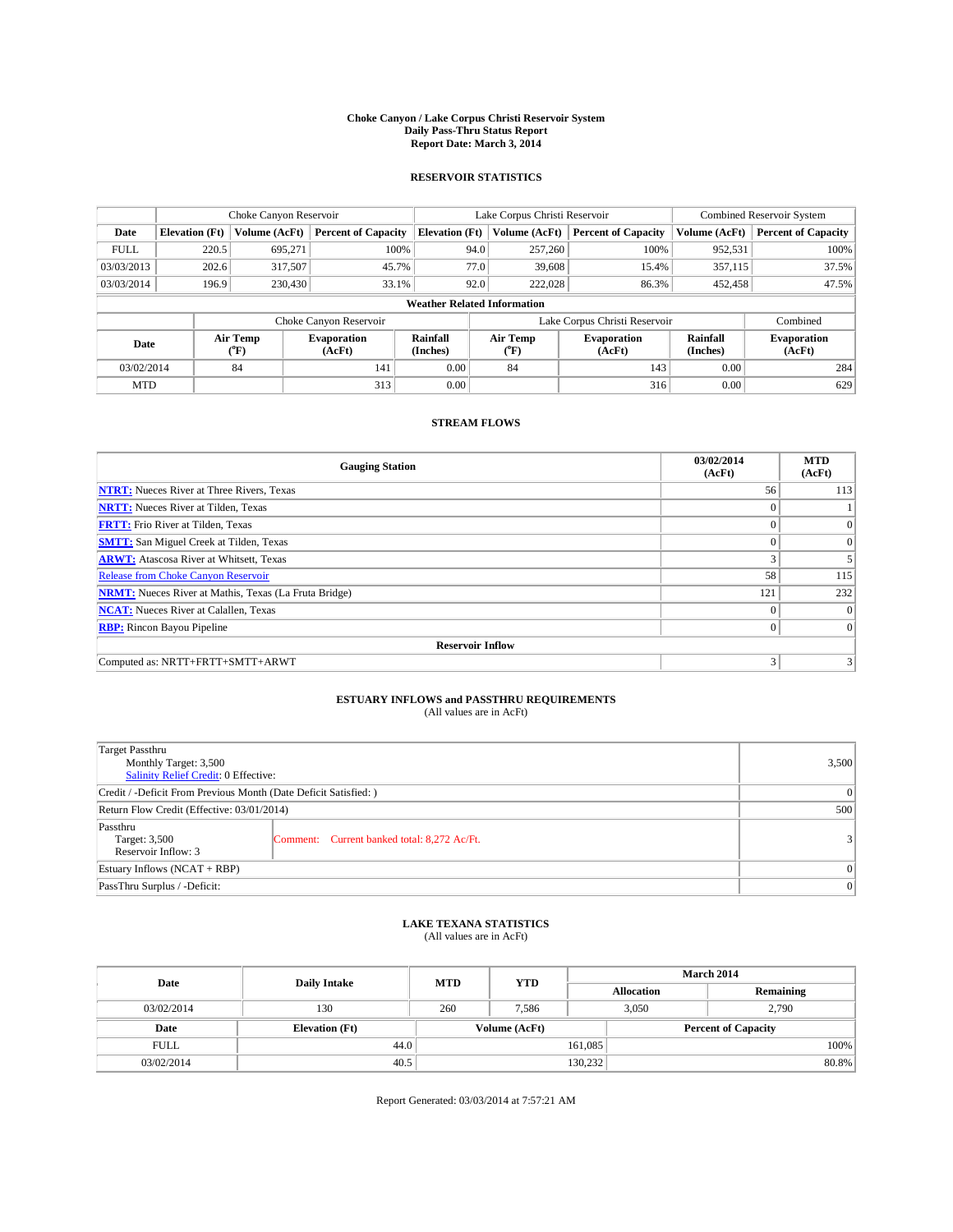#### **Choke Canyon / Lake Corpus Christi Reservoir System Daily Pass-Thru Status Report Report Date: March 3, 2014**

### **RESERVOIR STATISTICS**

|             |                                    | Choke Canyon Reservoir |                              |                       | Lake Corpus Christi Reservoir | <b>Combined Reservoir System</b> |                      |                              |  |
|-------------|------------------------------------|------------------------|------------------------------|-----------------------|-------------------------------|----------------------------------|----------------------|------------------------------|--|
| Date        | <b>Elevation</b> (Ft)              | Volume (AcFt)          | <b>Percent of Capacity</b>   | <b>Elevation (Ft)</b> | Volume (AcFt)                 | <b>Percent of Capacity</b>       | Volume (AcFt)        | <b>Percent of Capacity</b>   |  |
| <b>FULL</b> | 220.5                              | 695,271                | 100%                         | 94.0                  | 257,260                       | 100%                             | 952,531              | 100%                         |  |
| 03/03/2013  | 202.6                              | 317,507                | 45.7%                        | 77.0                  | 39,608                        | 15.4%                            | 357,115              | 37.5%                        |  |
| 03/03/2014  | 196.9                              | 230,430                | 33.1%                        | 92.0                  | 222,028                       | 86.3%                            | 452,458              | 47.5%                        |  |
|             | <b>Weather Related Information</b> |                        |                              |                       |                               |                                  |                      |                              |  |
|             |                                    |                        | Choke Canyon Reservoir       |                       |                               | Lake Corpus Christi Reservoir    |                      | Combined                     |  |
| Date        |                                    | Air Temp<br>(°F)       | <b>Evaporation</b><br>(AcFt) | Rainfall<br>(Inches)  | Air Temp<br>(°F)              | <b>Evaporation</b><br>(AcFt)     | Rainfall<br>(Inches) | <b>Evaporation</b><br>(AcFt) |  |
| 03/02/2014  |                                    | 84<br>141              |                              | 0.00                  | 84                            | 143                              | 0.00                 | 284                          |  |
| <b>MTD</b>  |                                    |                        | 313                          | 0.00                  |                               | 316                              | 0.00                 | 629                          |  |

## **STREAM FLOWS**

| <b>Gauging Station</b>                                       | 03/02/2014<br>(AcFt) | <b>MTD</b><br>(AcFt) |  |  |  |  |
|--------------------------------------------------------------|----------------------|----------------------|--|--|--|--|
| <b>NTRT:</b> Nueces River at Three Rivers, Texas             | 56                   | 113                  |  |  |  |  |
| <b>NRTT:</b> Nueces River at Tilden, Texas                   | $\theta$             |                      |  |  |  |  |
| <b>FRTT:</b> Frio River at Tilden, Texas                     |                      | $\Omega$             |  |  |  |  |
| <b>SMTT:</b> San Miguel Creek at Tilden, Texas               | $\theta$             | $\overline{0}$       |  |  |  |  |
| <b>ARWT:</b> Atascosa River at Whitsett, Texas               |                      |                      |  |  |  |  |
| <b>Release from Choke Canyon Reservoir</b>                   | 58                   | 115                  |  |  |  |  |
| <b>NRMT:</b> Nueces River at Mathis, Texas (La Fruta Bridge) | 121                  | 232                  |  |  |  |  |
| <b>NCAT:</b> Nueces River at Calallen, Texas                 | $\theta$             | $\Omega$             |  |  |  |  |
| <b>RBP:</b> Rincon Bayou Pipeline                            | $\theta$             | $\Omega$             |  |  |  |  |
| <b>Reservoir Inflow</b>                                      |                      |                      |  |  |  |  |
| Computed as: NRTT+FRTT+SMTT+ARWT                             | 3                    |                      |  |  |  |  |

# **ESTUARY INFLOWS and PASSTHRU REQUIREMENTS**<br>(All values are in AcFt)

| <b>Target Passthru</b><br>Monthly Target: 3,500<br>Salinity Relief Credit: 0 Effective: | 3,500                                       |                  |  |  |
|-----------------------------------------------------------------------------------------|---------------------------------------------|------------------|--|--|
| Credit / -Deficit From Previous Month (Date Deficit Satisfied: )                        |                                             |                  |  |  |
| Return Flow Credit (Effective: 03/01/2014)                                              |                                             |                  |  |  |
| Passthru<br>Target: 3,500<br>Reservoir Inflow: 3                                        | Comment: Current banked total: 8,272 Ac/Ft. | $\left 3\right $ |  |  |
| Estuary Inflows $(NCAT + RBP)$                                                          |                                             |                  |  |  |
| PassThru Surplus / -Deficit:                                                            | 0                                           |                  |  |  |

## **LAKE TEXANA STATISTICS** (All values are in AcFt)

| Date        |                       | <b>MTD</b> | <b>YTD</b>    | <b>March 2014</b> |                            |           |  |
|-------------|-----------------------|------------|---------------|-------------------|----------------------------|-----------|--|
|             | <b>Daily Intake</b>   |            |               | <b>Allocation</b> |                            | Remaining |  |
| 03/02/2014  | 130                   | 260        | 7.586         |                   | 3,050<br>2,790             |           |  |
| Date        | <b>Elevation</b> (Ft) |            | Volume (AcFt) |                   | <b>Percent of Capacity</b> |           |  |
| <b>FULL</b> | 44.0                  |            |               | 161,085           |                            | 100%      |  |
| 03/02/2014  | 40.5                  |            |               | 130,232           |                            | 80.8%     |  |

Report Generated: 03/03/2014 at 7:57:21 AM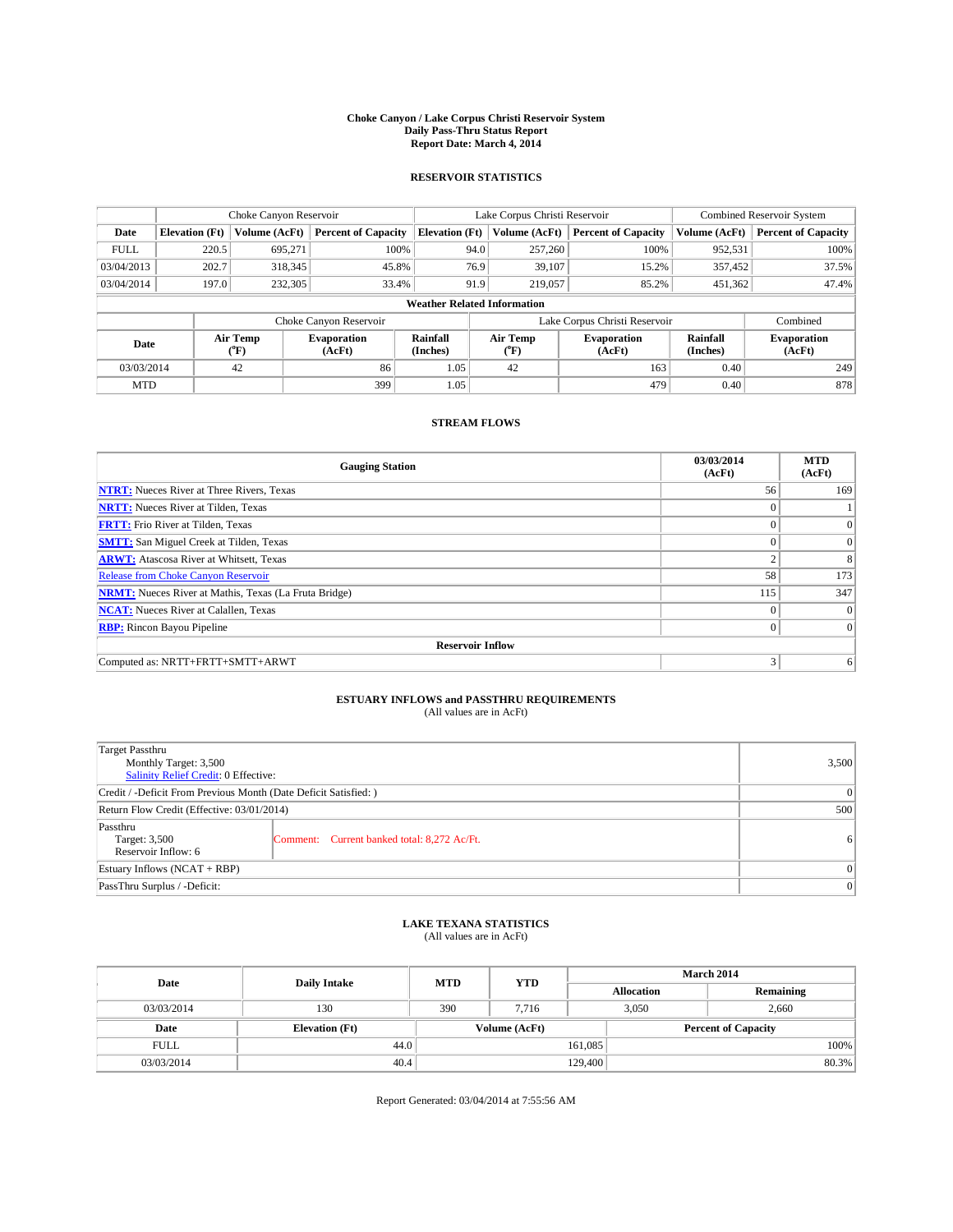#### **Choke Canyon / Lake Corpus Christi Reservoir System Daily Pass-Thru Status Report Report Date: March 4, 2014**

### **RESERVOIR STATISTICS**

|                                    |                       | Choke Canyon Reservoir |                              |                       | Lake Corpus Christi Reservoir | <b>Combined Reservoir System</b> |                      |                              |  |
|------------------------------------|-----------------------|------------------------|------------------------------|-----------------------|-------------------------------|----------------------------------|----------------------|------------------------------|--|
| Date                               | <b>Elevation</b> (Ft) | Volume (AcFt)          | <b>Percent of Capacity</b>   | <b>Elevation (Ft)</b> | Volume (AcFt)                 | <b>Percent of Capacity</b>       | Volume (AcFt)        | Percent of Capacity          |  |
| <b>FULL</b>                        | 220.5                 | 695,271                | 100%                         | 94.0                  | 257,260                       | 100%                             | 952,531              | 100%                         |  |
| 03/04/2013                         | 202.7                 | 318,345                | 45.8%                        | 76.9                  | 39,107                        | 15.2%                            | 357,452              | 37.5%                        |  |
| 03/04/2014                         | 197.0                 | 232,305                | 33.4%                        | 91.9                  | 219,057                       | 85.2%                            | 451,362              | 47.4%                        |  |
| <b>Weather Related Information</b> |                       |                        |                              |                       |                               |                                  |                      |                              |  |
|                                    |                       |                        | Choke Canyon Reservoir       |                       |                               | Lake Corpus Christi Reservoir    |                      | Combined                     |  |
| Date                               |                       | Air Temp<br>(°F)       | <b>Evaporation</b><br>(AcFt) | Rainfall<br>(Inches)  | Air Temp<br>(°F)              | <b>Evaporation</b><br>(AcFt)     | Rainfall<br>(Inches) | <b>Evaporation</b><br>(AcFt) |  |
| 03/03/2014                         |                       | 42                     | 86                           | 1.05                  | 42                            | 163                              | 0.40                 | 249                          |  |
| <b>MTD</b>                         |                       |                        | 399                          | 1.05                  |                               | 479                              | 0.40                 | 878                          |  |

### **STREAM FLOWS**

| <b>Gauging Station</b>                                       | 03/03/2014<br>(AcFt) | <b>MTD</b><br>(AcFt) |  |  |  |  |  |
|--------------------------------------------------------------|----------------------|----------------------|--|--|--|--|--|
| <b>NTRT:</b> Nueces River at Three Rivers, Texas             | 56                   | 169                  |  |  |  |  |  |
| <b>NRTT:</b> Nueces River at Tilden, Texas                   |                      |                      |  |  |  |  |  |
| <b>FRTT:</b> Frio River at Tilden, Texas                     |                      | $\Omega$             |  |  |  |  |  |
| <b>SMTT:</b> San Miguel Creek at Tilden, Texas               |                      | $\Omega$             |  |  |  |  |  |
| <b>ARWT:</b> Atascosa River at Whitsett, Texas               |                      | 8                    |  |  |  |  |  |
| <b>Release from Choke Canyon Reservoir</b>                   | 58                   | 173                  |  |  |  |  |  |
| <b>NRMT:</b> Nueces River at Mathis, Texas (La Fruta Bridge) | 115                  | 347                  |  |  |  |  |  |
| <b>NCAT:</b> Nueces River at Calallen, Texas                 | $\theta$             | $\overline{0}$       |  |  |  |  |  |
| <b>RBP:</b> Rincon Bayou Pipeline                            | $\theta$             | $\Omega$             |  |  |  |  |  |
| <b>Reservoir Inflow</b>                                      |                      |                      |  |  |  |  |  |
| Computed as: NRTT+FRTT+SMTT+ARWT                             | 3                    | 6                    |  |  |  |  |  |

# **ESTUARY INFLOWS and PASSTHRU REQUIREMENTS**<br>(All values are in AcFt)

| Target Passthru<br>Monthly Target: 3,500<br>Salinity Relief Credit: 0 Effective: | 3,500                                       |                |  |  |
|----------------------------------------------------------------------------------|---------------------------------------------|----------------|--|--|
| Credit / -Deficit From Previous Month (Date Deficit Satisfied: )                 |                                             |                |  |  |
| Return Flow Credit (Effective: 03/01/2014)                                       |                                             |                |  |  |
| Passthru<br>Target: 3,500<br>Reservoir Inflow: 6                                 | Comment: Current banked total: 8,272 Ac/Ft. | 6 <sup>1</sup> |  |  |
| Estuary Inflows $(NCAT + RBP)$                                                   | $\Omega$                                    |                |  |  |
| PassThru Surplus / -Deficit:                                                     | 0                                           |                |  |  |

## **LAKE TEXANA STATISTICS** (All values are in AcFt)

| Date        | <b>Daily Intake</b>   | <b>MTD</b> | <b>YTD</b>    | March 2014 |                            |           |  |
|-------------|-----------------------|------------|---------------|------------|----------------------------|-----------|--|
|             |                       |            |               |            | <b>Allocation</b>          | Remaining |  |
| 03/03/2014  | 130                   | 390        | 7.716         |            | 3,050<br>2,660             |           |  |
| Date        | <b>Elevation</b> (Ft) |            | Volume (AcFt) |            | <b>Percent of Capacity</b> |           |  |
| <b>FULL</b> | 44.0                  |            |               | 161,085    |                            | 100%      |  |
| 03/03/2014  | 40.4                  |            |               | 129,400    |                            | 80.3%     |  |

Report Generated: 03/04/2014 at 7:55:56 AM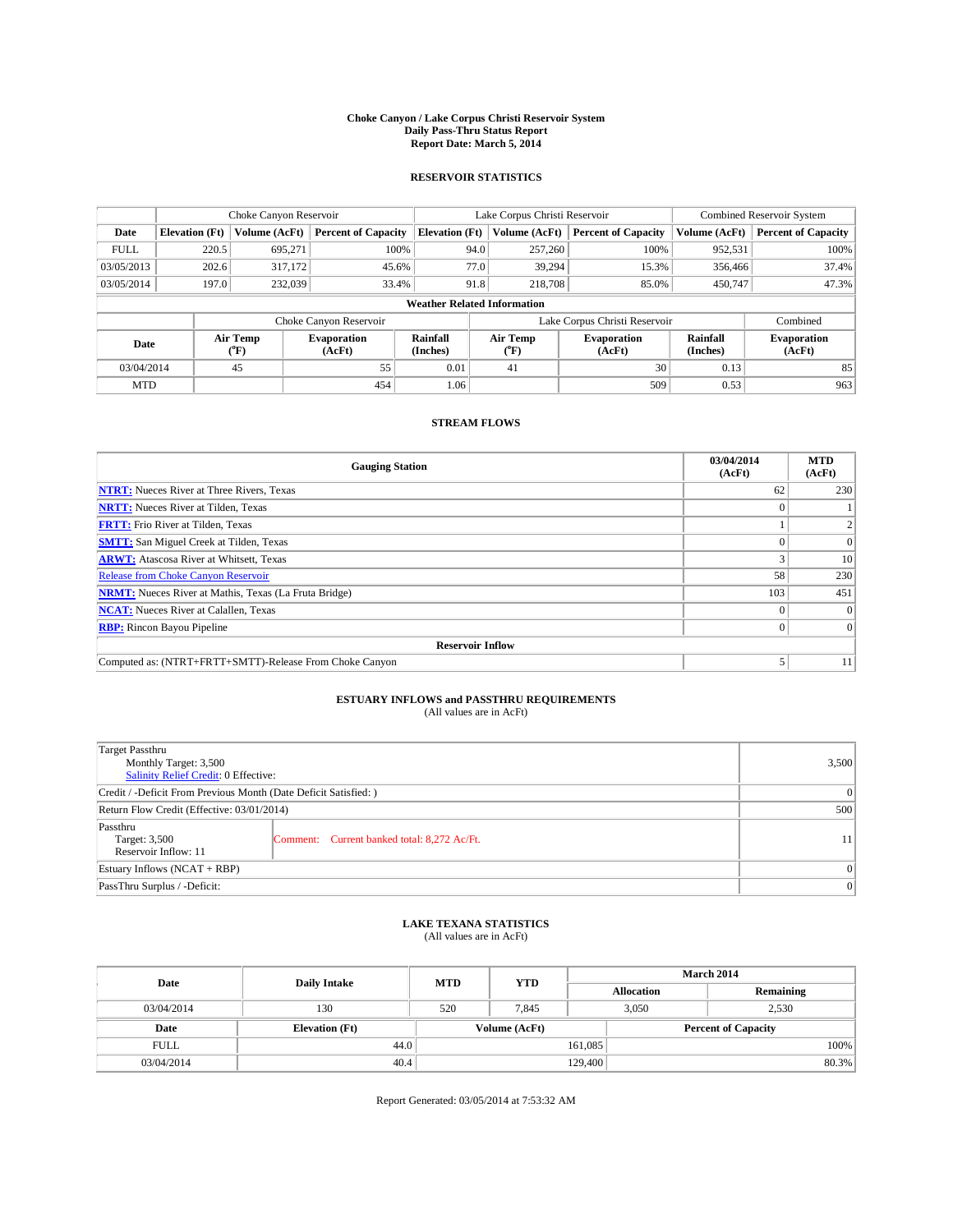#### **Choke Canyon / Lake Corpus Christi Reservoir System Daily Pass-Thru Status Report Report Date: March 5, 2014**

### **RESERVOIR STATISTICS**

|             |                                    | Choke Canyon Reservoir |                              |                       | Lake Corpus Christi Reservoir | <b>Combined Reservoir System</b> |                      |                              |  |
|-------------|------------------------------------|------------------------|------------------------------|-----------------------|-------------------------------|----------------------------------|----------------------|------------------------------|--|
| Date        | <b>Elevation</b> (Ft)              | Volume (AcFt)          | <b>Percent of Capacity</b>   | <b>Elevation (Ft)</b> | Volume (AcFt)                 | <b>Percent of Capacity</b>       | Volume (AcFt)        | <b>Percent of Capacity</b>   |  |
| <b>FULL</b> | 220.5                              | 695,271                | 100%                         | 94.0                  | 257,260                       | 100%                             | 952,531              | 100%                         |  |
| 03/05/2013  | 202.6                              | 317,172                | 45.6%                        | 77.0                  | 39,294                        | 15.3%                            | 356,466              | 37.4%                        |  |
| 03/05/2014  | 197.0                              | 232,039                | 33.4%                        | 91.8                  | 218,708                       | 85.0%                            | 450,747              | 47.3%                        |  |
|             | <b>Weather Related Information</b> |                        |                              |                       |                               |                                  |                      |                              |  |
|             |                                    |                        | Choke Canyon Reservoir       |                       |                               | Lake Corpus Christi Reservoir    |                      | Combined                     |  |
| Date        |                                    | Air Temp<br>(°F)       | <b>Evaporation</b><br>(AcFt) | Rainfall<br>(Inches)  | Air Temp<br>(°F)              | <b>Evaporation</b><br>(AcFt)     | Rainfall<br>(Inches) | <b>Evaporation</b><br>(AcFt) |  |
| 03/04/2014  |                                    | 45                     | 55                           | 0.01                  | 41                            | 30                               | 0.13                 | 85                           |  |
| <b>MTD</b>  |                                    |                        | 454                          | 1.06                  |                               | 509                              | 0.53                 | 963                          |  |

### **STREAM FLOWS**

| <b>Gauging Station</b>                                       | 03/04/2014<br>(AcFt) | <b>MTD</b><br>(AcFt) |  |  |  |  |
|--------------------------------------------------------------|----------------------|----------------------|--|--|--|--|
| <b>NTRT:</b> Nueces River at Three Rivers, Texas             | 62                   | 230                  |  |  |  |  |
| <b>NRTT:</b> Nueces River at Tilden, Texas                   |                      |                      |  |  |  |  |
| <b>FRTT:</b> Frio River at Tilden, Texas                     |                      |                      |  |  |  |  |
| <b>SMTT:</b> San Miguel Creek at Tilden, Texas               |                      | $\Omega$             |  |  |  |  |
| <b>ARWT:</b> Atascosa River at Whitsett, Texas               |                      | 10                   |  |  |  |  |
| <b>Release from Choke Canyon Reservoir</b>                   | 58                   | 230                  |  |  |  |  |
| <b>NRMT:</b> Nueces River at Mathis, Texas (La Fruta Bridge) | 103                  | 451                  |  |  |  |  |
| <b>NCAT:</b> Nueces River at Calallen, Texas                 |                      | $\Omega$             |  |  |  |  |
| <b>RBP:</b> Rincon Bayou Pipeline                            |                      | $\Omega$             |  |  |  |  |
| <b>Reservoir Inflow</b>                                      |                      |                      |  |  |  |  |
| Computed as: (NTRT+FRTT+SMTT)-Release From Choke Canyon      |                      | 11                   |  |  |  |  |

# **ESTUARY INFLOWS and PASSTHRU REQUIREMENTS**<br>(All values are in AcFt)

| <b>Target Passthru</b><br>Monthly Target: 3,500<br>Salinity Relief Credit: 0 Effective: | 3,500                                       |    |  |  |
|-----------------------------------------------------------------------------------------|---------------------------------------------|----|--|--|
| Credit / -Deficit From Previous Month (Date Deficit Satisfied: )                        |                                             |    |  |  |
| Return Flow Credit (Effective: 03/01/2014)                                              |                                             |    |  |  |
| Passthru<br>Target: 3,500<br>Reservoir Inflow: 11                                       | Comment: Current banked total: 8,272 Ac/Ft. | 11 |  |  |
| Estuary Inflows (NCAT + RBP)                                                            | $\Omega$                                    |    |  |  |
| PassThru Surplus / -Deficit:                                                            | 0                                           |    |  |  |

## **LAKE TEXANA STATISTICS** (All values are in AcFt)

| Date        | <b>Daily Intake</b>   | <b>MTD</b> | <b>YTD</b>    | <b>March 2014</b> |                            |           |  |
|-------------|-----------------------|------------|---------------|-------------------|----------------------------|-----------|--|
|             |                       |            |               |                   | <b>Allocation</b>          | Remaining |  |
| 03/04/2014  | 130                   | 520        | 7.845         |                   | 3,050<br>2,530             |           |  |
| Date        | <b>Elevation</b> (Ft) |            | Volume (AcFt) |                   | <b>Percent of Capacity</b> |           |  |
| <b>FULL</b> | 44.0                  |            |               | 161,085           |                            | 100%      |  |
| 03/04/2014  | 40.4                  |            |               | 129,400           |                            | 80.3%     |  |

Report Generated: 03/05/2014 at 7:53:32 AM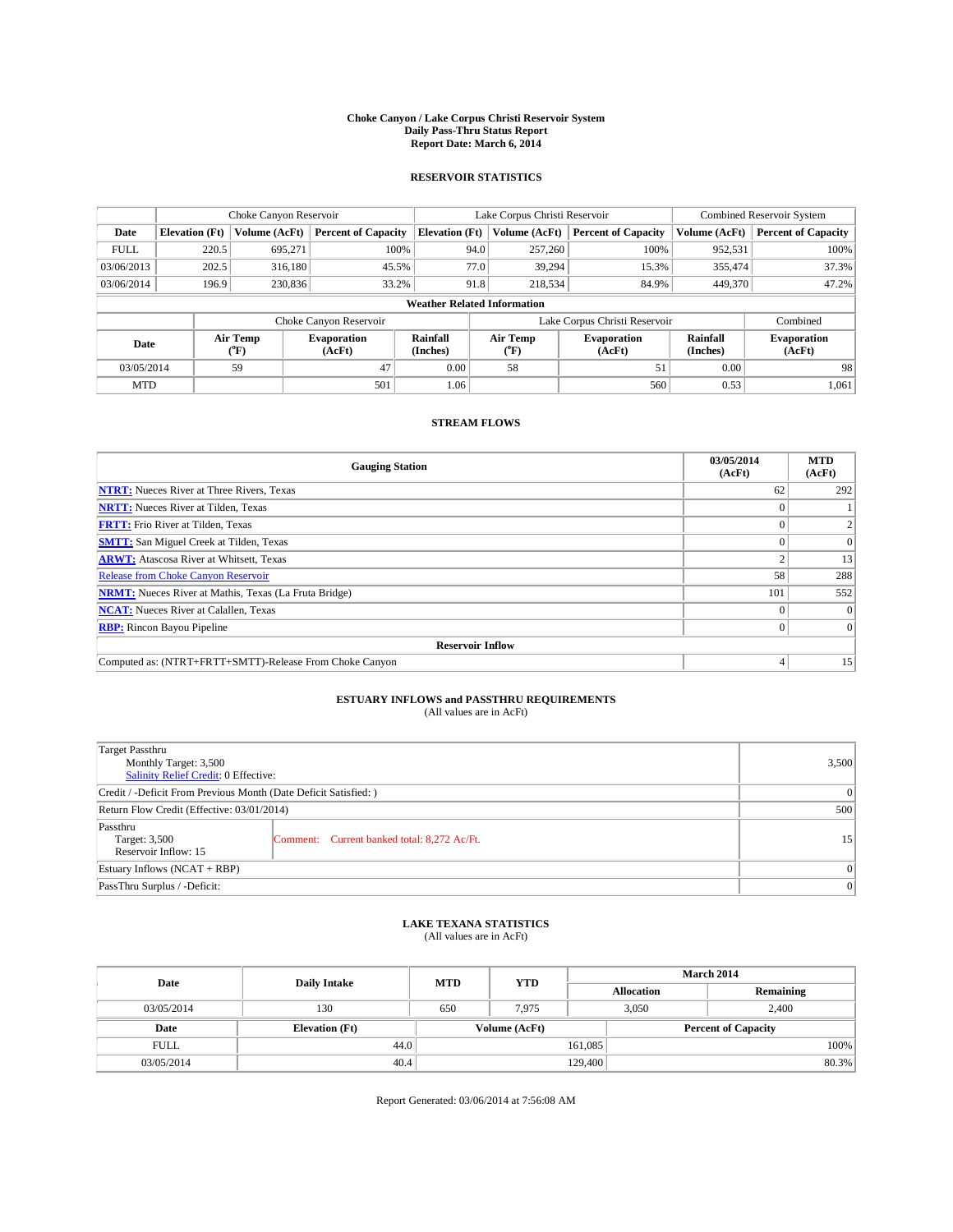#### **Choke Canyon / Lake Corpus Christi Reservoir System Daily Pass-Thru Status Report Report Date: March 6, 2014**

### **RESERVOIR STATISTICS**

|             |                                    | Choke Canyon Reservoir |                              |                       | Lake Corpus Christi Reservoir | <b>Combined Reservoir System</b> |                      |                              |  |  |
|-------------|------------------------------------|------------------------|------------------------------|-----------------------|-------------------------------|----------------------------------|----------------------|------------------------------|--|--|
| Date        | <b>Elevation</b> (Ft)              | Volume (AcFt)          | <b>Percent of Capacity</b>   | <b>Elevation (Ft)</b> | Volume (AcFt)                 | <b>Percent of Capacity</b>       | Volume (AcFt)        | Percent of Capacity          |  |  |
| <b>FULL</b> | 220.5                              | 695,271                | 100%                         | 94.0                  | 257,260                       | 100%                             | 952,531              | 100%                         |  |  |
| 03/06/2013  | 202.5                              | 316,180                | 45.5%                        | 77.0                  | 39,294                        | 15.3%                            | 355,474              | 37.3%                        |  |  |
| 03/06/2014  | 196.9                              | 230,836                | 33.2%                        | 91.8                  | 218,534                       | 84.9%                            | 449,370              | 47.2%                        |  |  |
|             | <b>Weather Related Information</b> |                        |                              |                       |                               |                                  |                      |                              |  |  |
|             |                                    |                        | Choke Canyon Reservoir       |                       |                               | Lake Corpus Christi Reservoir    |                      | Combined                     |  |  |
| Date        |                                    | Air Temp<br>(°F)       | <b>Evaporation</b><br>(AcFt) | Rainfall<br>(Inches)  | Air Temp<br>("F)              | <b>Evaporation</b><br>(AcFt)     | Rainfall<br>(Inches) | <b>Evaporation</b><br>(AcFt) |  |  |
| 03/05/2014  |                                    | 59                     | 47                           | 0.00                  | 58                            | 51                               | 0.00                 | 98                           |  |  |
| <b>MTD</b>  |                                    |                        | 501                          | 1.06                  |                               | 560                              | 0.53                 | 1.061                        |  |  |

### **STREAM FLOWS**

| <b>Gauging Station</b>                                       | 03/05/2014<br>(AcFt) | <b>MTD</b><br>(AcFt) |  |  |  |  |
|--------------------------------------------------------------|----------------------|----------------------|--|--|--|--|
| <b>NTRT:</b> Nueces River at Three Rivers, Texas             | 62                   | 292                  |  |  |  |  |
| <b>NRTT:</b> Nueces River at Tilden, Texas                   |                      |                      |  |  |  |  |
| <b>FRTT:</b> Frio River at Tilden, Texas                     |                      |                      |  |  |  |  |
| <b>SMTT:</b> San Miguel Creek at Tilden, Texas               |                      | $\Omega$             |  |  |  |  |
| <b>ARWT:</b> Atascosa River at Whitsett, Texas               |                      | 13                   |  |  |  |  |
| <b>Release from Choke Canyon Reservoir</b>                   | 58                   | 288                  |  |  |  |  |
| <b>NRMT:</b> Nueces River at Mathis, Texas (La Fruta Bridge) | 101                  | 552                  |  |  |  |  |
| <b>NCAT:</b> Nueces River at Calallen, Texas                 |                      | $\Omega$             |  |  |  |  |
| <b>RBP:</b> Rincon Bayou Pipeline                            | 0                    | $\Omega$             |  |  |  |  |
| <b>Reservoir Inflow</b>                                      |                      |                      |  |  |  |  |
| Computed as: (NTRT+FRTT+SMTT)-Release From Choke Canyon      | 4                    | 15                   |  |  |  |  |

# **ESTUARY INFLOWS and PASSTHRU REQUIREMENTS**<br>(All values are in AcFt)

| <b>Target Passthru</b><br>Monthly Target: 3,500<br>Salinity Relief Credit: 0 Effective: | 3,500                                       |                 |  |  |
|-----------------------------------------------------------------------------------------|---------------------------------------------|-----------------|--|--|
| Credit / -Deficit From Previous Month (Date Deficit Satisfied: )                        |                                             |                 |  |  |
| Return Flow Credit (Effective: 03/01/2014)                                              | 500                                         |                 |  |  |
| Passthru<br>Target: 3,500<br>Reservoir Inflow: 15                                       | Comment: Current banked total: 8,272 Ac/Ft. | 15 <sup>1</sup> |  |  |
| Estuary Inflows (NCAT + RBP)                                                            | $\Omega$                                    |                 |  |  |
| PassThru Surplus / -Deficit:                                                            | 0                                           |                 |  |  |

## **LAKE TEXANA STATISTICS** (All values are in AcFt)

| Date        |                       | <b>MTD</b> | <b>YTD</b>    | <b>March 2014</b> |                            |           |  |
|-------------|-----------------------|------------|---------------|-------------------|----------------------------|-----------|--|
|             | <b>Daily Intake</b>   |            |               | <b>Allocation</b> |                            | Remaining |  |
| 03/05/2014  | 130                   | 650        | 7.975         |                   | 3,050<br>2.400             |           |  |
| Date        | <b>Elevation</b> (Ft) |            | Volume (AcFt) |                   | <b>Percent of Capacity</b> |           |  |
| <b>FULL</b> | 44.0                  |            |               | 161,085           |                            | 100%      |  |
| 03/05/2014  | 40.4                  |            |               | 129,400           |                            | $80.3\%$  |  |

Report Generated: 03/06/2014 at 7:56:08 AM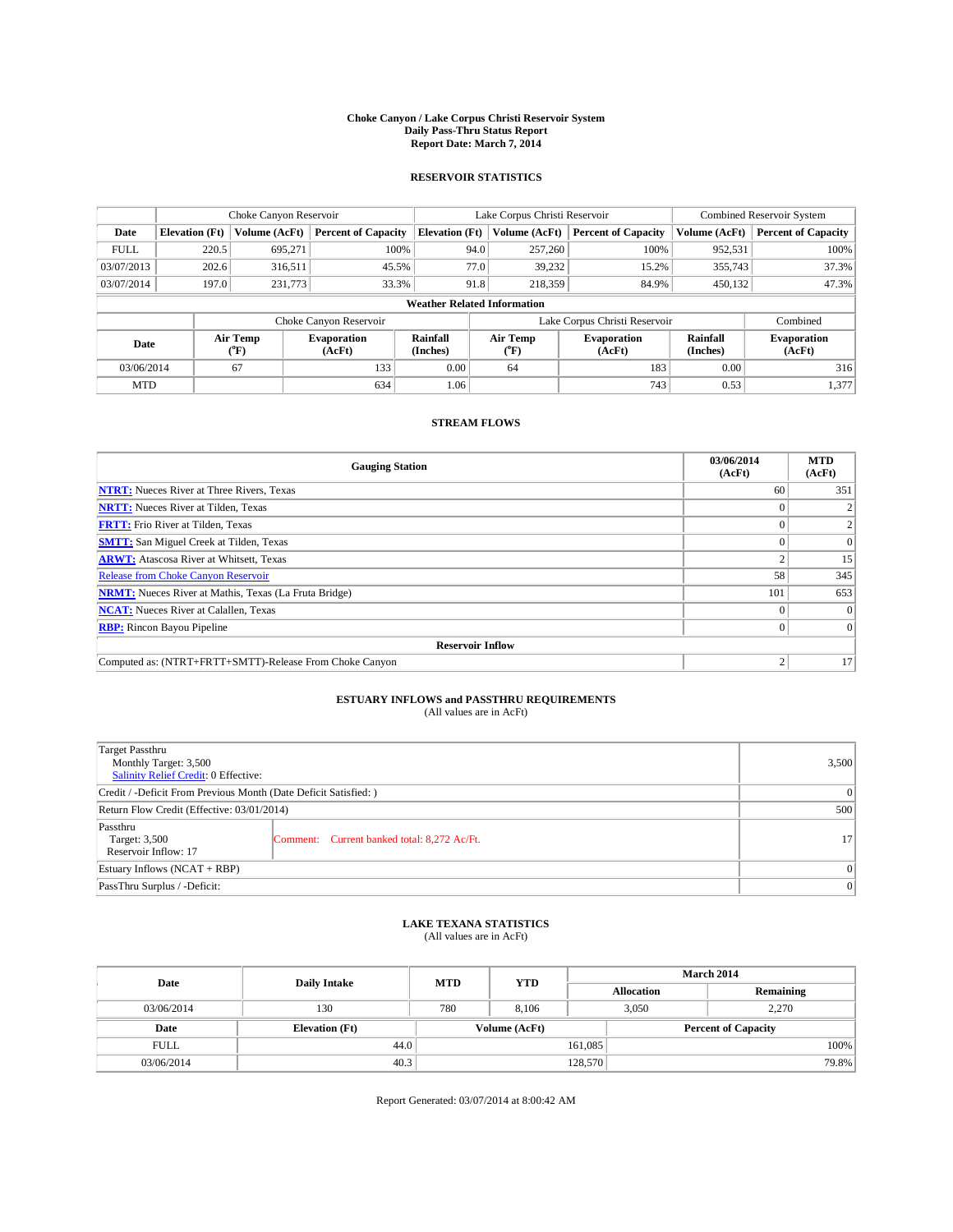#### **Choke Canyon / Lake Corpus Christi Reservoir System Daily Pass-Thru Status Report Report Date: March 7, 2014**

### **RESERVOIR STATISTICS**

|                                    |                       | Choke Canyon Reservoir |                              |                       | Lake Corpus Christi Reservoir | <b>Combined Reservoir System</b> |                      |                              |
|------------------------------------|-----------------------|------------------------|------------------------------|-----------------------|-------------------------------|----------------------------------|----------------------|------------------------------|
| Date                               | <b>Elevation</b> (Ft) | Volume (AcFt)          | <b>Percent of Capacity</b>   | <b>Elevation (Ft)</b> | Volume (AcFt)                 | <b>Percent of Capacity</b>       | Volume (AcFt)        | <b>Percent of Capacity</b>   |
| <b>FULL</b>                        | 220.5                 | 695.271                | 100%                         |                       | 257,260<br>94.0               | 100%                             | 952,531              | 100%                         |
| 03/07/2013                         | 202.6                 | 316,511                | 45.5%                        |                       | 77.0<br>39,232                | 15.2%                            | 355,743              | 37.3%                        |
| 03/07/2014                         | 197.0                 | 231,773                | 33.3%                        |                       | 91.8<br>218,359               | 84.9%                            | 450.132              | 47.3%                        |
| <b>Weather Related Information</b> |                       |                        |                              |                       |                               |                                  |                      |                              |
|                                    |                       |                        | Choke Canyon Reservoir       |                       |                               | Lake Corpus Christi Reservoir    |                      | Combined                     |
| Date                               |                       | Air Temp<br>(°F)       | <b>Evaporation</b><br>(AcFt) | Rainfall<br>(Inches)  | Air Temp<br>$(^{0}F)$         | <b>Evaporation</b><br>(AcFt)     | Rainfall<br>(Inches) | <b>Evaporation</b><br>(AcFt) |
| 03/06/2014                         |                       | 67                     | 133                          | 0.00                  | 64                            | 183                              | 0.00                 | 316                          |
| <b>MTD</b>                         |                       |                        | 634                          | 1.06                  |                               | 743                              | 0.53                 | 1,377                        |

### **STREAM FLOWS**

| <b>Gauging Station</b>                                       | 03/06/2014<br>(AcFt) | <b>MTD</b><br>(AcFt) |  |  |  |  |
|--------------------------------------------------------------|----------------------|----------------------|--|--|--|--|
| <b>NTRT:</b> Nueces River at Three Rivers, Texas             | 60                   | 351                  |  |  |  |  |
| <b>NRTT:</b> Nueces River at Tilden, Texas                   |                      |                      |  |  |  |  |
| <b>FRTT:</b> Frio River at Tilden, Texas                     |                      |                      |  |  |  |  |
| <b>SMTT:</b> San Miguel Creek at Tilden, Texas               |                      | $\Omega$             |  |  |  |  |
| <b>ARWT:</b> Atascosa River at Whitsett, Texas               |                      | 15                   |  |  |  |  |
| <b>Release from Choke Canyon Reservoir</b>                   | 58                   | 345                  |  |  |  |  |
| <b>NRMT:</b> Nueces River at Mathis, Texas (La Fruta Bridge) | 101                  | 653                  |  |  |  |  |
| <b>NCAT:</b> Nueces River at Calallen, Texas                 |                      | $\Omega$             |  |  |  |  |
| <b>RBP:</b> Rincon Bayou Pipeline                            | 0                    | $\Omega$             |  |  |  |  |
| <b>Reservoir Inflow</b>                                      |                      |                      |  |  |  |  |
| Computed as: (NTRT+FRTT+SMTT)-Release From Choke Canyon      | h                    | 17                   |  |  |  |  |

# **ESTUARY INFLOWS and PASSTHRU REQUIREMENTS**<br>(All values are in AcFt)

| Target Passthru<br>Monthly Target: 3,500<br>Salinity Relief Credit: 0 Effective: |                                             |                 |  |  |
|----------------------------------------------------------------------------------|---------------------------------------------|-----------------|--|--|
| Credit / -Deficit From Previous Month (Date Deficit Satisfied: )                 |                                             |                 |  |  |
| Return Flow Credit (Effective: 03/01/2014)                                       |                                             |                 |  |  |
| Passthru<br>Target: 3,500<br>Reservoir Inflow: 17                                | Comment: Current banked total: 8,272 Ac/Ft. | 17 <sup>1</sup> |  |  |
| Estuary Inflows (NCAT + RBP)                                                     |                                             |                 |  |  |
| PassThru Surplus / -Deficit:                                                     |                                             |                 |  |  |

## **LAKE TEXANA STATISTICS** (All values are in AcFt)

| Date        | <b>Daily Intake</b>   | <b>MTD</b> | <b>YTD</b>    | March 2014 |                            |           |  |
|-------------|-----------------------|------------|---------------|------------|----------------------------|-----------|--|
|             |                       |            |               |            | <b>Allocation</b>          | Remaining |  |
| 03/06/2014  | 130                   | 780        | 8.106         |            | 3,050<br>2,270             |           |  |
| Date        | <b>Elevation</b> (Ft) |            | Volume (AcFt) |            | <b>Percent of Capacity</b> |           |  |
| <b>FULL</b> | 44.0                  |            |               | 161,085    |                            | 100%      |  |
| 03/06/2014  | 40.3                  | 128,570    |               |            | 79.8%                      |           |  |

Report Generated: 03/07/2014 at 8:00:42 AM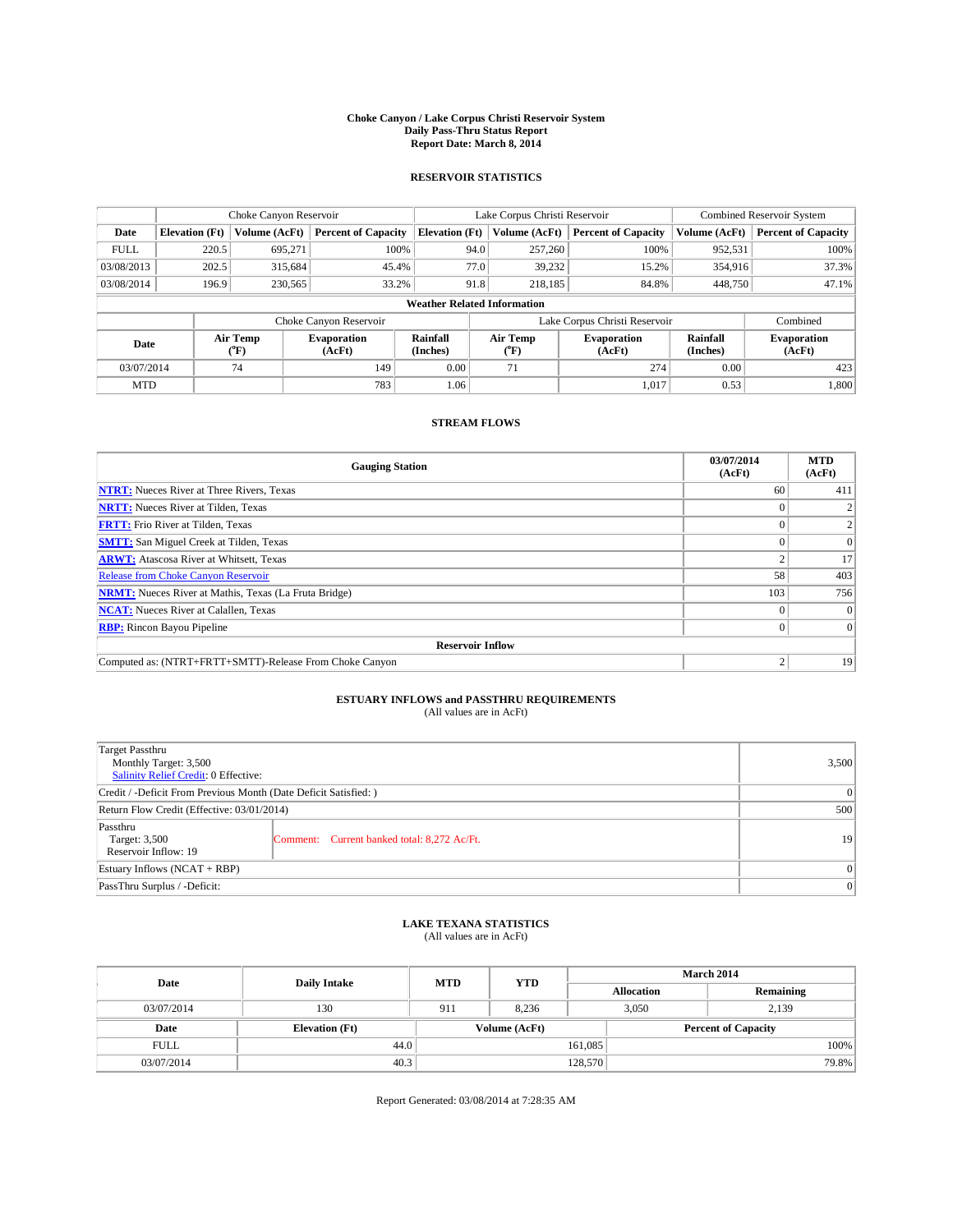#### **Choke Canyon / Lake Corpus Christi Reservoir System Daily Pass-Thru Status Report Report Date: March 8, 2014**

### **RESERVOIR STATISTICS**

|                                    |                       | Choke Canyon Reservoir |                              |                       | Lake Corpus Christi Reservoir | <b>Combined Reservoir System</b> |                      |                              |
|------------------------------------|-----------------------|------------------------|------------------------------|-----------------------|-------------------------------|----------------------------------|----------------------|------------------------------|
| Date                               | <b>Elevation</b> (Ft) | Volume (AcFt)          | <b>Percent of Capacity</b>   | <b>Elevation (Ft)</b> | Volume (AcFt)                 | <b>Percent of Capacity</b>       | Volume (AcFt)        | Percent of Capacity          |
| <b>FULL</b>                        | 220.5                 | 695,271                | 100%                         | 94.0                  | 257,260                       | 100%                             | 952,531              | 100%                         |
| 03/08/2013                         | 202.5                 | 315,684                | 45.4%                        | 77.0                  | 39,232                        | 15.2%                            | 354,916              | 37.3%                        |
| 03/08/2014                         | 196.9                 | 230,565                | 33.2%                        | 91.8                  | 218.185                       | 84.8%                            | 448,750              | 47.1%                        |
| <b>Weather Related Information</b> |                       |                        |                              |                       |                               |                                  |                      |                              |
|                                    |                       |                        | Choke Canyon Reservoir       |                       |                               | Lake Corpus Christi Reservoir    |                      | Combined                     |
| Date                               |                       | Air Temp<br>(°F)       | <b>Evaporation</b><br>(AcFt) | Rainfall<br>(Inches)  | Air Temp<br>("F)              | <b>Evaporation</b><br>(AcFt)     | Rainfall<br>(Inches) | <b>Evaporation</b><br>(AcFt) |
| 03/07/2014                         |                       | 74                     | 149                          | 0.00                  | 71                            | 274                              | 0.00                 | 423                          |
| <b>MTD</b>                         |                       |                        | 783                          | 1.06                  |                               | 1,017                            | 0.53                 | 1.800                        |

### **STREAM FLOWS**

| <b>Gauging Station</b>                                       | 03/07/2014<br>(AcFt) | <b>MTD</b><br>(AcFt) |  |  |  |  |
|--------------------------------------------------------------|----------------------|----------------------|--|--|--|--|
| <b>NTRT:</b> Nueces River at Three Rivers, Texas             | 60                   | 411                  |  |  |  |  |
| <b>NRTT:</b> Nueces River at Tilden, Texas                   |                      |                      |  |  |  |  |
| <b>FRTT:</b> Frio River at Tilden, Texas                     |                      |                      |  |  |  |  |
| <b>SMTT:</b> San Miguel Creek at Tilden, Texas               |                      | $\Omega$             |  |  |  |  |
| <b>ARWT:</b> Atascosa River at Whitsett, Texas               |                      | 17                   |  |  |  |  |
| <b>Release from Choke Canyon Reservoir</b>                   | 58                   | 403                  |  |  |  |  |
| <b>NRMT:</b> Nueces River at Mathis, Texas (La Fruta Bridge) | 103                  | 756                  |  |  |  |  |
| <b>NCAT:</b> Nueces River at Calallen, Texas                 |                      | $\Omega$             |  |  |  |  |
| <b>RBP:</b> Rincon Bayou Pipeline                            |                      | $\Omega$             |  |  |  |  |
| <b>Reservoir Inflow</b>                                      |                      |                      |  |  |  |  |
| Computed as: (NTRT+FRTT+SMTT)-Release From Choke Canyon      | h                    | 19                   |  |  |  |  |

# **ESTUARY INFLOWS and PASSTHRU REQUIREMENTS**<br>(All values are in AcFt)

| Target Passthru<br>Monthly Target: 3,500<br>Salinity Relief Credit: 0 Effective: |                                             |    |  |  |
|----------------------------------------------------------------------------------|---------------------------------------------|----|--|--|
| Credit / -Deficit From Previous Month (Date Deficit Satisfied: )                 |                                             |    |  |  |
| Return Flow Credit (Effective: 03/01/2014)                                       |                                             |    |  |  |
| Passthru<br>Target: 3,500<br>Reservoir Inflow: 19                                | Comment: Current banked total: 8,272 Ac/Ft. | 19 |  |  |
| Estuary Inflows (NCAT + RBP)                                                     |                                             |    |  |  |
| PassThru Surplus / -Deficit:                                                     | 0                                           |    |  |  |

## **LAKE TEXANA STATISTICS** (All values are in AcFt)

| Date        |                       | <b>MTD</b> | <b>YTD</b>    | <b>March 2014</b> |                            |           |  |
|-------------|-----------------------|------------|---------------|-------------------|----------------------------|-----------|--|
|             | <b>Daily Intake</b>   |            |               | <b>Allocation</b> |                            | Remaining |  |
| 03/07/2014  | 130                   | 911        | 8.236         |                   | 3,050<br>2.139             |           |  |
| Date        | <b>Elevation</b> (Ft) |            | Volume (AcFt) |                   | <b>Percent of Capacity</b> |           |  |
| <b>FULL</b> | 44.0                  |            |               | 161,085           |                            | 100%      |  |
| 03/07/2014  | 40.3                  |            |               | 128,570           |                            | 79.8%     |  |

Report Generated: 03/08/2014 at 7:28:35 AM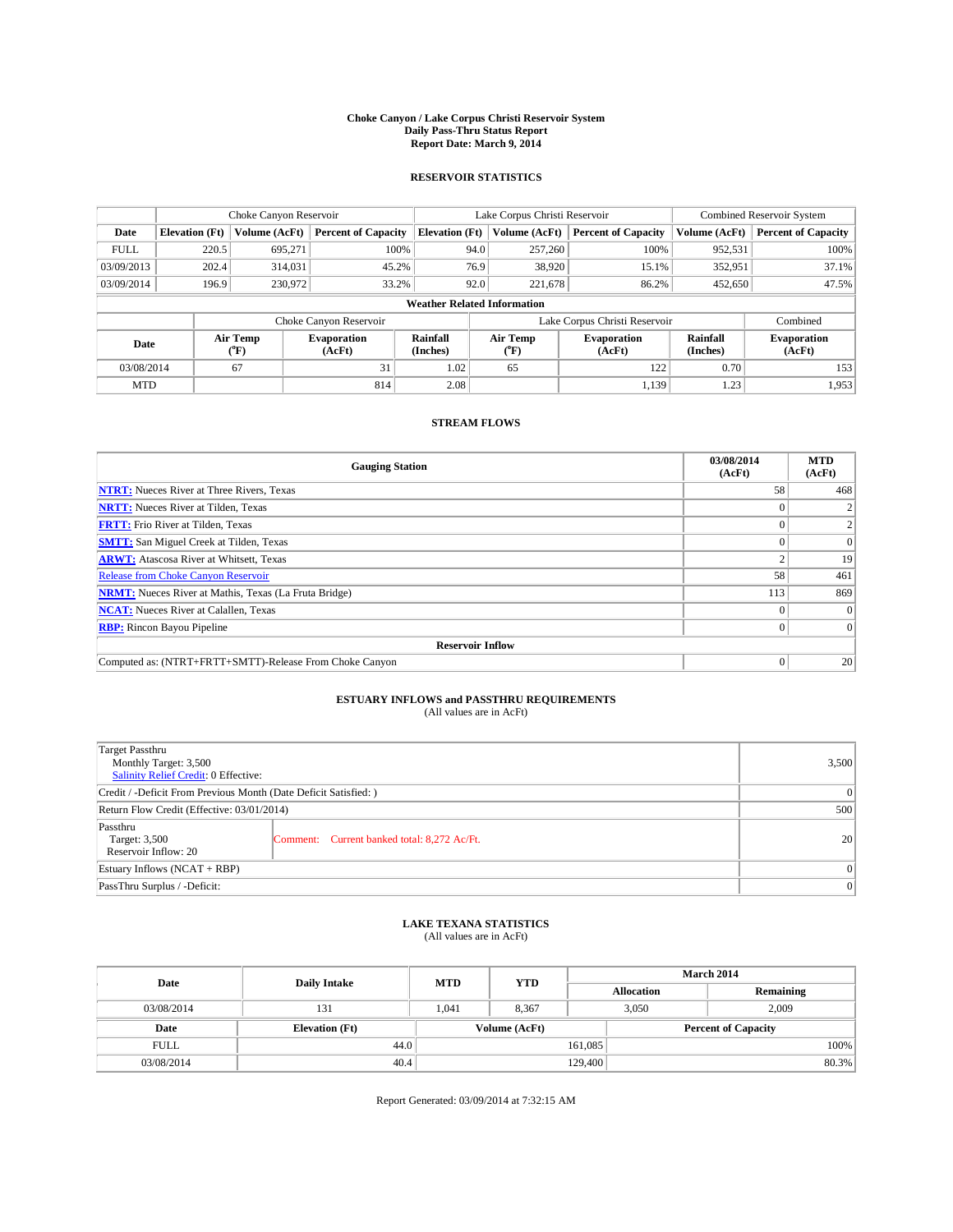#### **Choke Canyon / Lake Corpus Christi Reservoir System Daily Pass-Thru Status Report Report Date: March 9, 2014**

### **RESERVOIR STATISTICS**

|                                    |                       | Choke Canyon Reservoir                 |                                 |                      | Lake Corpus Christi Reservoir                                        | <b>Combined Reservoir System</b> |                      |                              |
|------------------------------------|-----------------------|----------------------------------------|---------------------------------|----------------------|----------------------------------------------------------------------|----------------------------------|----------------------|------------------------------|
| Date                               | <b>Elevation</b> (Ft) | Volume (AcFt)                          | <b>Percent of Capacity</b>      |                      | <b>Elevation (Ft)</b><br><b>Percent of Capacity</b><br>Volume (AcFt) |                                  | Volume (AcFt)        | <b>Percent of Capacity</b>   |
| <b>FULL</b>                        | 220.5                 | 695.271                                | 100%<br>100%<br>94.0<br>257,260 |                      | 952,531                                                              | 100%                             |                      |                              |
| 03/09/2013                         | 202.4                 | 314,031                                | 45.2%                           | 76.9                 | 38,920                                                               | 15.1%                            | 352,951              | 37.1%                        |
| 03/09/2014                         | 196.9                 | 230,972                                | 33.2%                           | 92.0                 | 221.678                                                              | 86.2%                            | 452,650              | 47.5%                        |
| <b>Weather Related Information</b> |                       |                                        |                                 |                      |                                                                      |                                  |                      |                              |
|                                    |                       |                                        | Choke Canyon Reservoir          |                      |                                                                      | Lake Corpus Christi Reservoir    |                      | Combined                     |
| Date                               |                       | Air Temp<br><b>Evaporation</b><br>(°F) |                                 | Rainfall<br>(Inches) | Air Temp<br>$(^{0}F)$                                                | Evaporation<br>(AcFt)            | Rainfall<br>(Inches) | <b>Evaporation</b><br>(AcFt) |
| 03/08/2014                         |                       | 67                                     | 31                              | 1.02                 | 65                                                                   | 122                              | 0.70                 | 153                          |
| <b>MTD</b>                         |                       |                                        | 814                             | 2.08                 |                                                                      | 1,139                            | 1.23                 | 1,953                        |

### **STREAM FLOWS**

| <b>Gauging Station</b>                                       | 03/08/2014<br>(AcFt) | <b>MTD</b><br>(AcFt) |  |  |  |  |
|--------------------------------------------------------------|----------------------|----------------------|--|--|--|--|
| <b>NTRT:</b> Nueces River at Three Rivers, Texas             | 58                   | 468                  |  |  |  |  |
| <b>NRTT:</b> Nueces River at Tilden, Texas                   |                      |                      |  |  |  |  |
| <b>FRTT:</b> Frio River at Tilden, Texas                     |                      |                      |  |  |  |  |
| <b>SMTT:</b> San Miguel Creek at Tilden, Texas               |                      | $\Omega$             |  |  |  |  |
| <b>ARWT:</b> Atascosa River at Whitsett, Texas               |                      | 19                   |  |  |  |  |
| <b>Release from Choke Canyon Reservoir</b>                   | 58                   | 461                  |  |  |  |  |
| <b>NRMT:</b> Nueces River at Mathis, Texas (La Fruta Bridge) | 113                  | 869                  |  |  |  |  |
| <b>NCAT:</b> Nueces River at Calallen, Texas                 |                      | $\Omega$             |  |  |  |  |
| <b>RBP:</b> Rincon Bayou Pipeline                            |                      | $\Omega$             |  |  |  |  |
| <b>Reservoir Inflow</b>                                      |                      |                      |  |  |  |  |
| Computed as: (NTRT+FRTT+SMTT)-Release From Choke Canyon      |                      | 20 <sup>2</sup>      |  |  |  |  |

# **ESTUARY INFLOWS and PASSTHRU REQUIREMENTS**<br>(All values are in AcFt)

| Target Passthru<br>Monthly Target: 3,500<br>Salinity Relief Credit: 0 Effective: | 3,500                                       |                 |
|----------------------------------------------------------------------------------|---------------------------------------------|-----------------|
| Credit / -Deficit From Previous Month (Date Deficit Satisfied: )                 | 0                                           |                 |
| Return Flow Credit (Effective: 03/01/2014)                                       | 500                                         |                 |
| Passthru<br>Target: 3,500<br>Reservoir Inflow: 20                                | Comment: Current banked total: 8,272 Ac/Ft. | 20 <sup>2</sup> |
| Estuary Inflows (NCAT + RBP)                                                     | 0                                           |                 |
| PassThru Surplus / -Deficit:                                                     | 0                                           |                 |

## **LAKE TEXANA STATISTICS** (All values are in AcFt)

| Date        |                       | <b>MTD</b> | <b>YTD</b>    | <b>March 2014</b> |                            |           |  |
|-------------|-----------------------|------------|---------------|-------------------|----------------------------|-----------|--|
|             | <b>Daily Intake</b>   |            |               | <b>Allocation</b> |                            | Remaining |  |
| 03/08/2014  | 131                   | 1.041      | 8,367         |                   | 3,050<br>2.009             |           |  |
| Date        | <b>Elevation</b> (Ft) |            | Volume (AcFt) |                   | <b>Percent of Capacity</b> |           |  |
| <b>FULL</b> | 44.0                  |            |               | 161,085           |                            | 100%      |  |
| 03/08/2014  | 40.4                  |            |               | 129,400           |                            | $80.3\%$  |  |

Report Generated: 03/09/2014 at 7:32:15 AM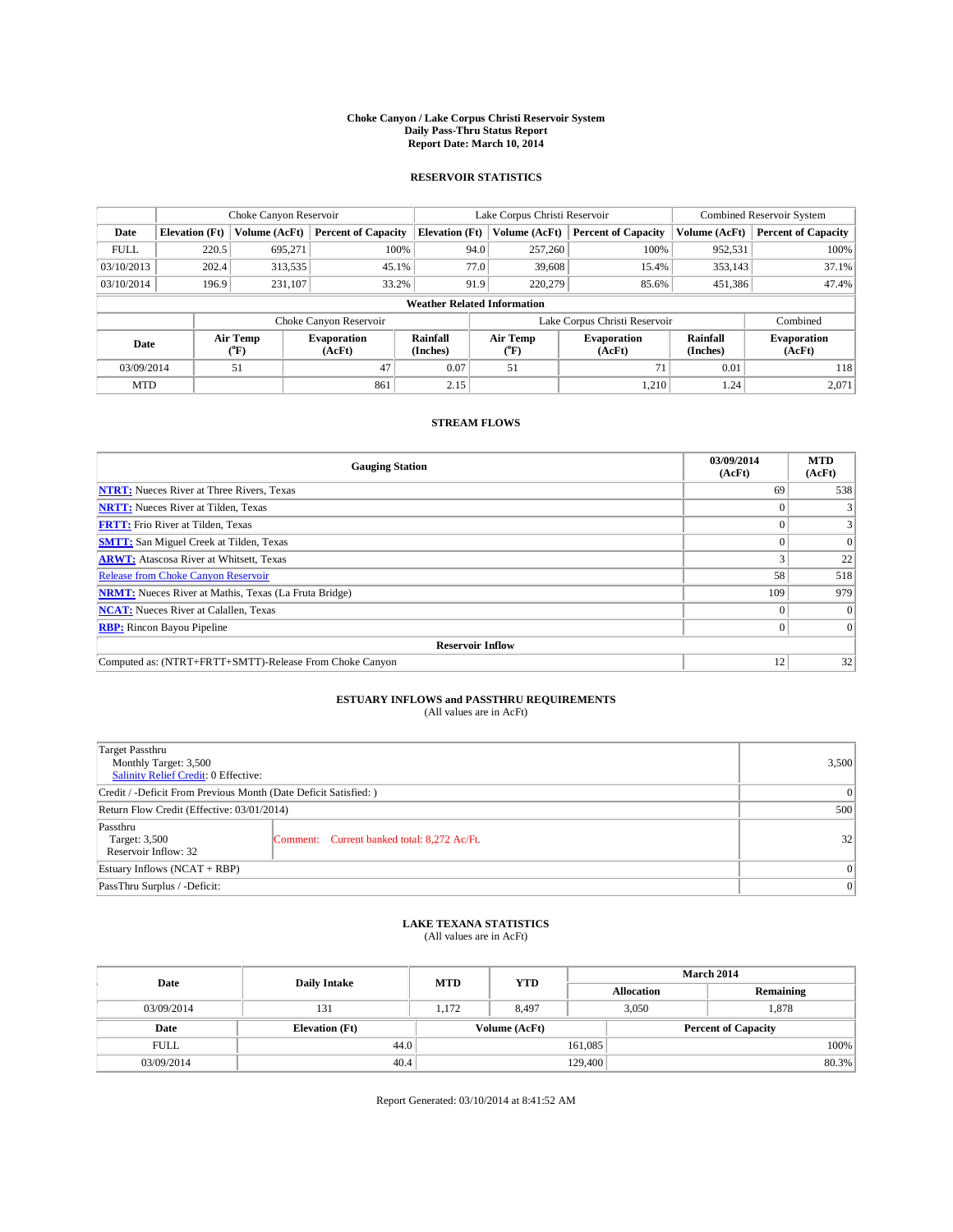#### **Choke Canyon / Lake Corpus Christi Reservoir System Daily Pass-Thru Status Report Report Date: March 10, 2014**

### **RESERVOIR STATISTICS**

|                                    |                       | Choke Canyon Reservoir |                              |                       | Lake Corpus Christi Reservoir | <b>Combined Reservoir System</b> |                      |                              |
|------------------------------------|-----------------------|------------------------|------------------------------|-----------------------|-------------------------------|----------------------------------|----------------------|------------------------------|
| Date                               | <b>Elevation</b> (Ft) | Volume (AcFt)          | <b>Percent of Capacity</b>   | <b>Elevation (Ft)</b> | Volume (AcFt)                 | <b>Percent of Capacity</b>       | Volume (AcFt)        | <b>Percent of Capacity</b>   |
| <b>FULL</b>                        | 220.5                 | 695.271                | 100%                         | 94.0                  | 257,260                       | 100%                             | 952,531              | 100%                         |
| 03/10/2013                         | 202.4                 | 313,535                | 45.1%                        | 77.0                  | 39,608                        | 15.4%                            | 353,143              | 37.1%                        |
| 03/10/2014                         | 196.9                 | 231,107                | 33.2%                        | 91.9                  | 220,279                       | 85.6%                            | 451,386              | 47.4%                        |
| <b>Weather Related Information</b> |                       |                        |                              |                       |                               |                                  |                      |                              |
|                                    |                       |                        | Choke Canyon Reservoir       |                       |                               | Lake Corpus Christi Reservoir    |                      | Combined                     |
| Date                               |                       | Air Temp<br>(°F)       | <b>Evaporation</b><br>(AcFt) | Rainfall<br>(Inches)  | Air Temp<br>$(^{0}F)$         | <b>Evaporation</b><br>(AcFt)     | Rainfall<br>(Inches) | <b>Evaporation</b><br>(AcFt) |
| 03/09/2014                         |                       | 51                     | 47                           | 0.07                  | 51                            | 71                               | 0.01                 | 118                          |
| <b>MTD</b>                         |                       |                        | 861                          | 2.15                  |                               | 1,210                            | 1.24                 | 2,071                        |

### **STREAM FLOWS**

| <b>Gauging Station</b>                                       | 03/09/2014<br>(AcFt) | <b>MTD</b><br>(AcFt) |  |  |  |  |
|--------------------------------------------------------------|----------------------|----------------------|--|--|--|--|
| <b>NTRT:</b> Nueces River at Three Rivers, Texas             | 69                   | 538                  |  |  |  |  |
| <b>NRTT:</b> Nueces River at Tilden, Texas                   |                      | 3                    |  |  |  |  |
| <b>FRTT:</b> Frio River at Tilden, Texas                     |                      | 3                    |  |  |  |  |
| <b>SMTT:</b> San Miguel Creek at Tilden, Texas               |                      | $\Omega$             |  |  |  |  |
| <b>ARWT:</b> Atascosa River at Whitsett, Texas               |                      | 22                   |  |  |  |  |
| <b>Release from Choke Canyon Reservoir</b>                   | 58                   | 518                  |  |  |  |  |
| <b>NRMT:</b> Nueces River at Mathis, Texas (La Fruta Bridge) | 109                  | 979                  |  |  |  |  |
| <b>NCAT:</b> Nueces River at Calallen, Texas                 |                      | $\Omega$             |  |  |  |  |
| <b>RBP:</b> Rincon Bayou Pipeline                            | $\Omega$             | $\Omega$             |  |  |  |  |
| <b>Reservoir Inflow</b>                                      |                      |                      |  |  |  |  |
| Computed as: (NTRT+FRTT+SMTT)-Release From Choke Canyon      | 12                   | 32                   |  |  |  |  |

# **ESTUARY INFLOWS and PASSTHRU REQUIREMENTS**<br>(All values are in AcFt)

| Target Passthru<br>Monthly Target: 3,500<br>Salinity Relief Credit: 0 Effective: |                                             |    |  |  |
|----------------------------------------------------------------------------------|---------------------------------------------|----|--|--|
| Credit / -Deficit From Previous Month (Date Deficit Satisfied: )                 |                                             |    |  |  |
| Return Flow Credit (Effective: 03/01/2014)                                       |                                             |    |  |  |
| Passthru<br>Target: 3,500<br>Reservoir Inflow: 32                                | Comment: Current banked total: 8,272 Ac/Ft. | 32 |  |  |
| Estuary Inflows (NCAT + RBP)                                                     |                                             |    |  |  |
| PassThru Surplus / -Deficit:                                                     |                                             |    |  |  |

# **LAKE TEXANA STATISTICS** (All values are in AcFt)

| Date        | <b>Daily Intake</b>   | <b>MTD</b>    | <b>YTD</b> | <b>March 2014</b> |                            |           |  |
|-------------|-----------------------|---------------|------------|-------------------|----------------------------|-----------|--|
|             |                       |               |            |                   | <b>Allocation</b>          | Remaining |  |
| 03/09/2014  | 131                   | 1,172         | 8,497      |                   | 3,050<br>1,878             |           |  |
| Date        | <b>Elevation</b> (Ft) | Volume (AcFt) |            |                   | <b>Percent of Capacity</b> |           |  |
| <b>FULL</b> | 44.0                  |               |            | 161,085           |                            | 100%      |  |
| 03/09/2014  | 40.4                  |               |            | 129,400           |                            | 80.3%     |  |

Report Generated: 03/10/2014 at 8:41:52 AM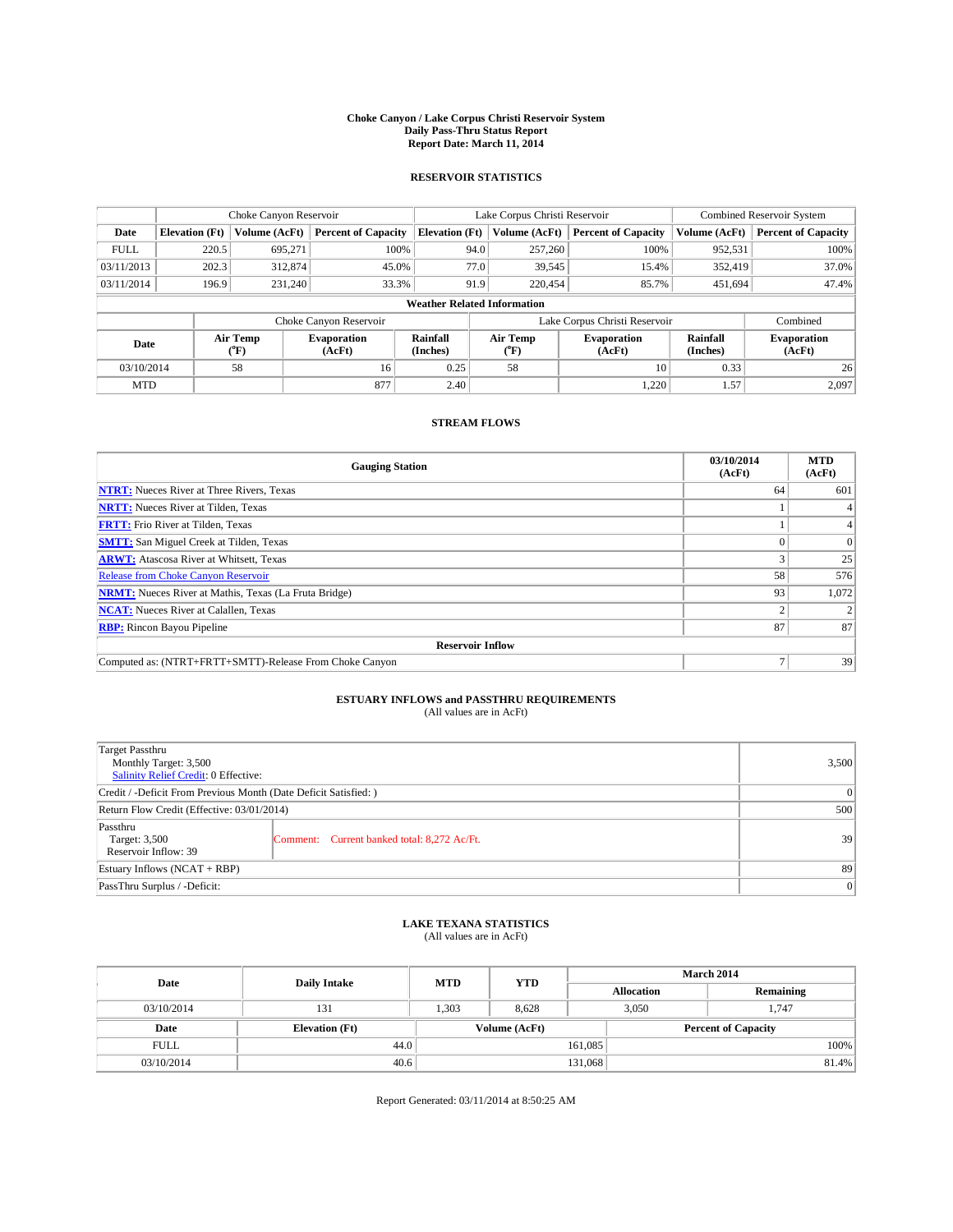#### **Choke Canyon / Lake Corpus Christi Reservoir System Daily Pass-Thru Status Report Report Date: March 11, 2014**

### **RESERVOIR STATISTICS**

|                                    |                       | Choke Canyon Reservoir |                              |                       | Lake Corpus Christi Reservoir | <b>Combined Reservoir System</b> |                      |                              |
|------------------------------------|-----------------------|------------------------|------------------------------|-----------------------|-------------------------------|----------------------------------|----------------------|------------------------------|
| Date                               | <b>Elevation</b> (Ft) | Volume (AcFt)          | <b>Percent of Capacity</b>   | <b>Elevation (Ft)</b> | Volume (AcFt)                 | <b>Percent of Capacity</b>       | Volume (AcFt)        | <b>Percent of Capacity</b>   |
| <b>FULL</b>                        | 220.5                 | 695.271                | 100%                         | 94.0                  | 257,260                       | 100%                             | 952,531              | 100%                         |
| 03/11/2013                         | 202.3                 | 312,874                | 45.0%                        | 77.0                  | 39,545                        | 15.4%                            | 352,419              | 37.0%                        |
| 03/11/2014                         | 196.9                 | 231,240                | 33.3%                        | 91.9                  | 220,454                       | 85.7%                            | 451,694              | 47.4%                        |
| <b>Weather Related Information</b> |                       |                        |                              |                       |                               |                                  |                      |                              |
|                                    |                       |                        | Choke Canyon Reservoir       |                       |                               | Lake Corpus Christi Reservoir    |                      | Combined                     |
| Date                               |                       | Air Temp<br>(°F)       | <b>Evaporation</b><br>(AcFt) | Rainfall<br>(Inches)  | Air Temp<br>$(^{0}F)$         | Evaporation<br>(AcFt)            | Rainfall<br>(Inches) | <b>Evaporation</b><br>(AcFt) |
| 03/10/2014                         |                       | 58                     | 16                           | 0.25                  | 58                            | 10                               | 0.33                 | 26                           |
| <b>MTD</b>                         |                       |                        | 877                          | 2.40                  |                               | 1,220                            | 1.57                 | 2,097                        |

### **STREAM FLOWS**

| <b>Gauging Station</b>                                       | 03/10/2014<br>(AcFt) | <b>MTD</b><br>(AcFt) |  |  |  |  |
|--------------------------------------------------------------|----------------------|----------------------|--|--|--|--|
| <b>NTRT:</b> Nueces River at Three Rivers, Texas             | 64                   | 601                  |  |  |  |  |
| <b>NRTT:</b> Nueces River at Tilden, Texas                   |                      |                      |  |  |  |  |
| <b>FRTT:</b> Frio River at Tilden, Texas                     |                      |                      |  |  |  |  |
| <b>SMTT:</b> San Miguel Creek at Tilden, Texas               |                      | $\Omega$             |  |  |  |  |
| <b>ARWT:</b> Atascosa River at Whitsett, Texas               |                      | 25                   |  |  |  |  |
| <b>Release from Choke Canyon Reservoir</b>                   | 58                   | 576                  |  |  |  |  |
| <b>NRMT:</b> Nueces River at Mathis, Texas (La Fruta Bridge) | 93                   | 1,072                |  |  |  |  |
| <b>NCAT:</b> Nueces River at Calallen, Texas                 |                      |                      |  |  |  |  |
| <b>RBP:</b> Rincon Bayou Pipeline                            | 87                   | 87                   |  |  |  |  |
| <b>Reservoir Inflow</b>                                      |                      |                      |  |  |  |  |
| Computed as: (NTRT+FRTT+SMTT)-Release From Choke Canyon      | ⇁                    | 39                   |  |  |  |  |

# **ESTUARY INFLOWS and PASSTHRU REQUIREMENTS**<br>(All values are in AcFt)

| Target Passthru<br>Monthly Target: 3,500<br>Salinity Relief Credit: 0 Effective: |                                             |    |  |  |
|----------------------------------------------------------------------------------|---------------------------------------------|----|--|--|
| Credit / -Deficit From Previous Month (Date Deficit Satisfied: )                 |                                             |    |  |  |
| Return Flow Credit (Effective: 03/01/2014)                                       |                                             |    |  |  |
| Passthru<br>Target: 3,500<br>Reservoir Inflow: 39                                | Comment: Current banked total: 8,272 Ac/Ft. | 39 |  |  |
| Estuary Inflows (NCAT + RBP)                                                     |                                             |    |  |  |
| PassThru Surplus / -Deficit:                                                     | 0                                           |    |  |  |

## **LAKE TEXANA STATISTICS** (All values are in AcFt)

| Date        | <b>Daily Intake</b>   | <b>MTD</b> | <b>YTD</b>    | March 2014 |                            |           |  |  |
|-------------|-----------------------|------------|---------------|------------|----------------------------|-----------|--|--|
|             |                       |            |               |            | <b>Allocation</b>          | Remaining |  |  |
| 03/10/2014  | 131                   | 1,303      | 8,628         |            | 3,050<br>1.747             |           |  |  |
| Date        | <b>Elevation</b> (Ft) |            | Volume (AcFt) |            | <b>Percent of Capacity</b> |           |  |  |
| <b>FULL</b> | 44.0                  |            |               | 161,085    |                            | 100%      |  |  |
| 03/10/2014  | 40.6                  |            | 131,068       |            |                            | 81.4%     |  |  |

Report Generated: 03/11/2014 at 8:50:25 AM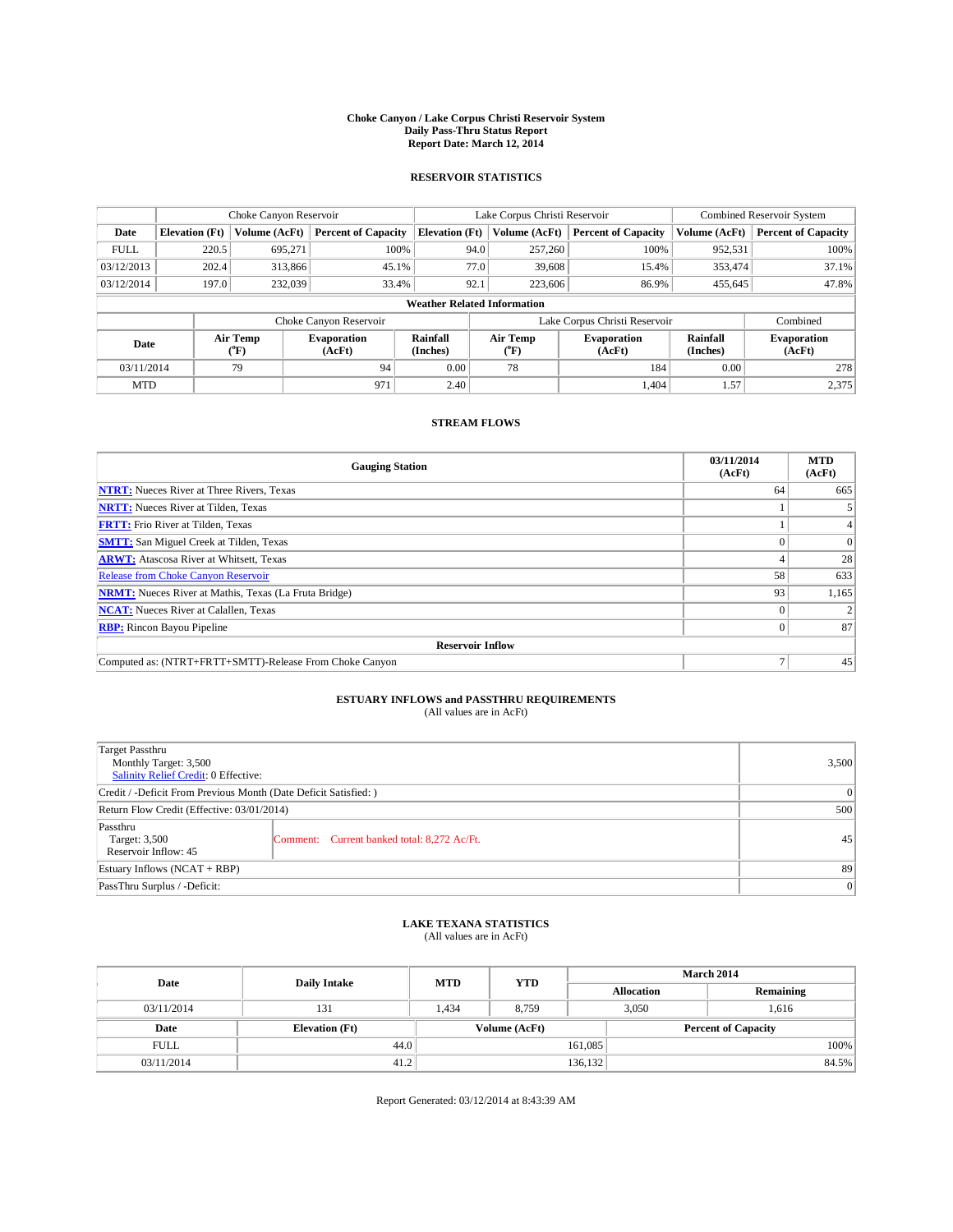#### **Choke Canyon / Lake Corpus Christi Reservoir System Daily Pass-Thru Status Report Report Date: March 12, 2014**

### **RESERVOIR STATISTICS**

|             |                                    | Choke Canyon Reservoir |                              |                       | Lake Corpus Christi Reservoir | <b>Combined Reservoir System</b> |                      |                              |  |
|-------------|------------------------------------|------------------------|------------------------------|-----------------------|-------------------------------|----------------------------------|----------------------|------------------------------|--|
| Date        | <b>Elevation</b> (Ft)              | Volume (AcFt)          | <b>Percent of Capacity</b>   | <b>Elevation (Ft)</b> | Volume (AcFt)                 | <b>Percent of Capacity</b>       | Volume (AcFt)        | <b>Percent of Capacity</b>   |  |
| <b>FULL</b> | 220.5                              | 695.271                | 100%                         | 94.0                  | 257,260                       | 100%                             | 952,531              | 100%                         |  |
| 03/12/2013  | 202.4                              | 313,866                | 45.1%                        | 77.0                  | 39,608                        | 15.4%                            | 353,474              | 37.1%                        |  |
| 03/12/2014  | 197.0                              | 232,039                | 33.4%                        | 92.1                  | 223,606                       | 86.9%                            | 455,645              | 47.8%                        |  |
|             | <b>Weather Related Information</b> |                        |                              |                       |                               |                                  |                      |                              |  |
|             |                                    |                        | Choke Canyon Reservoir       |                       | Lake Corpus Christi Reservoir |                                  | Combined             |                              |  |
| Date        |                                    | Air Temp<br>(°F)       | <b>Evaporation</b><br>(AcFt) | Rainfall<br>(Inches)  | Air Temp<br>$(^{0}F)$         | Evaporation<br>(AcFt)            | Rainfall<br>(Inches) | <b>Evaporation</b><br>(AcFt) |  |
| 03/11/2014  |                                    | 94<br>79               |                              | 0.00                  | 78                            | 184                              | 0.00                 | 278                          |  |
| <b>MTD</b>  |                                    |                        | 971                          | 2.40                  |                               | 1.404                            | 1.57                 | 2,375                        |  |

### **STREAM FLOWS**

| <b>Gauging Station</b>                                       | 03/11/2014<br>(AcFt) | <b>MTD</b><br>(AcFt) |  |  |  |  |
|--------------------------------------------------------------|----------------------|----------------------|--|--|--|--|
| <b>NTRT:</b> Nueces River at Three Rivers, Texas             | 64                   | 665                  |  |  |  |  |
| <b>NRTT:</b> Nueces River at Tilden, Texas                   |                      |                      |  |  |  |  |
| <b>FRTT:</b> Frio River at Tilden, Texas                     |                      |                      |  |  |  |  |
| <b>SMTT:</b> San Miguel Creek at Tilden, Texas               |                      | $\Omega$             |  |  |  |  |
| <b>ARWT:</b> Atascosa River at Whitsett, Texas               |                      | 28                   |  |  |  |  |
| <b>Release from Choke Canyon Reservoir</b>                   | 58                   | 633                  |  |  |  |  |
| <b>NRMT:</b> Nueces River at Mathis, Texas (La Fruta Bridge) | 93                   | 1,165                |  |  |  |  |
| <b>NCAT:</b> Nueces River at Calallen, Texas                 |                      |                      |  |  |  |  |
| <b>RBP:</b> Rincon Bayou Pipeline                            | 0                    | 87                   |  |  |  |  |
| <b>Reservoir Inflow</b>                                      |                      |                      |  |  |  |  |
| Computed as: (NTRT+FRTT+SMTT)-Release From Choke Canyon      |                      | 45                   |  |  |  |  |

# **ESTUARY INFLOWS and PASSTHRU REQUIREMENTS**<br>(All values are in AcFt)

| Target Passthru<br>Monthly Target: 3,500<br>Salinity Relief Credit: 0 Effective: |                                             |    |  |  |
|----------------------------------------------------------------------------------|---------------------------------------------|----|--|--|
| Credit / -Deficit From Previous Month (Date Deficit Satisfied: )                 |                                             |    |  |  |
| Return Flow Credit (Effective: 03/01/2014)                                       |                                             |    |  |  |
| Passthru<br>Target: 3,500<br>Reservoir Inflow: 45                                | Comment: Current banked total: 8,272 Ac/Ft. | 45 |  |  |
| Estuary Inflows (NCAT + RBP)                                                     |                                             |    |  |  |
| PassThru Surplus / -Deficit:                                                     | 0                                           |    |  |  |

# **LAKE TEXANA STATISTICS** (All values are in AcFt)

| Date        | <b>Daily Intake</b>   | <b>MTD</b> | <b>YTD</b>    | <b>March 2014</b> |                            |           |  |
|-------------|-----------------------|------------|---------------|-------------------|----------------------------|-----------|--|
|             |                       |            |               | <b>Allocation</b> |                            | Remaining |  |
| 03/11/2014  | 131                   | 1,434      | 8,759         |                   | 3,050<br>1,616             |           |  |
| Date        | <b>Elevation</b> (Ft) |            | Volume (AcFt) |                   | <b>Percent of Capacity</b> |           |  |
| <b>FULL</b> | 44.0                  |            |               | 161,085           |                            | 100%      |  |
| 03/11/2014  | 41.2                  |            |               | 136,132           |                            | 84.5%     |  |

Report Generated: 03/12/2014 at 8:43:39 AM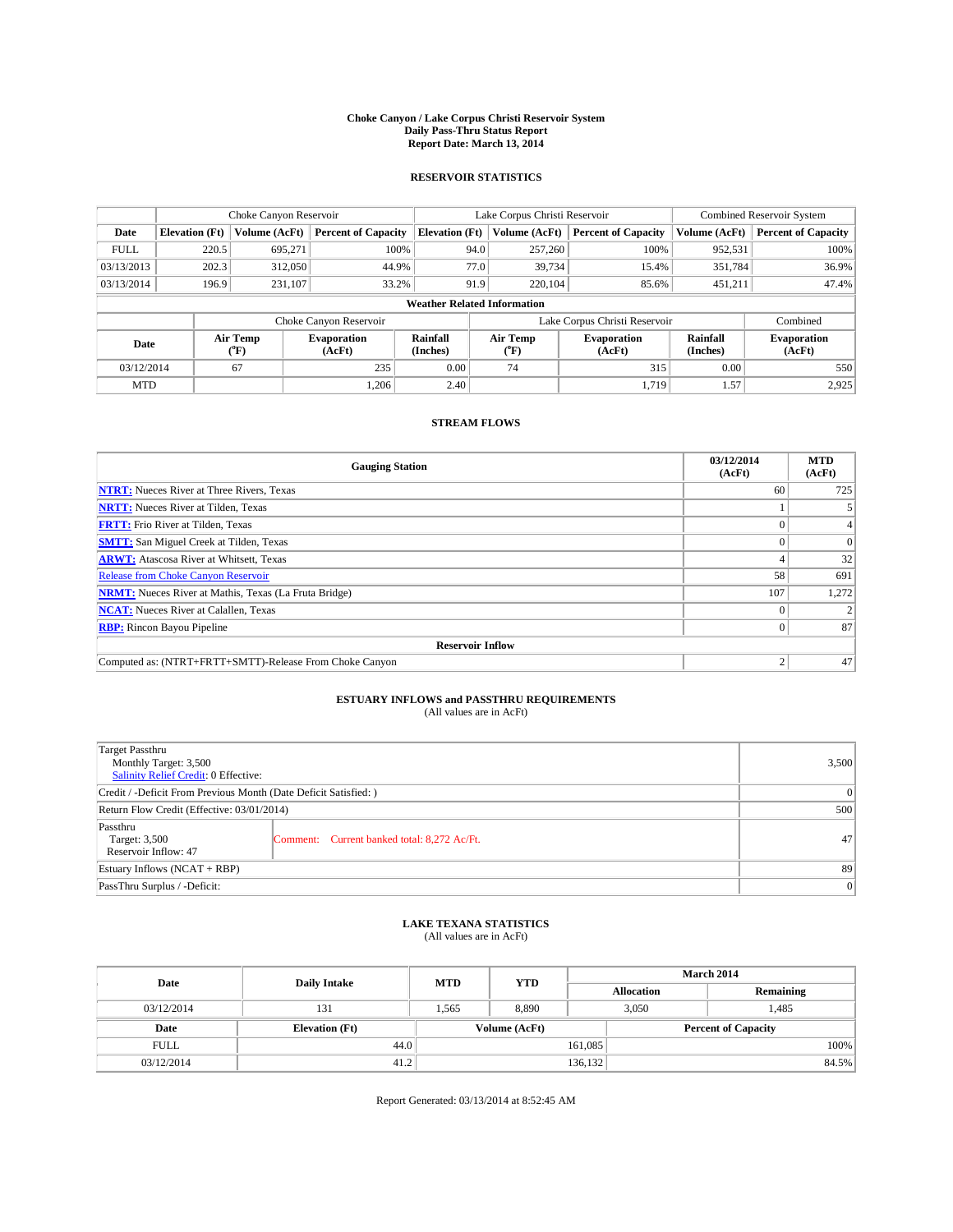#### **Choke Canyon / Lake Corpus Christi Reservoir System Daily Pass-Thru Status Report Report Date: March 13, 2014**

### **RESERVOIR STATISTICS**

|             |                       | Choke Canyon Reservoir |                              |                                    | Lake Corpus Christi Reservoir | <b>Combined Reservoir System</b> |                      |                              |
|-------------|-----------------------|------------------------|------------------------------|------------------------------------|-------------------------------|----------------------------------|----------------------|------------------------------|
| Date        | <b>Elevation</b> (Ft) | Volume (AcFt)          | <b>Percent of Capacity</b>   | <b>Elevation (Ft)</b>              | Volume (AcFt)                 | <b>Percent of Capacity</b>       | Volume (AcFt)        | <b>Percent of Capacity</b>   |
| <b>FULL</b> | 220.5                 | 695,271                | 100%                         | 94.0                               | 257,260                       | 100%                             | 952,531              | 100%                         |
| 03/13/2013  | 202.3                 | 312,050                | 44.9%                        | 77.0                               | 39,734                        | 15.4%                            | 351,784              | 36.9%                        |
| 03/13/2014  | 196.9                 | 231,107                | 33.2%                        | 91.9                               | 220,104                       | 85.6%                            | 451,211              | 47.4%                        |
|             |                       |                        |                              | <b>Weather Related Information</b> |                               |                                  |                      |                              |
|             |                       |                        | Choke Canyon Reservoir       |                                    |                               | Lake Corpus Christi Reservoir    |                      | Combined                     |
| Date        |                       | Air Temp<br>(°F)       | <b>Evaporation</b><br>(AcFt) | Rainfall<br>(Inches)               | Air Temp<br>("F)              | <b>Evaporation</b><br>(AcFt)     | Rainfall<br>(Inches) | <b>Evaporation</b><br>(AcFt) |
| 03/12/2014  |                       | 67                     | 235                          | 0.00                               | 74<br>315                     |                                  | 0.00                 | 550                          |
| <b>MTD</b>  |                       |                        | 1.206                        | 2.40                               | 1,719                         |                                  | 1.57                 | 2,925                        |

## **STREAM FLOWS**

| <b>Gauging Station</b>                                       | 03/12/2014<br>(AcFt) | <b>MTD</b><br>(AcFt) |  |  |  |
|--------------------------------------------------------------|----------------------|----------------------|--|--|--|
| <b>NTRT:</b> Nueces River at Three Rivers, Texas             | 60                   | 725                  |  |  |  |
| <b>NRTT:</b> Nueces River at Tilden, Texas                   |                      |                      |  |  |  |
| <b>FRTT:</b> Frio River at Tilden, Texas                     |                      |                      |  |  |  |
| <b>SMTT:</b> San Miguel Creek at Tilden, Texas               |                      | $\Omega$             |  |  |  |
| <b>ARWT:</b> Atascosa River at Whitsett, Texas               |                      | 32                   |  |  |  |
| <b>Release from Choke Canyon Reservoir</b>                   | 58                   | 691                  |  |  |  |
| <b>NRMT:</b> Nueces River at Mathis, Texas (La Fruta Bridge) | 107                  | 1,272                |  |  |  |
| <b>NCAT:</b> Nueces River at Calallen, Texas                 |                      |                      |  |  |  |
| <b>RBP:</b> Rincon Bayou Pipeline                            |                      | 87                   |  |  |  |
| <b>Reservoir Inflow</b>                                      |                      |                      |  |  |  |
| Computed as: (NTRT+FRTT+SMTT)-Release From Choke Canyon      | σ                    | 47                   |  |  |  |

# **ESTUARY INFLOWS and PASSTHRU REQUIREMENTS**<br>(All values are in AcFt)

| Target Passthru<br>Monthly Target: 3,500<br>Salinity Relief Credit: 0 Effective: |                                             | 3,500 |  |  |
|----------------------------------------------------------------------------------|---------------------------------------------|-------|--|--|
| Credit / -Deficit From Previous Month (Date Deficit Satisfied: )                 |                                             |       |  |  |
| Return Flow Credit (Effective: 03/01/2014)                                       |                                             |       |  |  |
| Passthru<br>Target: 3,500<br>Reservoir Inflow: 47                                | Comment: Current banked total: 8,272 Ac/Ft. | 47    |  |  |
| Estuary Inflows (NCAT + RBP)                                                     |                                             |       |  |  |
| PassThru Surplus / -Deficit:                                                     | 0                                           |       |  |  |

## **LAKE TEXANA STATISTICS** (All values are in AcFt)

| Date        | <b>Daily Intake</b>   | <b>MTD</b>    | <b>YTD</b> | <b>March 2014</b> |                            |           |  |
|-------------|-----------------------|---------------|------------|-------------------|----------------------------|-----------|--|
|             |                       |               |            |                   | <b>Allocation</b>          | Remaining |  |
| 03/12/2014  | 131                   | 1,565         | 8,890      |                   | 3,050<br>1,485             |           |  |
| Date        | <b>Elevation</b> (Ft) | Volume (AcFt) |            |                   | <b>Percent of Capacity</b> |           |  |
| <b>FULL</b> | 44.0                  |               |            | 161,085           |                            | 100%      |  |
| 03/12/2014  | 41.2                  |               |            | 136,132           |                            | 84.5%     |  |

Report Generated: 03/13/2014 at 8:52:45 AM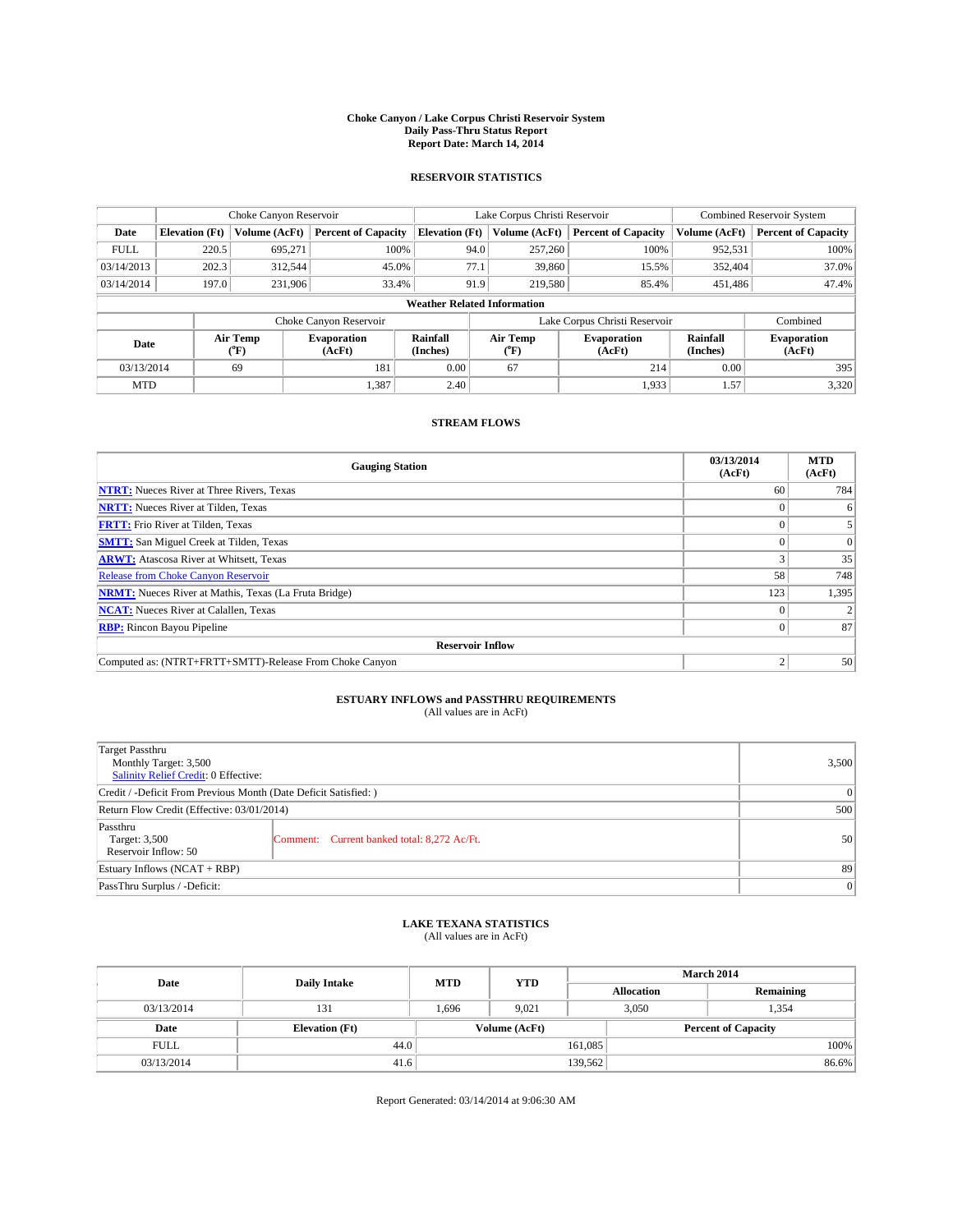#### **Choke Canyon / Lake Corpus Christi Reservoir System Daily Pass-Thru Status Report Report Date: March 14, 2014**

### **RESERVOIR STATISTICS**

|             |                       | Choke Canyon Reservoir |                              |                                    | Lake Corpus Christi Reservoir | <b>Combined Reservoir System</b> |                      |                              |
|-------------|-----------------------|------------------------|------------------------------|------------------------------------|-------------------------------|----------------------------------|----------------------|------------------------------|
| Date        | <b>Elevation</b> (Ft) | Volume (AcFt)          | <b>Percent of Capacity</b>   | <b>Elevation (Ft)</b>              | Volume (AcFt)                 | <b>Percent of Capacity</b>       | Volume (AcFt)        | <b>Percent of Capacity</b>   |
| <b>FULL</b> | 220.5                 | 695,271                | 100%                         | 94.0                               | 257,260                       | 100%                             | 952,531              | 100%                         |
| 03/14/2013  | 202.3                 | 312,544                | 45.0%                        | 77.1                               | 39,860                        | 15.5%                            | 352,404              | 37.0%                        |
| 03/14/2014  | 197.0                 | 231,906                | 33.4%                        | 91.9                               | 219,580                       | 85.4%                            | 451,486              | 47.4%                        |
|             |                       |                        |                              | <b>Weather Related Information</b> |                               |                                  |                      |                              |
|             |                       |                        | Choke Canyon Reservoir       |                                    |                               | Lake Corpus Christi Reservoir    |                      | Combined                     |
| Date        |                       | Air Temp<br>(°F)       | <b>Evaporation</b><br>(AcFt) | Rainfall<br>(Inches)               | Air Temp<br>(°F)              | <b>Evaporation</b><br>(AcFt)     | Rainfall<br>(Inches) | <b>Evaporation</b><br>(AcFt) |
| 03/13/2014  |                       | 69                     | 181                          | 0.00                               | 67<br>214                     |                                  | 0.00                 | 395                          |
| <b>MTD</b>  |                       |                        | 1,387                        | 2.40                               |                               | 1,933                            | 1.57                 | 3,320                        |

## **STREAM FLOWS**

| <b>Gauging Station</b>                                       | 03/13/2014<br>(AcFt) | <b>MTD</b><br>(AcFt) |  |  |  |
|--------------------------------------------------------------|----------------------|----------------------|--|--|--|
| <b>NTRT:</b> Nueces River at Three Rivers, Texas             | 60                   | 784                  |  |  |  |
| <b>NRTT:</b> Nueces River at Tilden, Texas                   |                      | 6                    |  |  |  |
| <b>FRTT:</b> Frio River at Tilden, Texas                     |                      |                      |  |  |  |
| <b>SMTT:</b> San Miguel Creek at Tilden, Texas               |                      | $\Omega$             |  |  |  |
| <b>ARWT:</b> Atascosa River at Whitsett, Texas               |                      | 35                   |  |  |  |
| <b>Release from Choke Canyon Reservoir</b>                   | 58                   | 748                  |  |  |  |
| <b>NRMT:</b> Nueces River at Mathis, Texas (La Fruta Bridge) | 123                  | 1,395                |  |  |  |
| <b>NCAT:</b> Nueces River at Calallen, Texas                 |                      |                      |  |  |  |
| <b>RBP:</b> Rincon Bayou Pipeline                            |                      | 87                   |  |  |  |
| <b>Reservoir Inflow</b>                                      |                      |                      |  |  |  |
| Computed as: (NTRT+FRTT+SMTT)-Release From Choke Canyon      |                      | 50 <sup>1</sup>      |  |  |  |

# **ESTUARY INFLOWS and PASSTHRU REQUIREMENTS**<br>(All values are in AcFt)

| Target Passthru<br>Monthly Target: 3,500<br>Salinity Relief Credit: 0 Effective: |                                             | 3,500 |  |  |
|----------------------------------------------------------------------------------|---------------------------------------------|-------|--|--|
| Credit / -Deficit From Previous Month (Date Deficit Satisfied: )                 |                                             |       |  |  |
| Return Flow Credit (Effective: 03/01/2014)                                       |                                             |       |  |  |
| Passthru<br>Target: 3,500<br>Reservoir Inflow: 50                                | Comment: Current banked total: 8,272 Ac/Ft. | 50    |  |  |
| Estuary Inflows (NCAT + RBP)                                                     | 89                                          |       |  |  |
| PassThru Surplus / -Deficit:                                                     | 0                                           |       |  |  |

## **LAKE TEXANA STATISTICS** (All values are in AcFt)

| Date        |                       | <b>MTD</b> | <b>YTD</b>    | March 2014        |                            |           |  |
|-------------|-----------------------|------------|---------------|-------------------|----------------------------|-----------|--|
|             | <b>Daily Intake</b>   |            |               | <b>Allocation</b> |                            | Remaining |  |
| 03/13/2014  | 131                   | 1.696      | 9.021         |                   | 3,050<br>1,354             |           |  |
| Date        | <b>Elevation</b> (Ft) |            | Volume (AcFt) |                   | <b>Percent of Capacity</b> |           |  |
| <b>FULL</b> | 44.0                  |            |               | 161,085           |                            | 100%      |  |
| 03/13/2014  | 41.6                  |            |               | 139,562           |                            | 86.6%     |  |

Report Generated: 03/14/2014 at 9:06:30 AM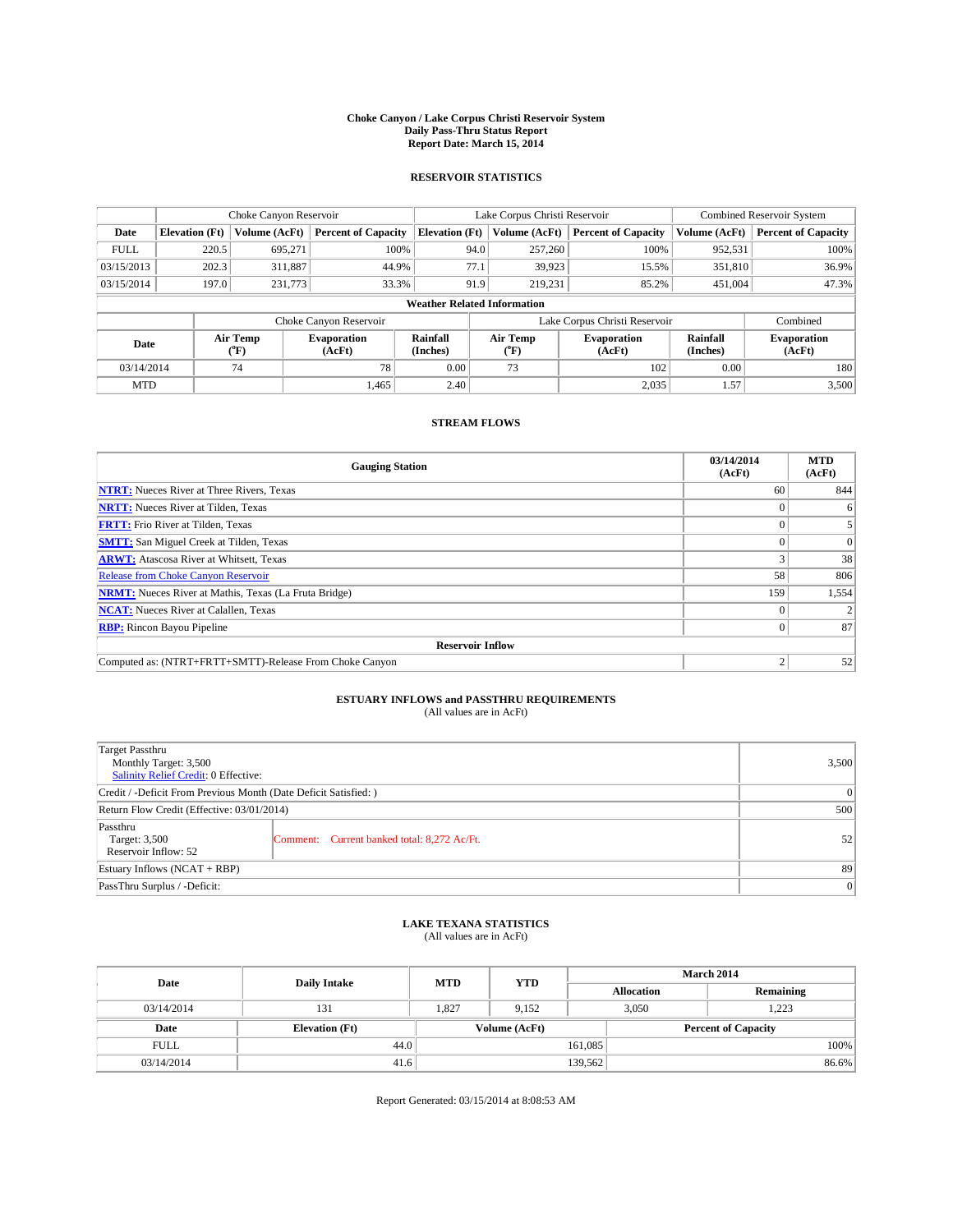#### **Choke Canyon / Lake Corpus Christi Reservoir System Daily Pass-Thru Status Report Report Date: March 15, 2014**

### **RESERVOIR STATISTICS**

|             | Choke Canyon Reservoir |               |                              |                                    | Lake Corpus Christi Reservoir |                  |                               |                      | <b>Combined Reservoir System</b> |  |  |
|-------------|------------------------|---------------|------------------------------|------------------------------------|-------------------------------|------------------|-------------------------------|----------------------|----------------------------------|--|--|
| Date        | <b>Elevation</b> (Ft)  | Volume (AcFt) | <b>Percent of Capacity</b>   | <b>Elevation (Ft)</b>              |                               | Volume (AcFt)    | <b>Percent of Capacity</b>    | Volume (AcFt)        | <b>Percent of Capacity</b>       |  |  |
| <b>FULL</b> | 220.5                  | 695,271       | 100%                         |                                    | 94.0                          | 257,260          | 100%                          | 952,531              | 100%                             |  |  |
| 03/15/2013  | 202.3                  | 311,887       | 44.9%                        |                                    | 77.1                          | 39,923           | 15.5%                         | 351,810              | 36.9%                            |  |  |
| 03/15/2014  | 197.0                  | 231,773       | 33.3%                        |                                    | 91.9                          | 219.231          | 85.2%                         | 451,004              | 47.3%                            |  |  |
|             |                        |               |                              | <b>Weather Related Information</b> |                               |                  |                               |                      |                                  |  |  |
|             |                        |               | Choke Canyon Reservoir       |                                    |                               |                  | Lake Corpus Christi Reservoir |                      | Combined                         |  |  |
| Date        | Air Temp<br>(°F)       |               | <b>Evaporation</b><br>(AcFt) | Rainfall<br>(Inches)               |                               | Air Temp<br>(°F) | <b>Evaporation</b><br>(AcFt)  | Rainfall<br>(Inches) | <b>Evaporation</b><br>(AcFt)     |  |  |
| 03/14/2014  |                        | 74            | 78                           | 0.00                               |                               | 73               | 102                           |                      | 180                              |  |  |
| <b>MTD</b>  |                        |               | 1.465                        | 2.40                               |                               |                  | 2,035                         | 1.57                 | 3,500                            |  |  |

### **STREAM FLOWS**

| <b>Gauging Station</b>                                       | 03/14/2014<br>(AcFt) | <b>MTD</b><br>(AcFt) |  |  |  |
|--------------------------------------------------------------|----------------------|----------------------|--|--|--|
| <b>NTRT:</b> Nueces River at Three Rivers, Texas             | 60                   | 844                  |  |  |  |
| <b>NRTT:</b> Nueces River at Tilden, Texas                   |                      | 6                    |  |  |  |
| <b>FRTT:</b> Frio River at Tilden, Texas                     |                      |                      |  |  |  |
| <b>SMTT:</b> San Miguel Creek at Tilden, Texas               |                      | $\Omega$             |  |  |  |
| <b>ARWT:</b> Atascosa River at Whitsett, Texas               |                      | 38                   |  |  |  |
| <b>Release from Choke Canyon Reservoir</b>                   | 58                   | 806                  |  |  |  |
| <b>NRMT:</b> Nueces River at Mathis, Texas (La Fruta Bridge) | 159                  | 1,554                |  |  |  |
| <b>NCAT:</b> Nueces River at Calallen, Texas                 |                      |                      |  |  |  |
| <b>RBP:</b> Rincon Bayou Pipeline                            | 0                    | 87                   |  |  |  |
| <b>Reservoir Inflow</b>                                      |                      |                      |  |  |  |
| Computed as: (NTRT+FRTT+SMTT)-Release From Choke Canyon      | h                    | 52                   |  |  |  |

# **ESTUARY INFLOWS and PASSTHRU REQUIREMENTS**<br>(All values are in AcFt)

| Target Passthru<br>Monthly Target: 3,500<br>Salinity Relief Credit: 0 Effective: |                                             | 3,500 |  |  |
|----------------------------------------------------------------------------------|---------------------------------------------|-------|--|--|
| Credit / -Deficit From Previous Month (Date Deficit Satisfied: )                 |                                             |       |  |  |
| Return Flow Credit (Effective: 03/01/2014)                                       |                                             |       |  |  |
| Passthru<br>Target: 3,500<br>Reservoir Inflow: 52                                | Comment: Current banked total: 8,272 Ac/Ft. | 52    |  |  |
| Estuary Inflows (NCAT + RBP)                                                     |                                             |       |  |  |
| PassThru Surplus / -Deficit:                                                     | 0                                           |       |  |  |

## **LAKE TEXANA STATISTICS** (All values are in AcFt)

| Date        | <b>Daily Intake</b>   | <b>MTD</b> | <b>YTD</b>    | <b>March 2014</b> |                            |           |  |
|-------------|-----------------------|------------|---------------|-------------------|----------------------------|-----------|--|
|             |                       |            |               | <b>Allocation</b> |                            | Remaining |  |
| 03/14/2014  | 131                   | 1,827      | 9,152         | 3,050             |                            | 1,223     |  |
| Date        | <b>Elevation</b> (Ft) |            | Volume (AcFt) |                   | <b>Percent of Capacity</b> |           |  |
| <b>FULL</b> | 44.0                  |            |               | 161,085           |                            | 100%      |  |
| 03/14/2014  | 41.6                  |            |               | 139,562           |                            | 86.6%     |  |

Report Generated: 03/15/2014 at 8:08:53 AM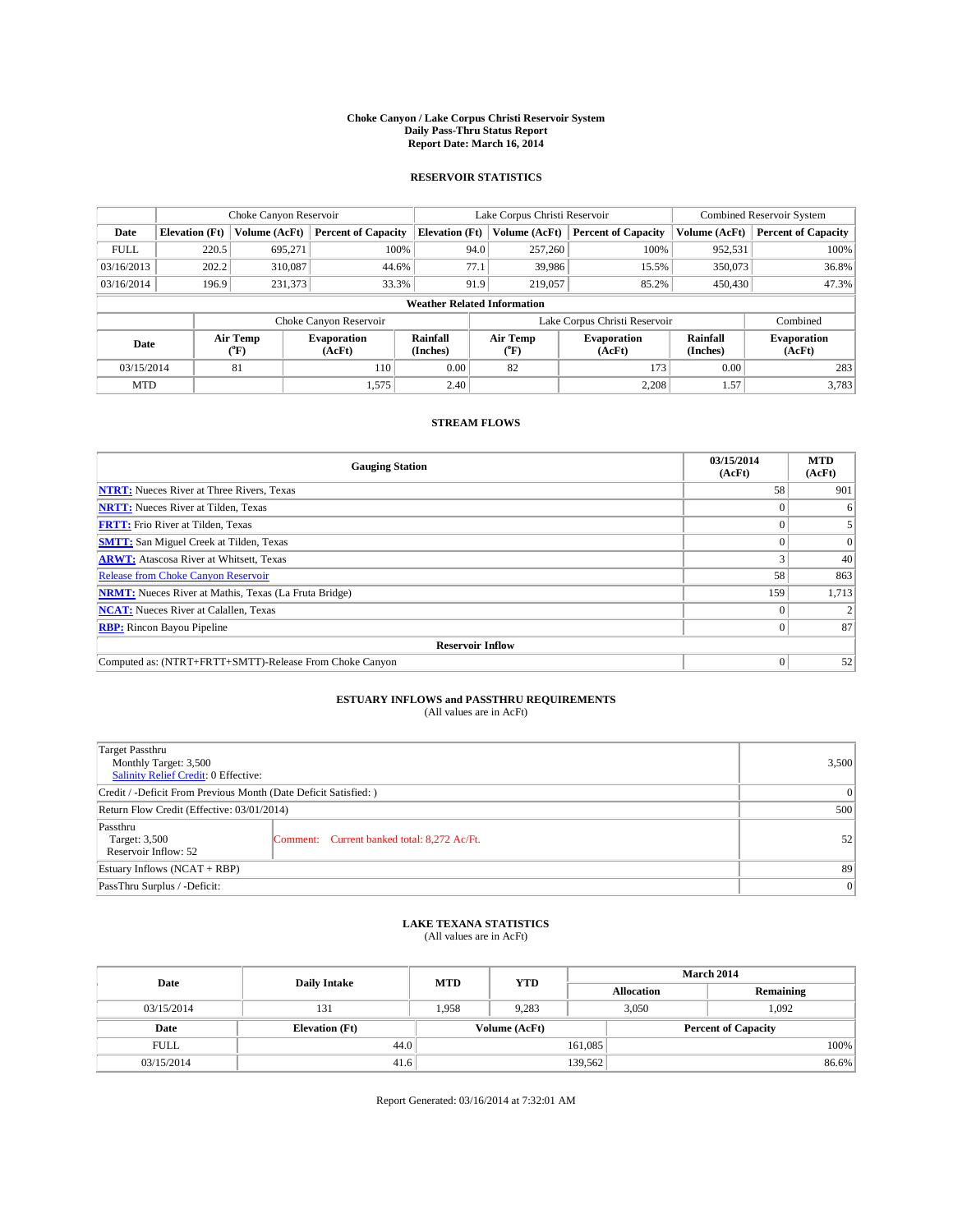#### **Choke Canyon / Lake Corpus Christi Reservoir System Daily Pass-Thru Status Report Report Date: March 16, 2014**

### **RESERVOIR STATISTICS**

|                                    |                       | Choke Canyon Reservoir |                              |                       | Lake Corpus Christi Reservoir | <b>Combined Reservoir System</b> |                      |                              |
|------------------------------------|-----------------------|------------------------|------------------------------|-----------------------|-------------------------------|----------------------------------|----------------------|------------------------------|
| Date                               | <b>Elevation</b> (Ft) | Volume (AcFt)          | <b>Percent of Capacity</b>   | <b>Elevation (Ft)</b> | Volume (AcFt)                 | <b>Percent of Capacity</b>       | Volume (AcFt)        | <b>Percent of Capacity</b>   |
| <b>FULL</b>                        | 220.5                 | 695.271                | 100%                         | 94.0                  | 257,260                       | 100%                             | 952,531              | 100%                         |
| 03/16/2013                         | 202.2                 | 310,087                | 44.6%                        | 77.1                  | 39,986                        | 15.5%                            | 350,073              | 36.8%                        |
| 03/16/2014                         | 196.9                 | 231,373                | 33.3%                        | 91.9                  | 219,057                       | 85.2%                            | 450,430              | 47.3%                        |
| <b>Weather Related Information</b> |                       |                        |                              |                       |                               |                                  |                      |                              |
|                                    |                       |                        | Choke Canyon Reservoir       |                       |                               | Lake Corpus Christi Reservoir    |                      | Combined                     |
| Date                               |                       | Air Temp<br>(°F)       | <b>Evaporation</b><br>(AcFt) | Rainfall<br>(Inches)  | Air Temp<br>$(^{0}F)$         | Evaporation<br>(AcFt)            | Rainfall<br>(Inches) | <b>Evaporation</b><br>(AcFt) |
| 03/15/2014                         | 81<br>110             |                        | 0.00                         | 82                    | 173                           | 0.00                             | 283                  |                              |
| <b>MTD</b>                         |                       |                        | 1,575                        | 2.40                  |                               | 2,208                            | 1.57                 | 3,783                        |

### **STREAM FLOWS**

| <b>Gauging Station</b>                                       | 03/15/2014<br>(AcFt) | <b>MTD</b><br>(AcFt) |  |  |  |  |
|--------------------------------------------------------------|----------------------|----------------------|--|--|--|--|
| <b>NTRT:</b> Nueces River at Three Rivers, Texas             | 58                   | 901                  |  |  |  |  |
| <b>NRTT:</b> Nueces River at Tilden, Texas                   |                      | 6                    |  |  |  |  |
| <b>FRTT:</b> Frio River at Tilden, Texas                     |                      |                      |  |  |  |  |
| <b>SMTT:</b> San Miguel Creek at Tilden, Texas               |                      | $\Omega$             |  |  |  |  |
| <b>ARWT:</b> Atascosa River at Whitsett, Texas               |                      | 40                   |  |  |  |  |
| <b>Release from Choke Canyon Reservoir</b>                   | 58                   | 863                  |  |  |  |  |
| <b>NRMT:</b> Nueces River at Mathis, Texas (La Fruta Bridge) | 159                  | 1,713                |  |  |  |  |
| <b>NCAT:</b> Nueces River at Calallen, Texas                 |                      |                      |  |  |  |  |
| <b>RBP:</b> Rincon Bayou Pipeline                            | 0                    | 87                   |  |  |  |  |
| <b>Reservoir Inflow</b>                                      |                      |                      |  |  |  |  |
| Computed as: (NTRT+FRTT+SMTT)-Release From Choke Canyon      | $\Omega$             | 52                   |  |  |  |  |

# **ESTUARY INFLOWS and PASSTHRU REQUIREMENTS**<br>(All values are in AcFt)

| Target Passthru<br>Monthly Target: 3,500<br>Salinity Relief Credit: 0 Effective: |                                             |    |  |  |
|----------------------------------------------------------------------------------|---------------------------------------------|----|--|--|
| Credit / -Deficit From Previous Month (Date Deficit Satisfied: )                 |                                             |    |  |  |
| Return Flow Credit (Effective: 03/01/2014)                                       |                                             |    |  |  |
| Passthru<br>Target: 3,500<br>Reservoir Inflow: 52                                | Comment: Current banked total: 8,272 Ac/Ft. | 52 |  |  |
| Estuary Inflows (NCAT + RBP)                                                     |                                             |    |  |  |
| PassThru Surplus / -Deficit:                                                     | 0                                           |    |  |  |

## **LAKE TEXANA STATISTICS** (All values are in AcFt)

| Date        |                       | <b>MTD</b> | <b>YTD</b>    | March 2014 |                            |           |  |
|-------------|-----------------------|------------|---------------|------------|----------------------------|-----------|--|
|             | <b>Daily Intake</b>   |            |               |            | <b>Allocation</b>          | Remaining |  |
| 03/15/2014  | 131                   | 1.958      | 9.283         |            | 3,050<br>1.092             |           |  |
| Date        | <b>Elevation</b> (Ft) |            | Volume (AcFt) |            | <b>Percent of Capacity</b> |           |  |
| <b>FULL</b> | 44.0                  |            |               | 161,085    |                            | 100%      |  |
| 03/15/2014  | 41.6                  |            |               | 139,562    |                            | 86.6%     |  |

Report Generated: 03/16/2014 at 7:32:01 AM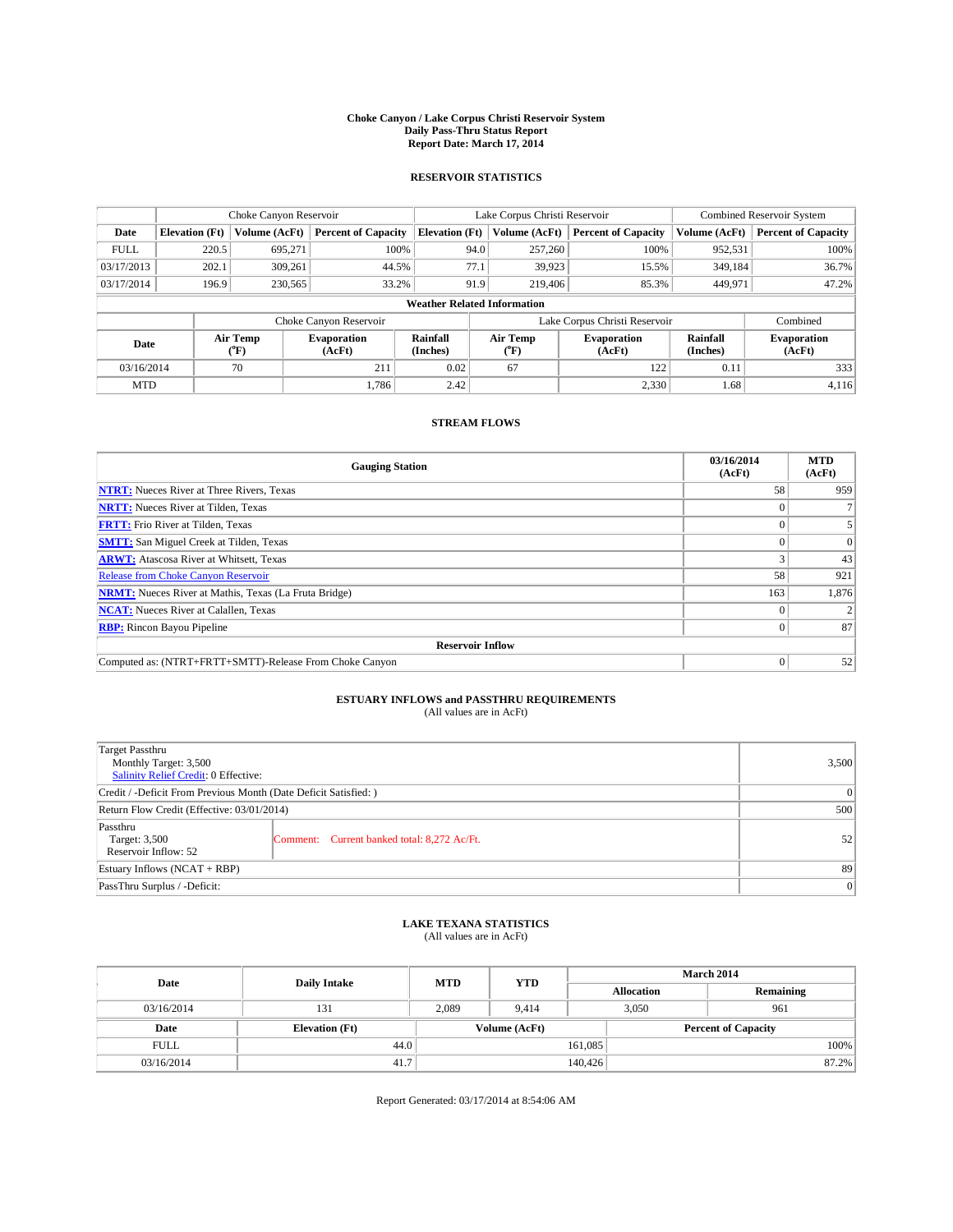#### **Choke Canyon / Lake Corpus Christi Reservoir System Daily Pass-Thru Status Report Report Date: March 17, 2014**

### **RESERVOIR STATISTICS**

|             |                                    | Choke Canyon Reservoir  |                              |                       | Lake Corpus Christi Reservoir | Combined Reservoir System     |                      |                              |  |
|-------------|------------------------------------|-------------------------|------------------------------|-----------------------|-------------------------------|-------------------------------|----------------------|------------------------------|--|
| Date        | <b>Elevation</b> (Ft)              | Volume (AcFt)           | <b>Percent of Capacity</b>   | <b>Elevation (Ft)</b> | Volume (AcFt)                 | <b>Percent of Capacity</b>    | Volume (AcFt)        | <b>Percent of Capacity</b>   |  |
| <b>FULL</b> | 220.5                              | 695.271                 | 100%                         | 94.0                  | 257,260                       | 100%                          | 952,531              | 100%                         |  |
| 03/17/2013  | 202.1                              | 309,261                 | 44.5%                        | 77.1                  | 39,923                        | 15.5%                         | 349,184              | 36.7%                        |  |
| 03/17/2014  | 196.9                              | 230,565                 | 33.2%                        | 91.9                  | 219,406                       | 85.3%                         | 449,971              | 47.2%                        |  |
|             | <b>Weather Related Information</b> |                         |                              |                       |                               |                               |                      |                              |  |
|             |                                    |                         | Choke Canyon Reservoir       |                       |                               | Lake Corpus Christi Reservoir |                      | Combined                     |  |
| Date        |                                    | Air Temp<br>(°F)        | <b>Evaporation</b><br>(AcFt) | Rainfall<br>(Inches)  | Air Temp<br>(°F)              | <b>Evaporation</b><br>(AcFt)  | Rainfall<br>(Inches) | <b>Evaporation</b><br>(AcFt) |  |
| 03/16/2014  |                                    | 211<br>0.02<br>67<br>70 |                              | 122                   | 0.11                          | 333                           |                      |                              |  |
| <b>MTD</b>  |                                    |                         | 1.786                        | 2.42                  |                               | 2,330                         | 1.68                 | 4,116                        |  |

### **STREAM FLOWS**

| <b>Gauging Station</b>                                       | 03/16/2014<br>(AcFt) | <b>MTD</b><br>(AcFt) |  |  |  |  |
|--------------------------------------------------------------|----------------------|----------------------|--|--|--|--|
| <b>NTRT:</b> Nueces River at Three Rivers, Texas             | 58                   | 959                  |  |  |  |  |
| <b>NRTT:</b> Nueces River at Tilden, Texas                   |                      |                      |  |  |  |  |
| <b>FRTT:</b> Frio River at Tilden, Texas                     |                      |                      |  |  |  |  |
| <b>SMTT:</b> San Miguel Creek at Tilden, Texas               |                      | $\Omega$             |  |  |  |  |
| <b>ARWT:</b> Atascosa River at Whitsett, Texas               |                      | 43                   |  |  |  |  |
| <b>Release from Choke Canyon Reservoir</b>                   | 58                   | 921                  |  |  |  |  |
| <b>NRMT:</b> Nueces River at Mathis, Texas (La Fruta Bridge) | 163                  | 1,876                |  |  |  |  |
| <b>NCAT:</b> Nueces River at Calallen, Texas                 |                      |                      |  |  |  |  |
| <b>RBP:</b> Rincon Bayou Pipeline                            | 0                    | 87                   |  |  |  |  |
| <b>Reservoir Inflow</b>                                      |                      |                      |  |  |  |  |
| Computed as: (NTRT+FRTT+SMTT)-Release From Choke Canyon      |                      | 52                   |  |  |  |  |

# **ESTUARY INFLOWS and PASSTHRU REQUIREMENTS**<br>(All values are in AcFt)

| <b>Target Passthru</b><br>Monthly Target: 3,500<br>Salinity Relief Credit: 0 Effective: |                                             | 3,500 |  |  |
|-----------------------------------------------------------------------------------------|---------------------------------------------|-------|--|--|
| Credit / -Deficit From Previous Month (Date Deficit Satisfied: )                        |                                             |       |  |  |
| Return Flow Credit (Effective: 03/01/2014)                                              | 500                                         |       |  |  |
| Passthru<br>Target: 3,500<br>Reservoir Inflow: 52                                       | Comment: Current banked total: 8,272 Ac/Ft. | 52    |  |  |
| Estuary Inflows (NCAT + RBP)                                                            |                                             |       |  |  |
| PassThru Surplus / -Deficit:                                                            | 0                                           |       |  |  |

## **LAKE TEXANA STATISTICS** (All values are in AcFt)

| Date        |                       | <b>MTD</b> | <b>YTD</b>    | <b>March 2014</b> |                            |           |  |
|-------------|-----------------------|------------|---------------|-------------------|----------------------------|-----------|--|
|             | <b>Daily Intake</b>   |            |               | <b>Allocation</b> |                            | Remaining |  |
| 03/16/2014  | 131                   | 2,089      | 9.414         |                   | 3,050                      | 961       |  |
| Date        | <b>Elevation</b> (Ft) |            | Volume (AcFt) |                   | <b>Percent of Capacity</b> |           |  |
| <b>FULL</b> | 44.0                  |            |               | 161,085           |                            | 100%      |  |
| 03/16/2014  | 41.7                  |            |               | 140,426           |                            | 87.2%     |  |

Report Generated: 03/17/2014 at 8:54:06 AM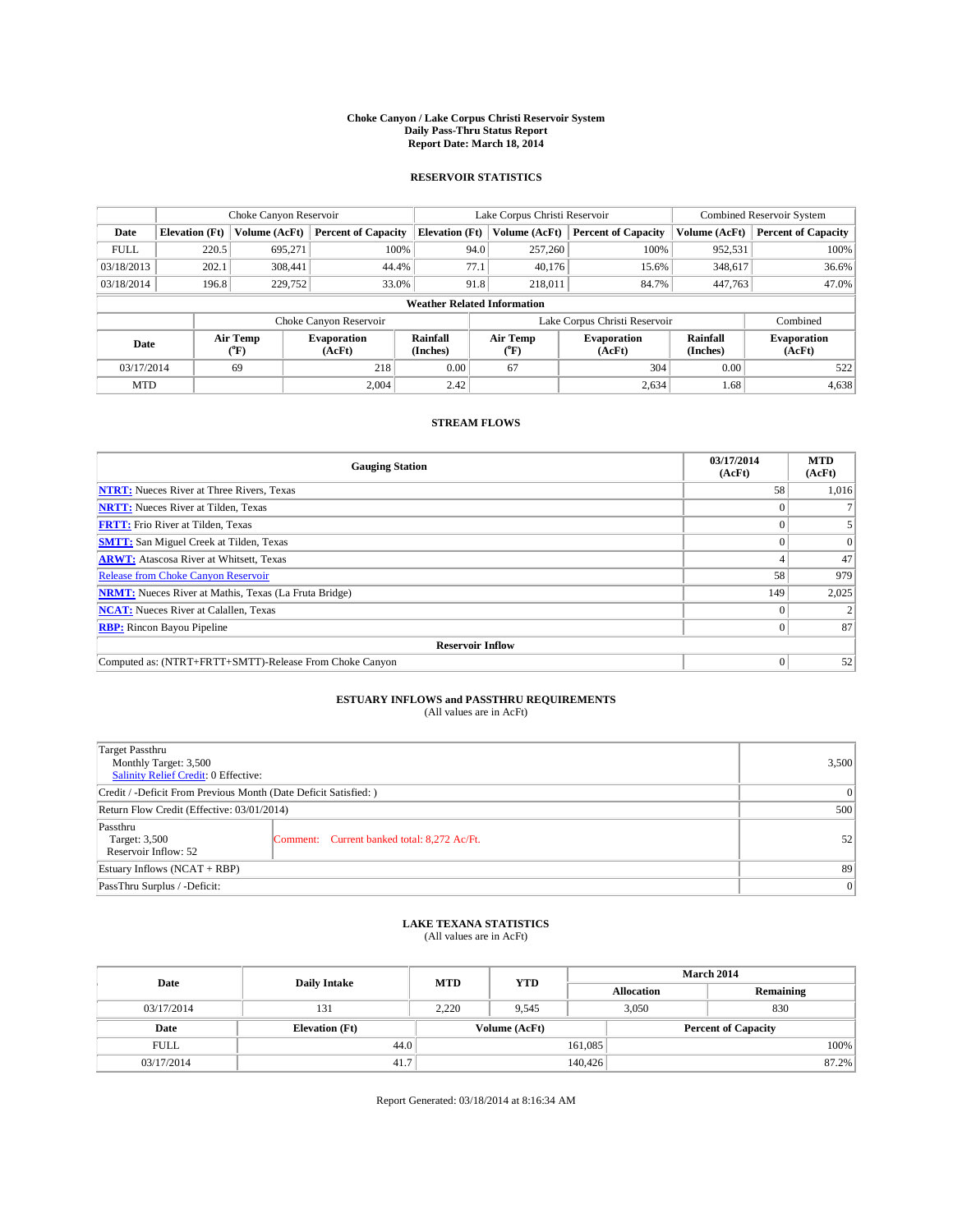#### **Choke Canyon / Lake Corpus Christi Reservoir System Daily Pass-Thru Status Report Report Date: March 18, 2014**

### **RESERVOIR STATISTICS**

|                                    |                       | Choke Canyon Reservoir |                              |                       | Lake Corpus Christi Reservoir | <b>Combined Reservoir System</b> |                      |                              |
|------------------------------------|-----------------------|------------------------|------------------------------|-----------------------|-------------------------------|----------------------------------|----------------------|------------------------------|
| Date                               | <b>Elevation</b> (Ft) | Volume (AcFt)          | <b>Percent of Capacity</b>   | <b>Elevation (Ft)</b> | Volume (AcFt)                 | <b>Percent of Capacity</b>       | Volume (AcFt)        | <b>Percent of Capacity</b>   |
| <b>FULL</b>                        | 220.5                 | 695.271                | 100%                         | 94.0                  | 257,260                       | 100%                             | 952,531              | 100%                         |
| 03/18/2013                         | 202.1                 | 308,441                | 44.4%                        | 77.1                  | 40,176                        | 15.6%                            | 348,617              | 36.6%                        |
| 03/18/2014                         | 196.8                 | 229,752                | 33.0%                        | 91.8                  | 218,011                       | 84.7%                            | 447,763              | 47.0%                        |
| <b>Weather Related Information</b> |                       |                        |                              |                       |                               |                                  |                      |                              |
|                                    |                       |                        | Choke Canyon Reservoir       |                       |                               | Lake Corpus Christi Reservoir    |                      | Combined                     |
| Date                               |                       | Air Temp<br>(°F)       | <b>Evaporation</b><br>(AcFt) | Rainfall<br>(Inches)  | Air Temp<br>$(^{0}F)$         | Evaporation<br>(AcFt)            | Rainfall<br>(Inches) | <b>Evaporation</b><br>(AcFt) |
| 03/17/2014                         |                       | 69                     | 0.00<br>67<br>218            |                       | 304                           | 0.00                             | 522                  |                              |
| <b>MTD</b>                         |                       |                        | 2.004                        | 2.42                  |                               | 2,634                            | 1.68                 | 4,638                        |

### **STREAM FLOWS**

| <b>Gauging Station</b>                                       | 03/17/2014<br>(AcFt) | <b>MTD</b><br>(AcFt) |  |  |  |  |
|--------------------------------------------------------------|----------------------|----------------------|--|--|--|--|
| <b>NTRT:</b> Nueces River at Three Rivers, Texas             | 58                   | 1,016                |  |  |  |  |
| <b>NRTT:</b> Nueces River at Tilden, Texas                   |                      |                      |  |  |  |  |
| <b>FRTT:</b> Frio River at Tilden, Texas                     |                      |                      |  |  |  |  |
| <b>SMTT:</b> San Miguel Creek at Tilden, Texas               |                      | $\Omega$             |  |  |  |  |
| <b>ARWT:</b> Atascosa River at Whitsett, Texas               |                      | 47                   |  |  |  |  |
| <b>Release from Choke Canyon Reservoir</b>                   | 58                   | 979                  |  |  |  |  |
| <b>NRMT:</b> Nueces River at Mathis, Texas (La Fruta Bridge) | 149                  | 2,025                |  |  |  |  |
| <b>NCAT:</b> Nueces River at Calallen, Texas                 |                      |                      |  |  |  |  |
| <b>RBP:</b> Rincon Bayou Pipeline                            | 0                    | 87                   |  |  |  |  |
| <b>Reservoir Inflow</b>                                      |                      |                      |  |  |  |  |
| Computed as: (NTRT+FRTT+SMTT)-Release From Choke Canyon      |                      | 52                   |  |  |  |  |

# **ESTUARY INFLOWS and PASSTHRU REQUIREMENTS**<br>(All values are in AcFt)

| Target Passthru<br>Monthly Target: 3,500<br>Salinity Relief Credit: 0 Effective: |                                             |    |  |  |
|----------------------------------------------------------------------------------|---------------------------------------------|----|--|--|
| Credit / -Deficit From Previous Month (Date Deficit Satisfied: )                 |                                             |    |  |  |
| Return Flow Credit (Effective: 03/01/2014)                                       |                                             |    |  |  |
| Passthru<br>Target: 3,500<br>Reservoir Inflow: 52                                | Comment: Current banked total: 8,272 Ac/Ft. | 52 |  |  |
| Estuary Inflows (NCAT + RBP)                                                     |                                             |    |  |  |
| PassThru Surplus / -Deficit:                                                     | 0                                           |    |  |  |

## **LAKE TEXANA STATISTICS** (All values are in AcFt)

| Date        | <b>Daily Intake</b>   | <b>MTD</b>    | <b>YTD</b> | <b>March 2014</b> |                            |           |  |
|-------------|-----------------------|---------------|------------|-------------------|----------------------------|-----------|--|
|             |                       |               |            |                   | <b>Allocation</b>          | Remaining |  |
| 03/17/2014  | 131                   | 2,220         | 9,545      |                   | 830<br>3,050               |           |  |
| Date        | <b>Elevation</b> (Ft) | Volume (AcFt) |            |                   | <b>Percent of Capacity</b> |           |  |
| <b>FULL</b> | 44.0                  |               |            | 161,085           |                            | 100%      |  |
| 03/17/2014  | 41.7                  |               |            | 140,426           |                            | 87.2%     |  |

Report Generated: 03/18/2014 at 8:16:34 AM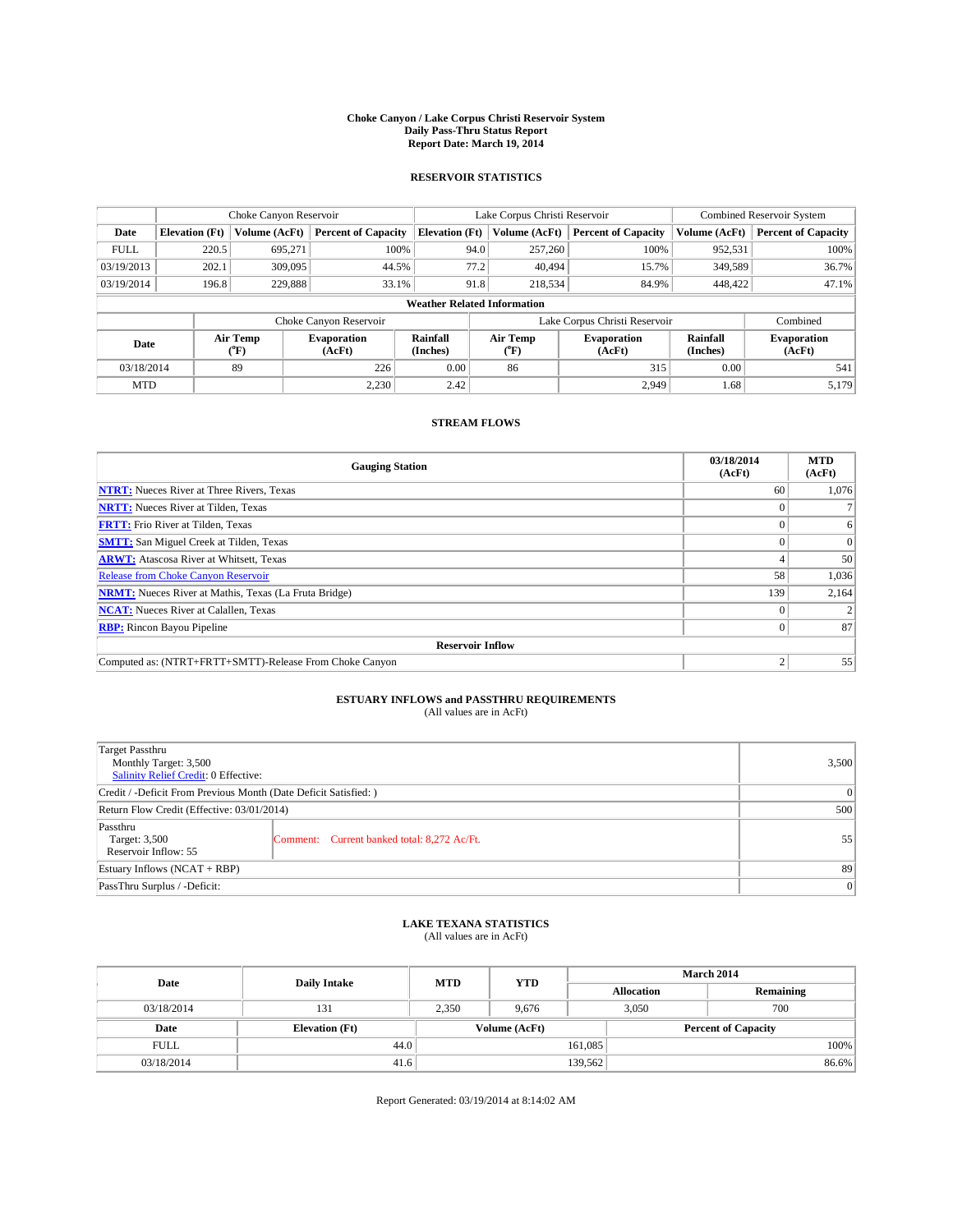#### **Choke Canyon / Lake Corpus Christi Reservoir System Daily Pass-Thru Status Report Report Date: March 19, 2014**

### **RESERVOIR STATISTICS**

|             | Choke Canyon Reservoir             |                  |                              |                       | Lake Corpus Christi Reservoir |         | <b>Combined Reservoir System</b> |                      |                              |
|-------------|------------------------------------|------------------|------------------------------|-----------------------|-------------------------------|---------|----------------------------------|----------------------|------------------------------|
| Date        | <b>Elevation</b> (Ft)              | Volume (AcFt)    | <b>Percent of Capacity</b>   | <b>Elevation (Ft)</b> | Volume (AcFt)                 |         | <b>Percent of Capacity</b>       | Volume (AcFt)        | <b>Percent of Capacity</b>   |
| <b>FULL</b> | 220.5                              | 695,271          | 100%                         |                       | 94.0                          | 257,260 | 100%                             | 952,531              | 100%                         |
| 03/19/2013  | 202.1                              | 309,095          | 44.5%                        |                       | 77.2                          | 40,494  | 15.7%                            | 349,589              | 36.7%                        |
| 03/19/2014  | 196.8                              | 229,888          | 33.1%                        |                       | 91.8                          | 218,534 | 84.9%                            | 448,422              | 47.1%                        |
|             | <b>Weather Related Information</b> |                  |                              |                       |                               |         |                                  |                      |                              |
|             |                                    |                  | Choke Canyon Reservoir       |                       |                               |         | Lake Corpus Christi Reservoir    |                      | Combined                     |
| Date        |                                    | Air Temp<br>(°F) | <b>Evaporation</b><br>(AcFt) | Rainfall<br>(Inches)  | Air Temp<br>("F)              |         | <b>Evaporation</b><br>(AcFt)     | Rainfall<br>(Inches) | <b>Evaporation</b><br>(AcFt) |
| 03/18/2014  |                                    | 89               | 226                          | 0.00                  | 86                            | 315     |                                  | 0.00                 | 541                          |
| <b>MTD</b>  |                                    |                  | 2.230                        | 2.42                  |                               |         | 2.949                            | 1.68                 | 5,179                        |

### **STREAM FLOWS**

| <b>Gauging Station</b>                                       | 03/18/2014<br>(AcFt) | <b>MTD</b><br>(AcFt) |  |  |  |  |
|--------------------------------------------------------------|----------------------|----------------------|--|--|--|--|
| <b>NTRT:</b> Nueces River at Three Rivers, Texas             | 60                   | 1,076                |  |  |  |  |
| <b>NRTT:</b> Nueces River at Tilden, Texas                   |                      |                      |  |  |  |  |
| <b>FRTT:</b> Frio River at Tilden, Texas                     |                      | 6                    |  |  |  |  |
| <b>SMTT:</b> San Miguel Creek at Tilden, Texas               |                      | $\Omega$             |  |  |  |  |
| <b>ARWT:</b> Atascosa River at Whitsett, Texas               |                      | 50                   |  |  |  |  |
| <b>Release from Choke Canyon Reservoir</b>                   | 58                   | 1,036                |  |  |  |  |
| <b>NRMT:</b> Nueces River at Mathis, Texas (La Fruta Bridge) | 139                  | 2,164                |  |  |  |  |
| <b>NCAT:</b> Nueces River at Calallen, Texas                 |                      |                      |  |  |  |  |
| <b>RBP:</b> Rincon Bayou Pipeline                            | 0                    | 87                   |  |  |  |  |
| <b>Reservoir Inflow</b>                                      |                      |                      |  |  |  |  |
| Computed as: (NTRT+FRTT+SMTT)-Release From Choke Canyon      | h                    | 55                   |  |  |  |  |

# **ESTUARY INFLOWS and PASSTHRU REQUIREMENTS**<br>(All values are in AcFt)

| Target Passthru<br>Monthly Target: 3,500<br>Salinity Relief Credit: 0 Effective: |                                             | 3,500 |  |  |
|----------------------------------------------------------------------------------|---------------------------------------------|-------|--|--|
| Credit / -Deficit From Previous Month (Date Deficit Satisfied: )                 |                                             |       |  |  |
| Return Flow Credit (Effective: 03/01/2014)                                       |                                             |       |  |  |
| Passthru<br>Target: 3,500<br>Reservoir Inflow: 55                                | Comment: Current banked total: 8,272 Ac/Ft. | 55    |  |  |
| Estuary Inflows (NCAT + RBP)                                                     |                                             |       |  |  |
| PassThru Surplus / -Deficit:                                                     |                                             |       |  |  |

## **LAKE TEXANA STATISTICS** (All values are in AcFt)

| Date        | <b>Daily Intake</b>   | <b>MTD</b> | <b>YTD</b>    | <b>March 2014</b> |                            |           |  |
|-------------|-----------------------|------------|---------------|-------------------|----------------------------|-----------|--|
|             |                       |            |               |                   | <b>Allocation</b>          | Remaining |  |
| 03/18/2014  | 131                   | 2,350      | 9,676         |                   | 700<br>3,050               |           |  |
| Date        | <b>Elevation</b> (Ft) |            | Volume (AcFt) |                   | <b>Percent of Capacity</b> |           |  |
| <b>FULL</b> | 44.0                  |            |               | 161,085           |                            | 100%      |  |
| 03/18/2014  | 41.6                  |            |               | 139,562           |                            | 86.6%     |  |

Report Generated: 03/19/2014 at 8:14:02 AM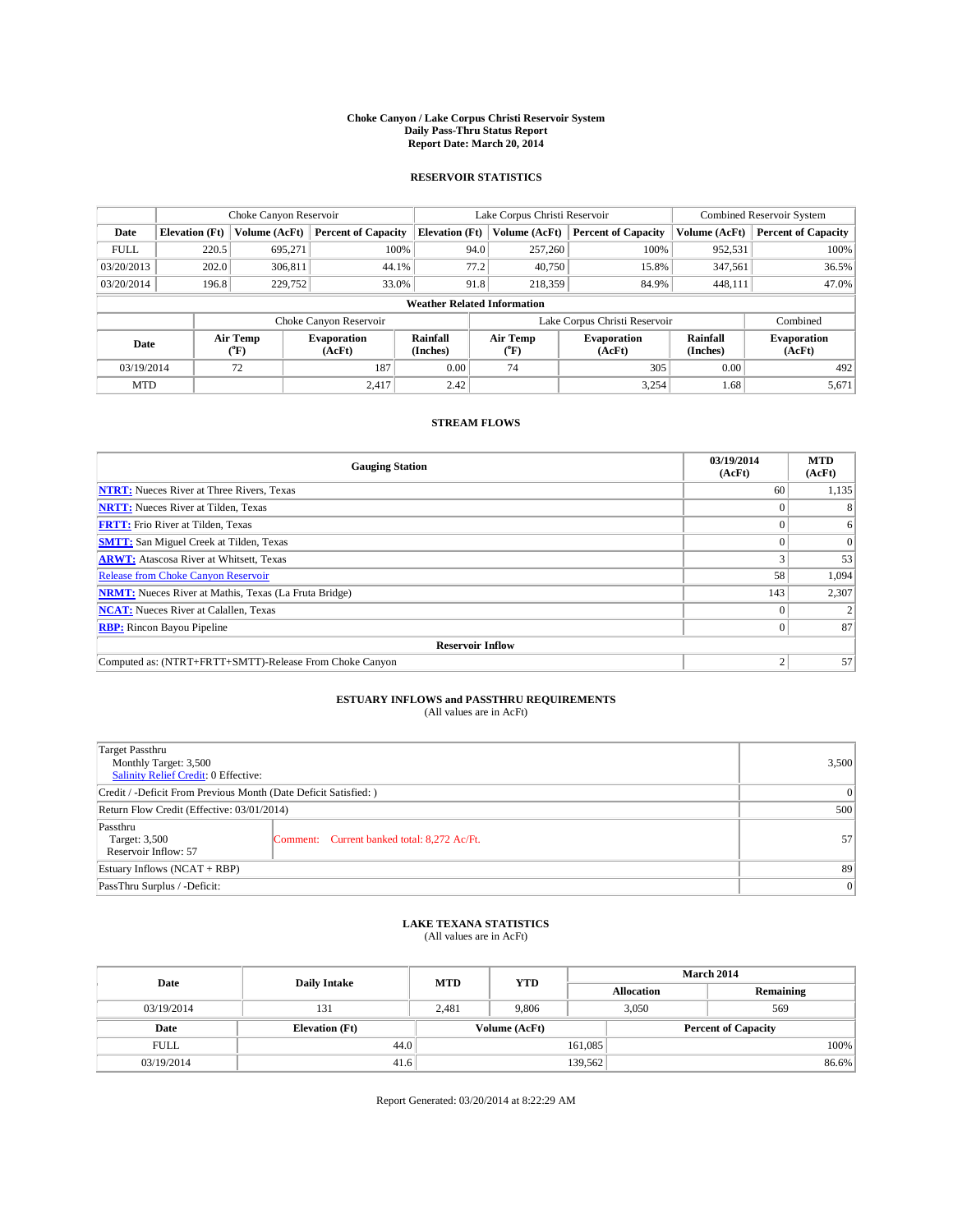#### **Choke Canyon / Lake Corpus Christi Reservoir System Daily Pass-Thru Status Report Report Date: March 20, 2014**

### **RESERVOIR STATISTICS**

|             |                                    | Choke Canyon Reservoir |                              |                       | Lake Corpus Christi Reservoir | Combined Reservoir System     |                      |                              |  |
|-------------|------------------------------------|------------------------|------------------------------|-----------------------|-------------------------------|-------------------------------|----------------------|------------------------------|--|
| Date        | <b>Elevation</b> (Ft)              | Volume (AcFt)          | <b>Percent of Capacity</b>   | <b>Elevation (Ft)</b> | Volume (AcFt)                 | <b>Percent of Capacity</b>    | Volume (AcFt)        | <b>Percent of Capacity</b>   |  |
| <b>FULL</b> | 220.5                              | 695.271                | 100%                         | 94.0                  | 257,260                       | 100%                          | 952,531              | 100%                         |  |
| 03/20/2013  | 202.0                              | 306,811                | 44.1%                        | 77.2                  | 40,750                        | 15.8%                         | 347,561              | 36.5%                        |  |
| 03/20/2014  | 196.8                              | 229,752                | 33.0%                        | 91.8                  | 218,359                       | 84.9%                         | 448.111              | 47.0%                        |  |
|             | <b>Weather Related Information</b> |                        |                              |                       |                               |                               |                      |                              |  |
|             |                                    |                        | Choke Canyon Reservoir       |                       |                               | Lake Corpus Christi Reservoir |                      | Combined                     |  |
| Date        |                                    | Air Temp<br>(°F)       | <b>Evaporation</b><br>(AcFt) | Rainfall<br>(Inches)  | Air Temp<br>(°F)              | <b>Evaporation</b><br>(AcFt)  | Rainfall<br>(Inches) | <b>Evaporation</b><br>(AcFt) |  |
| 03/19/2014  |                                    | 72                     | 187                          | 0.00                  | 74                            | 305                           |                      | 492                          |  |
| <b>MTD</b>  |                                    |                        | 2.417                        | 2.42                  |                               | 3,254                         | 1.68                 | 5,671                        |  |

### **STREAM FLOWS**

| <b>Gauging Station</b>                                       | 03/19/2014<br>(AcFt) | <b>MTD</b><br>(AcFt) |  |  |  |  |
|--------------------------------------------------------------|----------------------|----------------------|--|--|--|--|
| <b>NTRT:</b> Nueces River at Three Rivers, Texas             | 60                   | 1,135                |  |  |  |  |
| <b>NRTT:</b> Nueces River at Tilden, Texas                   |                      |                      |  |  |  |  |
| <b>FRTT:</b> Frio River at Tilden, Texas                     |                      | 6                    |  |  |  |  |
| <b>SMTT:</b> San Miguel Creek at Tilden, Texas               |                      | $\Omega$             |  |  |  |  |
| <b>ARWT:</b> Atascosa River at Whitsett, Texas               |                      | 53                   |  |  |  |  |
| <b>Release from Choke Canyon Reservoir</b>                   | 58                   | 1,094                |  |  |  |  |
| <b>NRMT:</b> Nueces River at Mathis, Texas (La Fruta Bridge) | 143                  | 2,307                |  |  |  |  |
| <b>NCAT:</b> Nueces River at Calallen, Texas                 |                      |                      |  |  |  |  |
| <b>RBP:</b> Rincon Bayou Pipeline                            |                      | 87                   |  |  |  |  |
| <b>Reservoir Inflow</b>                                      |                      |                      |  |  |  |  |
| Computed as: (NTRT+FRTT+SMTT)-Release From Choke Canyon      | σ                    | 57                   |  |  |  |  |

# **ESTUARY INFLOWS and PASSTHRU REQUIREMENTS**<br>(All values are in AcFt)

| Target Passthru<br>Monthly Target: 3,500<br>Salinity Relief Credit: 0 Effective: |                                             | 3,500 |  |  |
|----------------------------------------------------------------------------------|---------------------------------------------|-------|--|--|
| Credit / -Deficit From Previous Month (Date Deficit Satisfied: )                 |                                             |       |  |  |
| Return Flow Credit (Effective: 03/01/2014)                                       |                                             |       |  |  |
| Passthru<br>Target: 3,500<br>Reservoir Inflow: 57                                | Comment: Current banked total: 8,272 Ac/Ft. | 57    |  |  |
| Estuary Inflows (NCAT + RBP)                                                     |                                             |       |  |  |
| PassThru Surplus / -Deficit:                                                     |                                             |       |  |  |

## **LAKE TEXANA STATISTICS** (All values are in AcFt)

| Date        | <b>Daily Intake</b>   | <b>MTD</b> | <b>YTD</b>    | <b>March 2014</b> |                            |           |  |
|-------------|-----------------------|------------|---------------|-------------------|----------------------------|-----------|--|
|             |                       |            |               | <b>Allocation</b> |                            | Remaining |  |
| 03/19/2014  | 131                   | 2,481      | 9,806         |                   | 3,050<br>569               |           |  |
| Date        | <b>Elevation</b> (Ft) |            | Volume (AcFt) |                   | <b>Percent of Capacity</b> |           |  |
| <b>FULL</b> | 44.0                  |            |               | 161,085           |                            | 100%      |  |
| 03/19/2014  | 41.6                  |            |               | 139,562           |                            | 86.6%     |  |

Report Generated: 03/20/2014 at 8:22:29 AM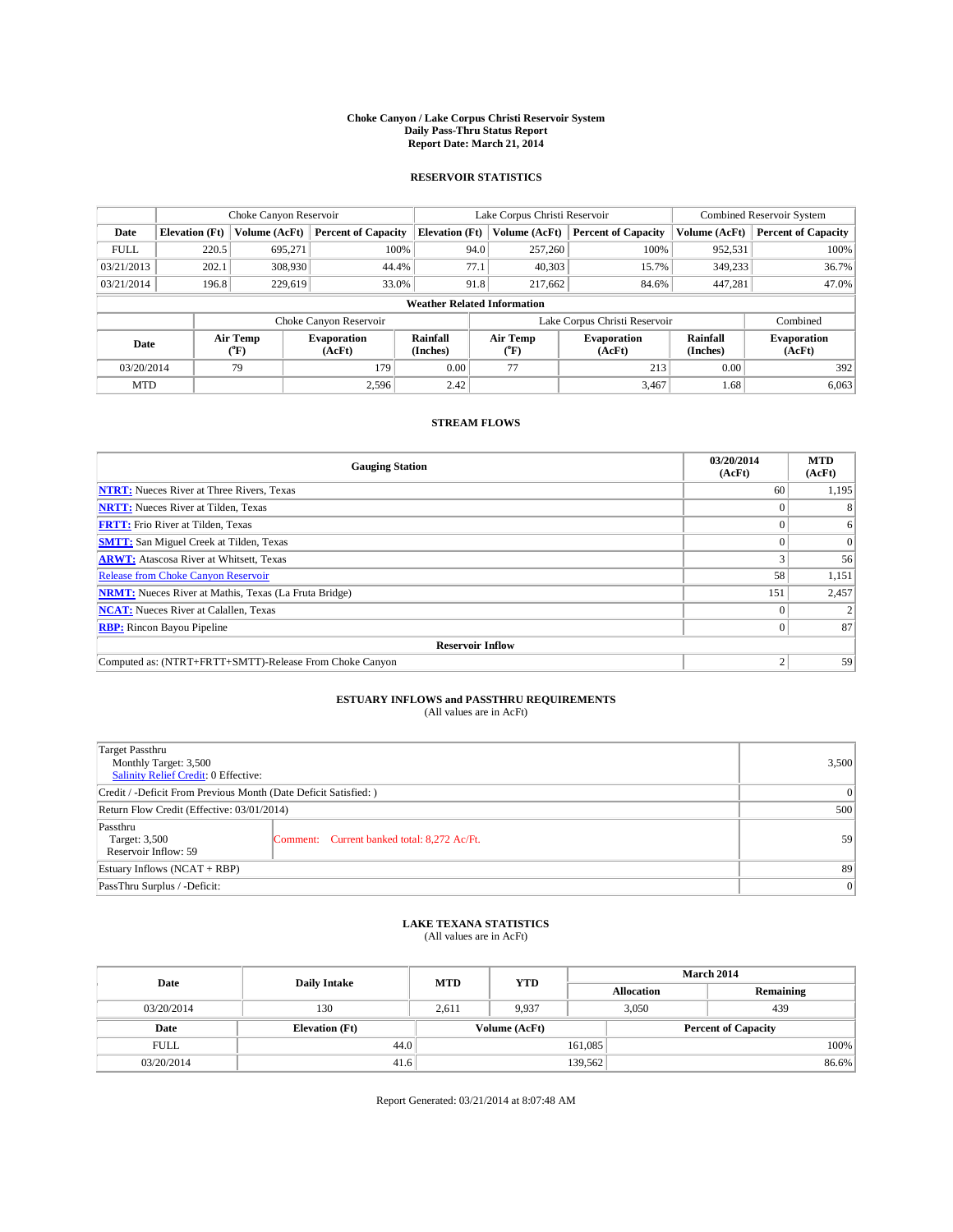#### **Choke Canyon / Lake Corpus Christi Reservoir System Daily Pass-Thru Status Report Report Date: March 21, 2014**

### **RESERVOIR STATISTICS**

|             | Choke Canyon Reservoir             |                         |                              |                       | Lake Corpus Christi Reservoir             |     | Combined Reservoir System    |                      |                              |
|-------------|------------------------------------|-------------------------|------------------------------|-----------------------|-------------------------------------------|-----|------------------------------|----------------------|------------------------------|
| Date        | <b>Elevation</b> (Ft)              | Volume (AcFt)           | <b>Percent of Capacity</b>   | <b>Elevation (Ft)</b> | Volume (AcFt)                             |     | <b>Percent of Capacity</b>   | Volume (AcFt)        | <b>Percent of Capacity</b>   |
| <b>FULL</b> | 220.5                              | 695.271                 | 100%                         |                       | 94.0<br>257,260                           |     | 100%                         | 952,531              | 100%                         |
| 03/21/2013  | 202.1                              | 308,930                 | 44.4%                        | 77.1                  | 40,303                                    |     | 15.7%                        | 349,233              | 36.7%                        |
| 03/21/2014  | 196.8                              | 229,619                 | 33.0%                        |                       | 91.8<br>217.662                           |     | 84.6%                        | 447.281              | 47.0%                        |
|             | <b>Weather Related Information</b> |                         |                              |                       |                                           |     |                              |                      |                              |
|             |                                    |                         | Choke Canyon Reservoir       |                       | Lake Corpus Christi Reservoir<br>Combined |     |                              |                      |                              |
| Date        |                                    | Air Temp<br>(°F)        | <b>Evaporation</b><br>(AcFt) | Rainfall<br>(Inches)  | Air Temp<br>(°F)                          |     | <b>Evaporation</b><br>(AcFt) | Rainfall<br>(Inches) | <b>Evaporation</b><br>(AcFt) |
| 03/20/2014  |                                    | 77<br>179<br>0.00<br>79 |                              | 213                   | 0.00                                      | 392 |                              |                      |                              |
| <b>MTD</b>  |                                    |                         | 2.596                        | 2.42                  |                                           |     | 3,467                        | 1.68                 | 6,063                        |

## **STREAM FLOWS**

| <b>Gauging Station</b>                                       | 03/20/2014<br>(AcFt) | <b>MTD</b><br>(AcFt) |  |  |  |  |
|--------------------------------------------------------------|----------------------|----------------------|--|--|--|--|
| <b>NTRT:</b> Nueces River at Three Rivers, Texas             | 60                   | 1,195                |  |  |  |  |
| <b>NRTT:</b> Nueces River at Tilden, Texas                   |                      |                      |  |  |  |  |
| <b>FRTT:</b> Frio River at Tilden, Texas                     |                      | 6                    |  |  |  |  |
| <b>SMTT:</b> San Miguel Creek at Tilden, Texas               |                      | $\Omega$             |  |  |  |  |
| <b>ARWT:</b> Atascosa River at Whitsett, Texas               |                      | 56                   |  |  |  |  |
| <b>Release from Choke Canyon Reservoir</b>                   | 58                   | 1,151                |  |  |  |  |
| <b>NRMT:</b> Nueces River at Mathis, Texas (La Fruta Bridge) | 151                  | 2,457                |  |  |  |  |
| <b>NCAT:</b> Nueces River at Calallen, Texas                 |                      |                      |  |  |  |  |
| <b>RBP:</b> Rincon Bayou Pipeline                            | $\Omega$             | 87                   |  |  |  |  |
| <b>Reservoir Inflow</b>                                      |                      |                      |  |  |  |  |
| Computed as: (NTRT+FRTT+SMTT)-Release From Choke Canyon      | h                    | 59                   |  |  |  |  |

# **ESTUARY INFLOWS and PASSTHRU REQUIREMENTS**<br>(All values are in AcFt)

| Target Passthru<br>Monthly Target: 3,500<br>Salinity Relief Credit: 0 Effective: |                                             | 3,500 |  |  |
|----------------------------------------------------------------------------------|---------------------------------------------|-------|--|--|
| Credit / -Deficit From Previous Month (Date Deficit Satisfied: )                 |                                             |       |  |  |
| Return Flow Credit (Effective: 03/01/2014)                                       |                                             |       |  |  |
| Passthru<br>Target: 3,500<br>Reservoir Inflow: 59                                | Comment: Current banked total: 8,272 Ac/Ft. | 59    |  |  |
| Estuary Inflows (NCAT + RBP)                                                     |                                             |       |  |  |
| PassThru Surplus / -Deficit:                                                     | 0                                           |       |  |  |

# **LAKE TEXANA STATISTICS** (All values are in AcFt)

| Date        | <b>Daily Intake</b>   | <b>MTD</b> | <b>YTD</b>    | <b>March 2014</b> |                            |           |  |
|-------------|-----------------------|------------|---------------|-------------------|----------------------------|-----------|--|
|             |                       |            |               |                   | <b>Allocation</b>          | Remaining |  |
| 03/20/2014  | 130                   | 2,611      | 9,937         |                   | 3,050<br>439               |           |  |
| Date        | <b>Elevation</b> (Ft) |            | Volume (AcFt) |                   | <b>Percent of Capacity</b> |           |  |
| <b>FULL</b> | 44.0                  |            |               | 161.085           |                            | 100%      |  |
| 03/20/2014  | 41.6                  |            |               | 139,562           |                            | 86.6%     |  |

Report Generated: 03/21/2014 at 8:07:48 AM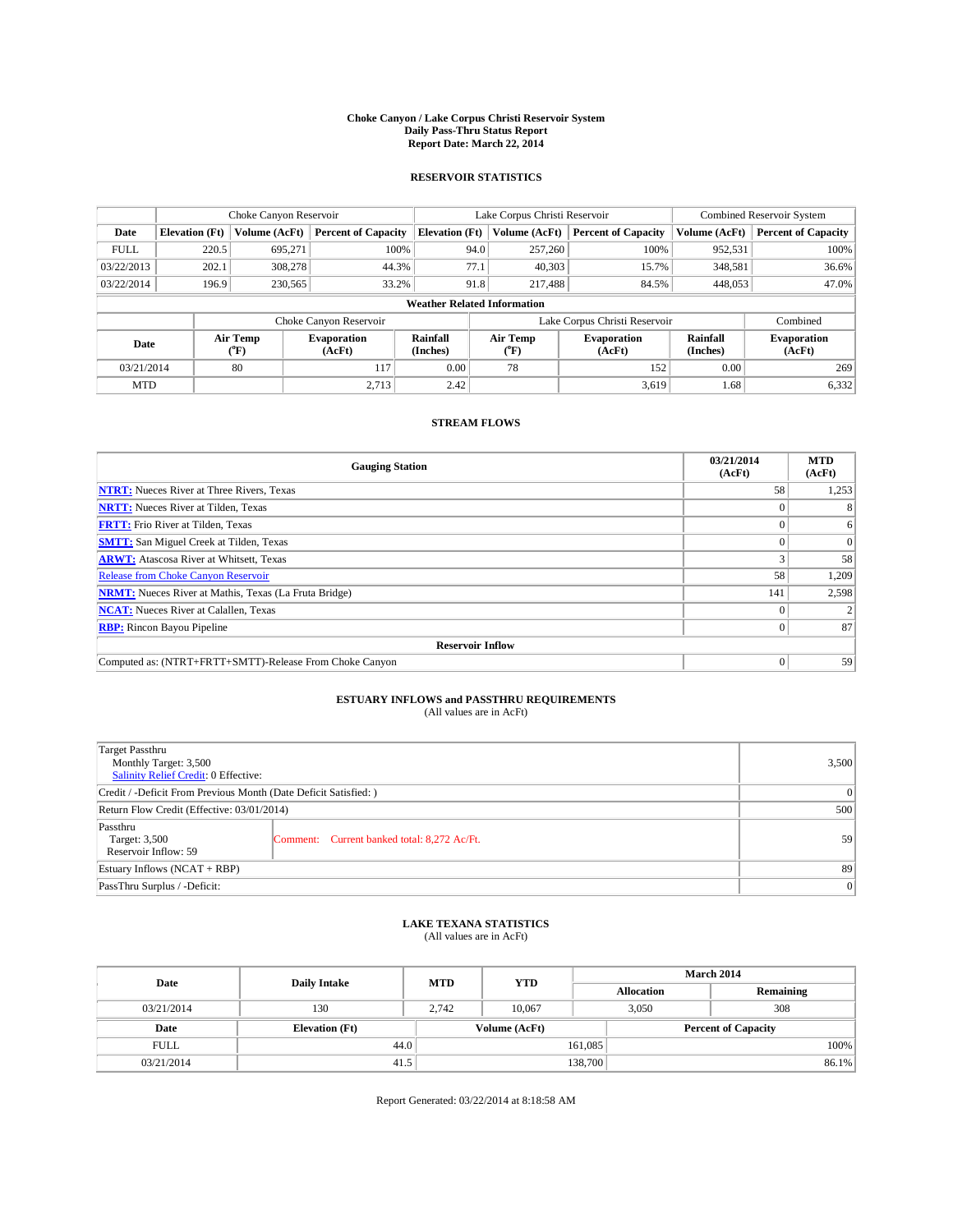#### **Choke Canyon / Lake Corpus Christi Reservoir System Daily Pass-Thru Status Report Report Date: March 22, 2014**

### **RESERVOIR STATISTICS**

|             |                       | Choke Canyon Reservoir |                              |                                    | Lake Corpus Christi Reservoir | <b>Combined Reservoir System</b> |                      |                              |
|-------------|-----------------------|------------------------|------------------------------|------------------------------------|-------------------------------|----------------------------------|----------------------|------------------------------|
| Date        | <b>Elevation</b> (Ft) | Volume (AcFt)          | <b>Percent of Capacity</b>   | <b>Elevation (Ft)</b>              | Volume (AcFt)                 | <b>Percent of Capacity</b>       | Volume (AcFt)        | <b>Percent of Capacity</b>   |
| <b>FULL</b> | 220.5                 | 695,271                | 100%                         | 94.0                               | 257,260                       | 100%                             | 952,531              | 100%                         |
| 03/22/2013  | 202.1                 | 308,278                | 44.3%                        | 77.1                               | 40,303                        | 15.7%                            | 348,581              | 36.6%                        |
| 03/22/2014  | 196.9                 | 230,565                | 33.2%                        | 91.8                               | 217,488                       | 84.5%                            | 448,053              | 47.0%                        |
|             |                       |                        |                              | <b>Weather Related Information</b> |                               |                                  |                      |                              |
|             |                       |                        | Choke Canyon Reservoir       |                                    | Lake Corpus Christi Reservoir |                                  | Combined             |                              |
| Date        |                       | Air Temp<br>(°F)       | <b>Evaporation</b><br>(AcFt) | Rainfall<br>(Inches)               | Air Temp<br>(°F)              | <b>Evaporation</b><br>(AcFt)     | Rainfall<br>(Inches) | <b>Evaporation</b><br>(AcFt) |
| 03/21/2014  |                       | 80                     | 117                          | 0.00                               | 78                            | 152                              | 0.00                 | 269                          |
| <b>MTD</b>  |                       |                        | 2.713                        | 2.42                               |                               | 3,619                            | 1.68                 | 6,332                        |

## **STREAM FLOWS**

| <b>Gauging Station</b>                                       | 03/21/2014<br>(AcFt) | <b>MTD</b><br>(AcFt) |  |  |  |  |
|--------------------------------------------------------------|----------------------|----------------------|--|--|--|--|
| <b>NTRT:</b> Nueces River at Three Rivers, Texas             | 58                   | 1,253                |  |  |  |  |
| <b>NRTT:</b> Nueces River at Tilden, Texas                   |                      |                      |  |  |  |  |
| <b>FRTT:</b> Frio River at Tilden, Texas                     |                      | 6                    |  |  |  |  |
| <b>SMTT:</b> San Miguel Creek at Tilden, Texas               |                      | $\Omega$             |  |  |  |  |
| <b>ARWT:</b> Atascosa River at Whitsett, Texas               |                      | 58                   |  |  |  |  |
| <b>Release from Choke Canyon Reservoir</b>                   | 58                   | 1,209                |  |  |  |  |
| <b>NRMT:</b> Nueces River at Mathis, Texas (La Fruta Bridge) | 141                  | 2,598                |  |  |  |  |
| <b>NCAT:</b> Nueces River at Calallen, Texas                 |                      |                      |  |  |  |  |
| <b>RBP:</b> Rincon Bayou Pipeline                            | 0                    | 87                   |  |  |  |  |
| <b>Reservoir Inflow</b>                                      |                      |                      |  |  |  |  |
| Computed as: (NTRT+FRTT+SMTT)-Release From Choke Canyon      |                      | 59                   |  |  |  |  |

# **ESTUARY INFLOWS and PASSTHRU REQUIREMENTS**<br>(All values are in AcFt)

| Target Passthru<br>Monthly Target: 3,500<br>Salinity Relief Credit: 0 Effective: |                                             | 3,500 |
|----------------------------------------------------------------------------------|---------------------------------------------|-------|
| Credit / -Deficit From Previous Month (Date Deficit Satisfied: )                 | 0                                           |       |
| Return Flow Credit (Effective: 03/01/2014)                                       | 500                                         |       |
| Passthru<br>Target: 3,500<br>Reservoir Inflow: 59                                | Comment: Current banked total: 8,272 Ac/Ft. | 59    |
| Estuary Inflows (NCAT + RBP)                                                     | 89                                          |       |
| PassThru Surplus / -Deficit:                                                     | 0                                           |       |

## **LAKE TEXANA STATISTICS** (All values are in AcFt)

| Date        | <b>Daily Intake</b>   | <b>MTD</b> | <b>YTD</b>    | March 2014        |                            |           |  |
|-------------|-----------------------|------------|---------------|-------------------|----------------------------|-----------|--|
|             |                       |            |               | <b>Allocation</b> |                            | Remaining |  |
| 03/21/2014  | 130                   | 2.742      | 10.067        |                   | 308<br>3,050               |           |  |
| Date        | <b>Elevation</b> (Ft) |            | Volume (AcFt) |                   | <b>Percent of Capacity</b> |           |  |
| <b>FULL</b> | 44.0                  |            |               | 161,085           |                            | 100%      |  |
| 03/21/2014  | 41.5                  |            |               | 138,700           |                            | 86.1%     |  |

Report Generated: 03/22/2014 at 8:18:58 AM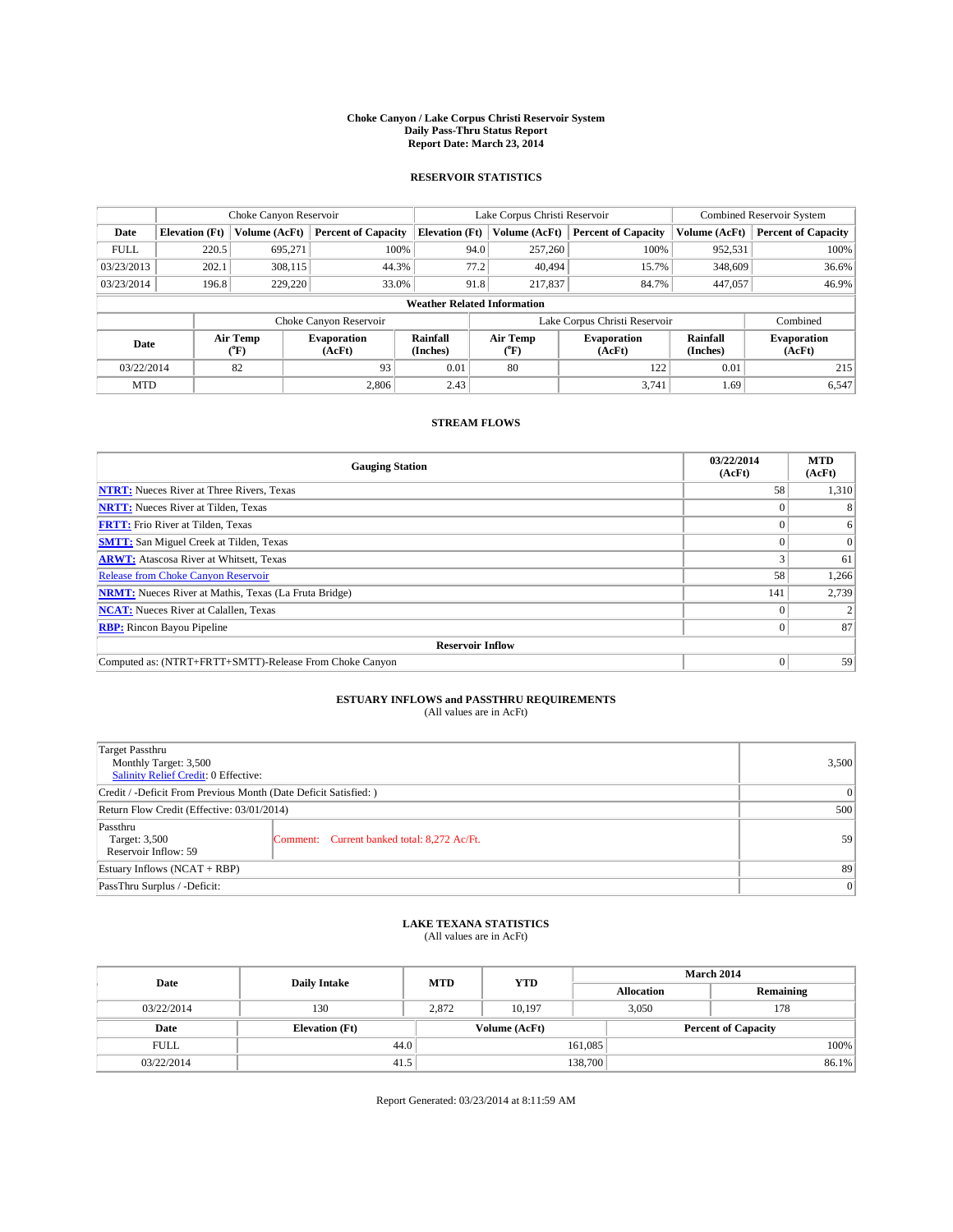#### **Choke Canyon / Lake Corpus Christi Reservoir System Daily Pass-Thru Status Report Report Date: March 23, 2014**

### **RESERVOIR STATISTICS**

|             |                       | Choke Canyon Reservoir |                              |                                    | Lake Corpus Christi Reservoir | <b>Combined Reservoir System</b> |                      |                              |
|-------------|-----------------------|------------------------|------------------------------|------------------------------------|-------------------------------|----------------------------------|----------------------|------------------------------|
| Date        | <b>Elevation</b> (Ft) | Volume (AcFt)          | <b>Percent of Capacity</b>   | <b>Elevation (Ft)</b>              | Volume (AcFt)                 | <b>Percent of Capacity</b>       | Volume (AcFt)        | <b>Percent of Capacity</b>   |
| <b>FULL</b> | 220.5                 | 695.271                | 100%                         | 94.0                               | 257,260                       | 100%                             | 952,531              | 100%                         |
| 03/23/2013  | 202.1                 | 308,115                | 44.3%                        | 77.2                               | 40.494                        | 15.7%                            | 348,609              | 36.6%                        |
| 03/23/2014  | 196.8                 | 229,220                | 33.0%                        | 91.8                               | 217,837                       | 84.7%                            | 447,057              | 46.9%                        |
|             |                       |                        |                              | <b>Weather Related Information</b> |                               |                                  |                      |                              |
|             |                       |                        | Choke Canyon Reservoir       |                                    | Lake Corpus Christi Reservoir |                                  | Combined             |                              |
| Date        |                       | Air Temp<br>(°F)       | <b>Evaporation</b><br>(AcFt) | Rainfall<br>(Inches)               | Air Temp<br>$(^{0}F)$         | Evaporation<br>(AcFt)            | Rainfall<br>(Inches) | <b>Evaporation</b><br>(AcFt) |
| 03/22/2014  |                       | 82                     | 93                           | 0.01                               | 80                            | 122                              | 0.01                 | 215                          |
| <b>MTD</b>  |                       |                        | 2.806                        | 2.43                               |                               | 3.741                            | 1.69'                | 6,547                        |

### **STREAM FLOWS**

| <b>Gauging Station</b>                                       | 03/22/2014<br>(AcFt) | <b>MTD</b><br>(AcFt) |  |  |  |  |  |
|--------------------------------------------------------------|----------------------|----------------------|--|--|--|--|--|
| <b>NTRT:</b> Nueces River at Three Rivers, Texas             | 58                   | 1,310                |  |  |  |  |  |
| <b>NRTT:</b> Nueces River at Tilden, Texas                   |                      |                      |  |  |  |  |  |
| <b>FRTT:</b> Frio River at Tilden, Texas                     |                      | 6                    |  |  |  |  |  |
| <b>SMTT:</b> San Miguel Creek at Tilden, Texas               |                      | $\Omega$             |  |  |  |  |  |
| <b>ARWT:</b> Atascosa River at Whitsett, Texas               |                      | 61                   |  |  |  |  |  |
| <b>Release from Choke Canyon Reservoir</b>                   | 58                   | 1,266                |  |  |  |  |  |
| <b>NRMT:</b> Nueces River at Mathis, Texas (La Fruta Bridge) | 141                  | 2,739                |  |  |  |  |  |
| <b>NCAT:</b> Nueces River at Calallen, Texas                 |                      |                      |  |  |  |  |  |
| <b>RBP:</b> Rincon Bayou Pipeline                            | 0                    | 87                   |  |  |  |  |  |
| <b>Reservoir Inflow</b>                                      |                      |                      |  |  |  |  |  |
| Computed as: (NTRT+FRTT+SMTT)-Release From Choke Canyon      | $\Omega$             | 59                   |  |  |  |  |  |

# **ESTUARY INFLOWS and PASSTHRU REQUIREMENTS**<br>(All values are in AcFt)

| Target Passthru<br>Monthly Target: 3,500<br>Salinity Relief Credit: 0 Effective: |                                             | 3,500 |  |  |
|----------------------------------------------------------------------------------|---------------------------------------------|-------|--|--|
| Credit / -Deficit From Previous Month (Date Deficit Satisfied: )                 |                                             |       |  |  |
| Return Flow Credit (Effective: 03/01/2014)                                       |                                             |       |  |  |
| Passthru<br>Target: 3,500<br>Reservoir Inflow: 59                                | Comment: Current banked total: 8,272 Ac/Ft. | 59    |  |  |
| Estuary Inflows (NCAT + RBP)                                                     |                                             |       |  |  |
| PassThru Surplus / -Deficit:                                                     | 0                                           |       |  |  |

# **LAKE TEXANA STATISTICS** (All values are in AcFt)

| Date        | <b>Daily Intake</b>   | <b>MTD</b> | <b>YTD</b>    | March 2014        |                            |           |  |
|-------------|-----------------------|------------|---------------|-------------------|----------------------------|-----------|--|
|             |                       |            |               | <b>Allocation</b> |                            | Remaining |  |
| 03/22/2014  | 130                   | 2.872      | 10.197        |                   | 3,050<br>178               |           |  |
| Date        | <b>Elevation</b> (Ft) |            | Volume (AcFt) |                   | <b>Percent of Capacity</b> |           |  |
| <b>FULL</b> | 44.0                  |            |               | 161,085           |                            | 100%      |  |
| 03/22/2014  | 41.5                  |            |               | 138,700           |                            | 86.1%     |  |

Report Generated: 03/23/2014 at 8:11:59 AM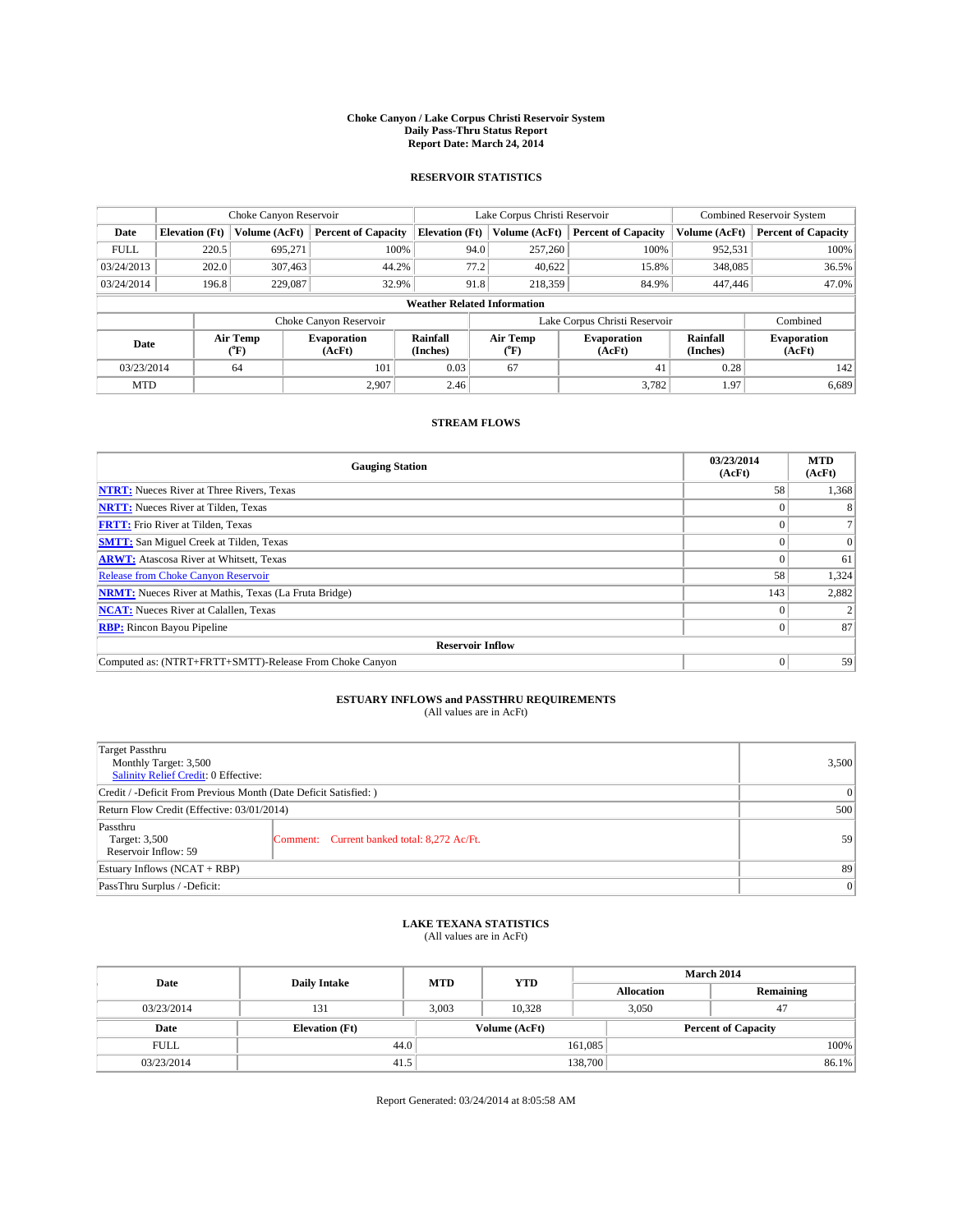#### **Choke Canyon / Lake Corpus Christi Reservoir System Daily Pass-Thru Status Report Report Date: March 24, 2014**

### **RESERVOIR STATISTICS**

|             |                       | Choke Canyon Reservoir |                              |                                    | Lake Corpus Christi Reservoir | Combined Reservoir System    |               |                              |  |
|-------------|-----------------------|------------------------|------------------------------|------------------------------------|-------------------------------|------------------------------|---------------|------------------------------|--|
| Date        | <b>Elevation</b> (Ft) | Volume (AcFt)          | <b>Percent of Capacity</b>   | <b>Elevation (Ft)</b>              | Volume (AcFt)                 | <b>Percent of Capacity</b>   | Volume (AcFt) | <b>Percent of Capacity</b>   |  |
| <b>FULL</b> | 220.5                 | 695.271                | 100%                         | 94.0                               | 257,260                       | 100%                         | 952,531       | 100%                         |  |
| 03/24/2013  | 202.0                 | 307,463                | 44.2%                        | 77.2                               | 40,622                        | 15.8%                        | 348,085       | 36.5%                        |  |
| 03/24/2014  | 196.8                 | 229,087                | 32.9%                        | 91.8                               | 218,359                       | 84.9%                        | 447,446       | 47.0%                        |  |
|             |                       |                        |                              | <b>Weather Related Information</b> |                               |                              |               |                              |  |
|             |                       |                        | Choke Canyon Reservoir       |                                    | Lake Corpus Christi Reservoir |                              |               |                              |  |
| Date        |                       | Air Temp<br>(°F)       | <b>Evaporation</b><br>(AcFt) | Rainfall<br>(Inches)               | Air Temp<br>(°F)              | <b>Evaporation</b><br>(AcFt) |               | <b>Evaporation</b><br>(AcFt) |  |
| 03/23/2014  |                       | 64                     | 101                          | 0.03                               | 67                            | 41                           | 0.28          | 142                          |  |
| <b>MTD</b>  |                       |                        | 2.907                        | 2.46                               |                               | 3,782                        | 1.97          | 6,689                        |  |

## **STREAM FLOWS**

| <b>Gauging Station</b>                                       | 03/23/2014<br>(AcFt) | <b>MTD</b><br>(AcFt) |  |  |  |  |
|--------------------------------------------------------------|----------------------|----------------------|--|--|--|--|
| <b>NTRT:</b> Nueces River at Three Rivers, Texas             | 58                   | 1,368                |  |  |  |  |
| <b>NRTT:</b> Nueces River at Tilden, Texas                   |                      |                      |  |  |  |  |
| <b>FRTT:</b> Frio River at Tilden, Texas                     |                      |                      |  |  |  |  |
| <b>SMTT:</b> San Miguel Creek at Tilden, Texas               |                      | $\Omega$             |  |  |  |  |
| <b>ARWT:</b> Atascosa River at Whitsett, Texas               |                      | 61                   |  |  |  |  |
| <b>Release from Choke Canyon Reservoir</b>                   | 58                   | 1,324                |  |  |  |  |
| <b>NRMT:</b> Nueces River at Mathis, Texas (La Fruta Bridge) | 143                  | 2,882                |  |  |  |  |
| <b>NCAT:</b> Nueces River at Calallen, Texas                 |                      |                      |  |  |  |  |
| <b>RBP:</b> Rincon Bayou Pipeline                            | 0                    | 87                   |  |  |  |  |
| <b>Reservoir Inflow</b>                                      |                      |                      |  |  |  |  |
| Computed as: (NTRT+FRTT+SMTT)-Release From Choke Canyon      | $\Omega$             | 59                   |  |  |  |  |

# **ESTUARY INFLOWS and PASSTHRU REQUIREMENTS**<br>(All values are in AcFt)

| Target Passthru<br>Monthly Target: 3,500<br>Salinity Relief Credit: 0 Effective: |                                             | 3,500 |  |  |
|----------------------------------------------------------------------------------|---------------------------------------------|-------|--|--|
| Credit / -Deficit From Previous Month (Date Deficit Satisfied: )                 |                                             |       |  |  |
| Return Flow Credit (Effective: 03/01/2014)                                       |                                             |       |  |  |
| Passthru<br>Target: 3,500<br>Reservoir Inflow: 59                                | Comment: Current banked total: 8,272 Ac/Ft. | 59    |  |  |
| Estuary Inflows (NCAT + RBP)                                                     |                                             |       |  |  |
| PassThru Surplus / -Deficit:                                                     | 0                                           |       |  |  |

## **LAKE TEXANA STATISTICS** (All values are in AcFt)

| Date        | <b>Daily Intake</b>   | <b>MTD</b> | <b>YTD</b>    | <b>March 2014</b> |                            |           |  |
|-------------|-----------------------|------------|---------------|-------------------|----------------------------|-----------|--|
|             |                       |            |               | <b>Allocation</b> |                            | Remaining |  |
| 03/23/2014  | 131                   | 3,003      | 10.328        |                   | 3,050<br>47                |           |  |
| Date        | <b>Elevation</b> (Ft) |            | Volume (AcFt) |                   | <b>Percent of Capacity</b> |           |  |
| <b>FULL</b> | 44.0                  |            |               | 161,085           |                            | 100%      |  |
| 03/23/2014  | 41.5                  |            |               | 138,700           |                            | 86.1%     |  |

Report Generated: 03/24/2014 at 8:05:58 AM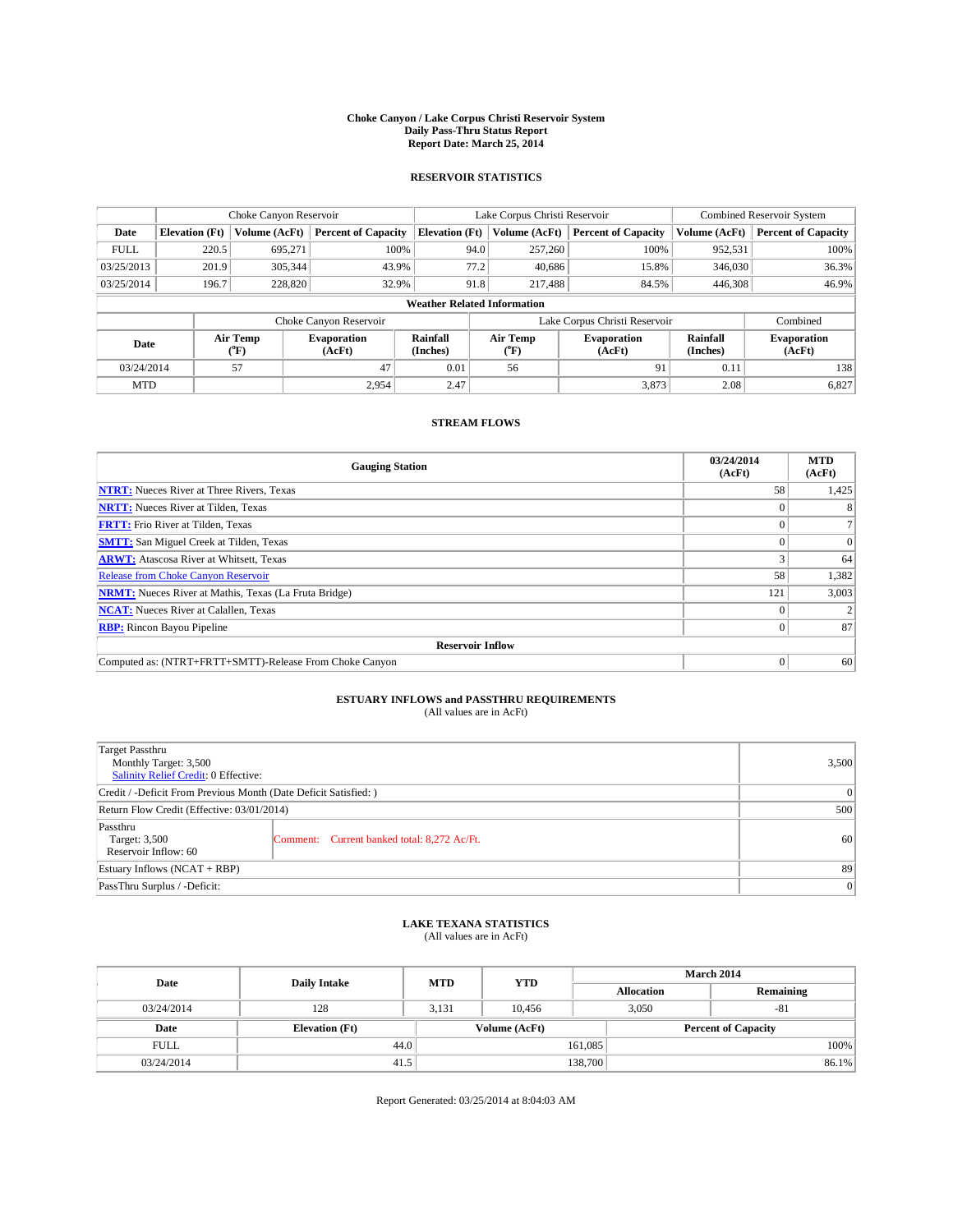#### **Choke Canyon / Lake Corpus Christi Reservoir System Daily Pass-Thru Status Report Report Date: March 25, 2014**

### **RESERVOIR STATISTICS**

|             | Choke Canyon Reservoir |                  |                            |                                    | Lake Corpus Christi Reservoir |                  |                               |                      | <b>Combined Reservoir System</b> |  |  |
|-------------|------------------------|------------------|----------------------------|------------------------------------|-------------------------------|------------------|-------------------------------|----------------------|----------------------------------|--|--|
| Date        | <b>Elevation</b> (Ft)  | Volume (AcFt)    | <b>Percent of Capacity</b> | <b>Elevation (Ft)</b>              |                               | Volume (AcFt)    | <b>Percent of Capacity</b>    | Volume (AcFt)        | Percent of Capacity              |  |  |
| <b>FULL</b> | 220.5                  | 695,271          | 100%                       |                                    | 94.0                          | 257,260          | 100%                          | 952,531              | 100%                             |  |  |
| 03/25/2013  | 201.9                  | 305,344          | 43.9%                      |                                    | 77.2                          | 40,686           | 15.8%                         | 346,030              | 36.3%                            |  |  |
| 03/25/2014  | 196.7                  | 228,820          | 32.9%                      |                                    | 91.8                          | 217,488          | 84.5%                         | 446,308              | 46.9%                            |  |  |
|             |                        |                  |                            | <b>Weather Related Information</b> |                               |                  |                               |                      |                                  |  |  |
|             |                        |                  | Choke Canyon Reservoir     |                                    |                               |                  | Lake Corpus Christi Reservoir |                      | Combined                         |  |  |
| Date        |                        | Air Temp<br>(°F) | Evaporation<br>(AcFt)      | Rainfall<br>(Inches)               |                               | Air Temp<br>("F) | <b>Evaporation</b><br>(AcFt)  | Rainfall<br>(Inches) | <b>Evaporation</b><br>(AcFt)     |  |  |
| 03/24/2014  | 47<br>57               |                  | 0.01                       |                                    | 56                            | 91               | 0.11                          | 138                  |                                  |  |  |
| <b>MTD</b>  |                        |                  | 2.954                      | 2.47                               |                               |                  | 3,873                         | 2.08                 | 6,827                            |  |  |

## **STREAM FLOWS**

| <b>Gauging Station</b>                                       | 03/24/2014<br>(AcFt) | <b>MTD</b><br>(AcFt) |  |  |  |  |
|--------------------------------------------------------------|----------------------|----------------------|--|--|--|--|
| <b>NTRT:</b> Nueces River at Three Rivers, Texas             | 58                   | 1,425                |  |  |  |  |
| <b>NRTT:</b> Nueces River at Tilden, Texas                   |                      |                      |  |  |  |  |
| <b>FRTT:</b> Frio River at Tilden, Texas                     |                      |                      |  |  |  |  |
| <b>SMTT:</b> San Miguel Creek at Tilden, Texas               |                      | $\Omega$             |  |  |  |  |
| <b>ARWT:</b> Atascosa River at Whitsett, Texas               |                      | 64                   |  |  |  |  |
| <b>Release from Choke Canyon Reservoir</b>                   | 58                   | 1,382                |  |  |  |  |
| <b>NRMT:</b> Nueces River at Mathis, Texas (La Fruta Bridge) | 121                  | 3,003                |  |  |  |  |
| <b>NCAT:</b> Nueces River at Calallen, Texas                 |                      |                      |  |  |  |  |
| <b>RBP:</b> Rincon Bayou Pipeline                            | 0                    | 87                   |  |  |  |  |
| <b>Reservoir Inflow</b>                                      |                      |                      |  |  |  |  |
| Computed as: (NTRT+FRTT+SMTT)-Release From Choke Canyon      | $\Omega$             | 60                   |  |  |  |  |

# **ESTUARY INFLOWS and PASSTHRU REQUIREMENTS**<br>(All values are in AcFt)

| Target Passthru<br>Monthly Target: 3,500<br>Salinity Relief Credit: 0 Effective: |                                             | 3,500 |  |  |
|----------------------------------------------------------------------------------|---------------------------------------------|-------|--|--|
| Credit / -Deficit From Previous Month (Date Deficit Satisfied: )                 |                                             |       |  |  |
| Return Flow Credit (Effective: 03/01/2014)                                       |                                             |       |  |  |
| Passthru<br>Target: 3,500<br>Reservoir Inflow: 60                                | Comment: Current banked total: 8,272 Ac/Ft. | 60    |  |  |
| Estuary Inflows (NCAT + RBP)                                                     | 89                                          |       |  |  |
| PassThru Surplus / -Deficit:                                                     | 0                                           |       |  |  |

## **LAKE TEXANA STATISTICS** (All values are in AcFt)

| Date        | <b>Daily Intake</b>   | <b>MTD</b>    | <b>YTD</b> | <b>March 2014</b> |                            |           |  |
|-------------|-----------------------|---------------|------------|-------------------|----------------------------|-----------|--|
|             |                       |               |            | <b>Allocation</b> |                            | Remaining |  |
| 03/24/2014  | 128                   | 3,131         | 10.456     |                   | 3,050<br>$-81$             |           |  |
| Date        | <b>Elevation</b> (Ft) | Volume (AcFt) |            |                   | <b>Percent of Capacity</b> |           |  |
| <b>FULL</b> | 44.0                  |               |            | 161,085           |                            | 100%      |  |
| 03/24/2014  | 41.5                  |               |            | 138,700           |                            | 86.1%     |  |

Report Generated: 03/25/2014 at 8:04:03 AM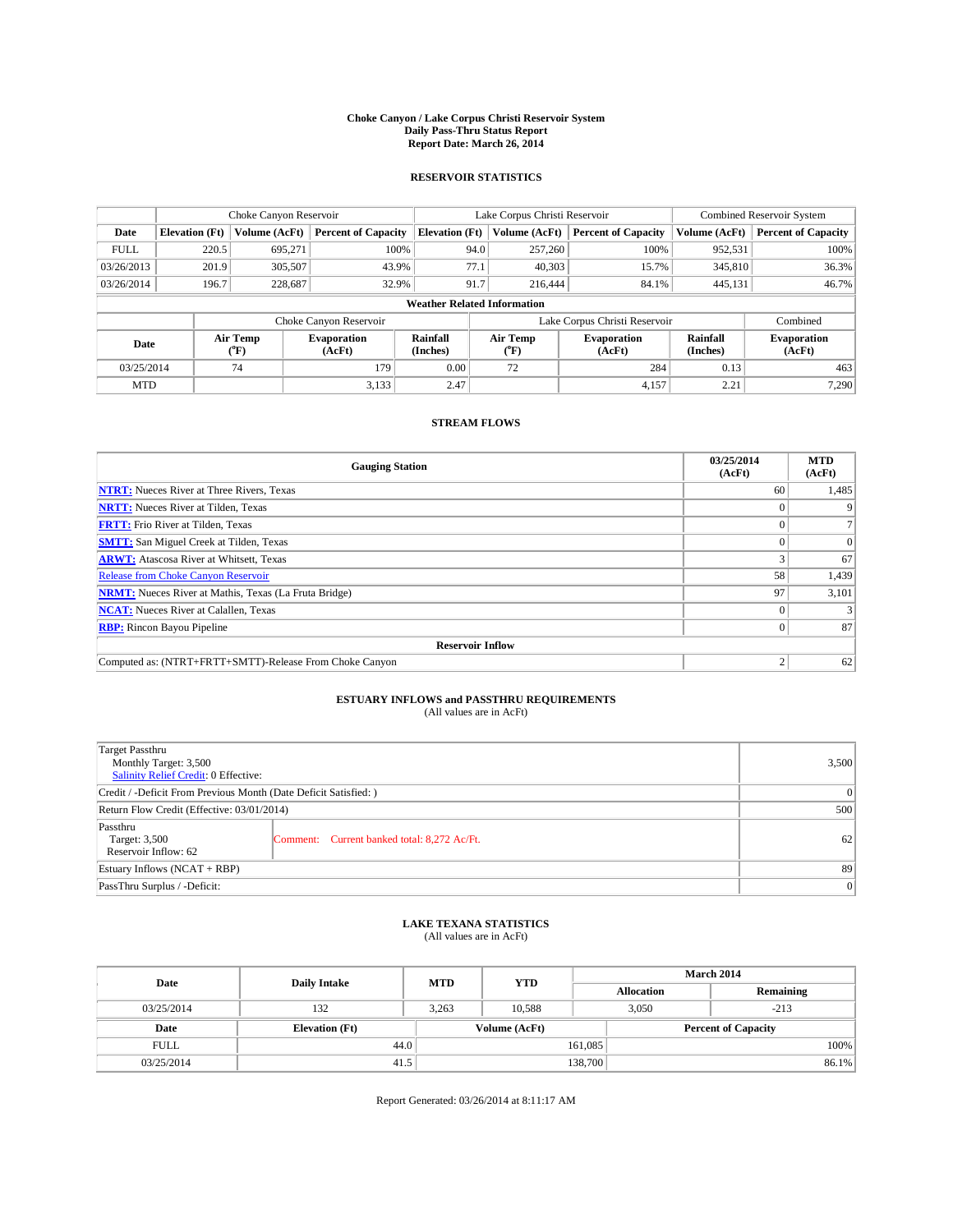#### **Choke Canyon / Lake Corpus Christi Reservoir System Daily Pass-Thru Status Report Report Date: March 26, 2014**

### **RESERVOIR STATISTICS**

|             | Choke Canyon Reservoir |                  |                              |                                    | Lake Corpus Christi Reservoir | Combined Reservoir System     |                      |                              |
|-------------|------------------------|------------------|------------------------------|------------------------------------|-------------------------------|-------------------------------|----------------------|------------------------------|
| Date        | <b>Elevation</b> (Ft)  | Volume (AcFt)    | <b>Percent of Capacity</b>   | <b>Elevation (Ft)</b>              | Volume (AcFt)                 | <b>Percent of Capacity</b>    | Volume (AcFt)        | <b>Percent of Capacity</b>   |
| <b>FULL</b> | 220.5                  | 695.271          | 100%                         | 94.0                               | 257,260                       | 100%                          | 952,531              | 100%                         |
| 03/26/2013  | 201.9                  | 305,507          | 43.9%                        | 77.1                               | 40,303                        | 15.7%                         | 345,810              | 36.3%                        |
| 03/26/2014  | 196.7                  | 228,687          | 32.9%                        | 91.7                               | 216,444                       | 84.1%                         | 445,131              | 46.7%                        |
|             |                        |                  |                              | <b>Weather Related Information</b> |                               |                               |                      |                              |
|             |                        |                  | Choke Canyon Reservoir       |                                    |                               | Lake Corpus Christi Reservoir |                      | Combined                     |
| Date        |                        | Air Temp<br>(°F) | <b>Evaporation</b><br>(AcFt) | Rainfall<br>(Inches)               | Air Temp<br>(°F)              | <b>Evaporation</b><br>(AcFt)  | Rainfall<br>(Inches) | <b>Evaporation</b><br>(AcFt) |
| 03/25/2014  |                        | 74               | 179                          | 0.00                               | 72                            | 284                           | 0.13                 | 463                          |
| <b>MTD</b>  |                        |                  | 3,133                        | 2.47                               |                               | 4,157                         | 2.21                 | 7,290                        |

### **STREAM FLOWS**

| <b>Gauging Station</b>                                       | 03/25/2014<br>(AcFt) | <b>MTD</b><br>(AcFt) |  |  |  |  |
|--------------------------------------------------------------|----------------------|----------------------|--|--|--|--|
| <b>NTRT:</b> Nueces River at Three Rivers, Texas             | 60                   | 1,485                |  |  |  |  |
| <b>NRTT:</b> Nueces River at Tilden, Texas                   | o                    | 9                    |  |  |  |  |
| <b>FRTT:</b> Frio River at Tilden, Texas                     | 0                    | $\mathcal{L}$        |  |  |  |  |
| <b>SMTT:</b> San Miguel Creek at Tilden, Texas               |                      | $\Omega$             |  |  |  |  |
| <b>ARWT:</b> Atascosa River at Whitsett, Texas               |                      | 67                   |  |  |  |  |
| <b>Release from Choke Canyon Reservoir</b>                   | 58                   | 1,439                |  |  |  |  |
| <b>NRMT:</b> Nueces River at Mathis, Texas (La Fruta Bridge) | 97                   | 3,101                |  |  |  |  |
| <b>NCAT:</b> Nueces River at Calallen, Texas                 |                      | 3                    |  |  |  |  |
| <b>RBP:</b> Rincon Bayou Pipeline                            | $\Omega$             | 87                   |  |  |  |  |
| <b>Reservoir Inflow</b>                                      |                      |                      |  |  |  |  |
| Computed as: (NTRT+FRTT+SMTT)-Release From Choke Canyon      |                      | 62                   |  |  |  |  |

# **ESTUARY INFLOWS and PASSTHRU REQUIREMENTS**<br>(All values are in AcFt)

| Target Passthru<br>Monthly Target: 3,500<br>Salinity Relief Credit: 0 Effective: |                                             | 3,500 |  |  |
|----------------------------------------------------------------------------------|---------------------------------------------|-------|--|--|
| Credit / -Deficit From Previous Month (Date Deficit Satisfied: )                 |                                             |       |  |  |
| Return Flow Credit (Effective: 03/01/2014)                                       |                                             |       |  |  |
| Passthru<br>Target: 3,500<br>Reservoir Inflow: 62                                | Comment: Current banked total: 8,272 Ac/Ft. | 62    |  |  |
| Estuary Inflows (NCAT + RBP)                                                     |                                             |       |  |  |
| PassThru Surplus / -Deficit:                                                     | 0                                           |       |  |  |

## **LAKE TEXANA STATISTICS** (All values are in AcFt)

| Date        | <b>Daily Intake</b>   | <b>MTD</b>    | <b>YTD</b> | March 2014        |                 |                            |  |
|-------------|-----------------------|---------------|------------|-------------------|-----------------|----------------------------|--|
|             |                       |               |            | <b>Allocation</b> |                 | Remaining                  |  |
| 03/25/2014  | 132                   | 3.263         | 10.588     |                   | 3,050<br>$-213$ |                            |  |
| Date        | <b>Elevation</b> (Ft) | Volume (AcFt) |            |                   |                 | <b>Percent of Capacity</b> |  |
| <b>FULL</b> | 44.0                  |               |            | 161,085           |                 | 100%                       |  |
| 03/25/2014  | 41.5                  |               |            | 138,700           |                 | 86.1%                      |  |

Report Generated: 03/26/2014 at 8:11:17 AM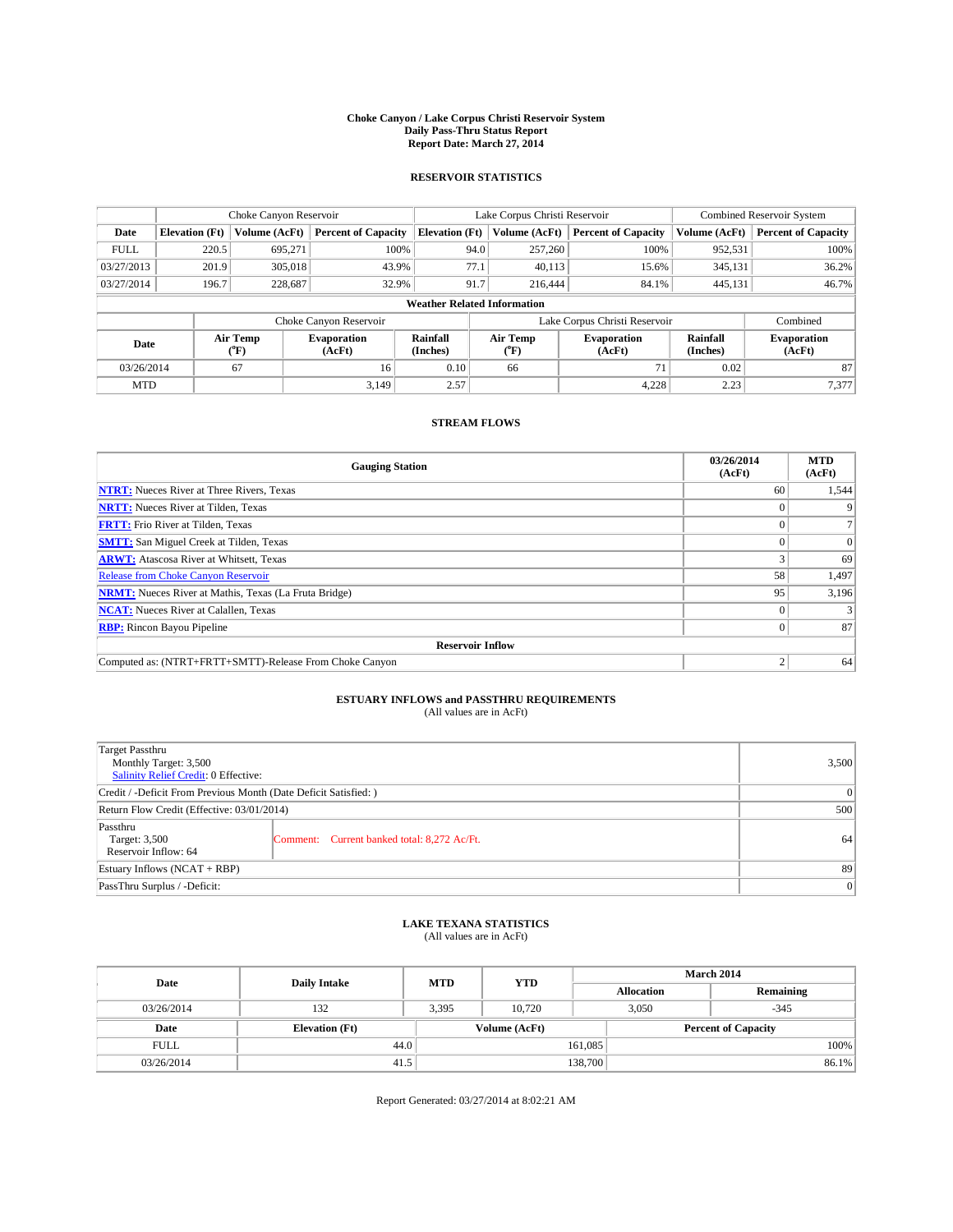#### **Choke Canyon / Lake Corpus Christi Reservoir System Daily Pass-Thru Status Report Report Date: March 27, 2014**

### **RESERVOIR STATISTICS**

|             | Choke Canyon Reservoir |                  |                              |                                    | Lake Corpus Christi Reservoir | <b>Combined Reservoir System</b> |                      |                              |
|-------------|------------------------|------------------|------------------------------|------------------------------------|-------------------------------|----------------------------------|----------------------|------------------------------|
| Date        | <b>Elevation</b> (Ft)  | Volume (AcFt)    | <b>Percent of Capacity</b>   | <b>Elevation (Ft)</b>              | Volume (AcFt)                 | <b>Percent of Capacity</b>       | Volume (AcFt)        | <b>Percent of Capacity</b>   |
| <b>FULL</b> | 220.5                  | 695,271          | 100%                         | 94.0                               | 257,260                       | 100%                             | 952,531              | 100%                         |
| 03/27/2013  | 201.9                  | 305,018          | 43.9%                        | 77.1                               | 40,113                        | 15.6%                            | 345,131              | 36.2%                        |
| 03/27/2014  | 196.7                  | 228,687          | 32.9%                        | 91.7                               | 216,444                       | 84.1%                            | 445,131              | 46.7%                        |
|             |                        |                  |                              | <b>Weather Related Information</b> |                               |                                  |                      |                              |
|             |                        |                  | Choke Canyon Reservoir       |                                    |                               | Lake Corpus Christi Reservoir    |                      | Combined                     |
| Date        |                        | Air Temp<br>(°F) | <b>Evaporation</b><br>(AcFt) | Rainfall<br>(Inches)               | Air Temp<br>("F)              | <b>Evaporation</b><br>(AcFt)     | Rainfall<br>(Inches) | <b>Evaporation</b><br>(AcFt) |
|             | 67<br>03/26/2014       |                  | 16                           | 0.10                               | 66                            | 71                               | 0.02                 | 87                           |
| <b>MTD</b>  |                        |                  | 3.149                        | 2.57                               |                               | 4,228                            | 2.23                 | 7,377                        |

## **STREAM FLOWS**

| <b>Gauging Station</b>                                       | 03/26/2014<br>(AcFt) | <b>MTD</b><br>(AcFt) |  |  |  |  |
|--------------------------------------------------------------|----------------------|----------------------|--|--|--|--|
| <b>NTRT:</b> Nueces River at Three Rivers, Texas             | 60                   | 1,544                |  |  |  |  |
| <b>NRTT:</b> Nueces River at Tilden, Texas                   |                      |                      |  |  |  |  |
| <b>FRTT:</b> Frio River at Tilden, Texas                     |                      |                      |  |  |  |  |
| <b>SMTT:</b> San Miguel Creek at Tilden, Texas               |                      | $\Omega$             |  |  |  |  |
| <b>ARWT:</b> Atascosa River at Whitsett, Texas               |                      | 69                   |  |  |  |  |
| <b>Release from Choke Canyon Reservoir</b>                   | 58                   | 1,497                |  |  |  |  |
| <b>NRMT:</b> Nueces River at Mathis, Texas (La Fruta Bridge) | 95                   | 3,196                |  |  |  |  |
| <b>NCAT:</b> Nueces River at Calallen, Texas                 |                      |                      |  |  |  |  |
| <b>RBP:</b> Rincon Bayou Pipeline                            | $\Omega$             | 87                   |  |  |  |  |
| <b>Reservoir Inflow</b>                                      |                      |                      |  |  |  |  |
| Computed as: (NTRT+FRTT+SMTT)-Release From Choke Canyon      | h                    | 64                   |  |  |  |  |

# **ESTUARY INFLOWS and PASSTHRU REQUIREMENTS**<br>(All values are in AcFt)

| Target Passthru<br>Monthly Target: 3,500<br>Salinity Relief Credit: 0 Effective: |                                             | 3,500 |
|----------------------------------------------------------------------------------|---------------------------------------------|-------|
| Credit / -Deficit From Previous Month (Date Deficit Satisfied: )                 | $\Omega$                                    |       |
| Return Flow Credit (Effective: 03/01/2014)                                       | 500                                         |       |
| Passthru<br>Target: 3,500<br>Reservoir Inflow: 64                                | Comment: Current banked total: 8,272 Ac/Ft. | 64    |
| Estuary Inflows (NCAT + RBP)                                                     | 89                                          |       |
| PassThru Surplus / -Deficit:                                                     | 0                                           |       |

## **LAKE TEXANA STATISTICS** (All values are in AcFt)

| Date        | <b>Daily Intake</b>   | <b>MTD</b>    | <b>YTD</b> | March 2014        |                            |           |  |
|-------------|-----------------------|---------------|------------|-------------------|----------------------------|-----------|--|
|             |                       |               |            | <b>Allocation</b> |                            | Remaining |  |
| 03/26/2014  | 132                   | 3,395         | 10.720     |                   | 3,050<br>$-345$            |           |  |
| Date        | <b>Elevation</b> (Ft) | Volume (AcFt) |            |                   | <b>Percent of Capacity</b> |           |  |
| <b>FULL</b> | 44.0                  |               |            | 161,085           |                            | 100%      |  |
| 03/26/2014  | 41.5                  |               |            | 138,700           |                            | 86.1%     |  |

Report Generated: 03/27/2014 at 8:02:21 AM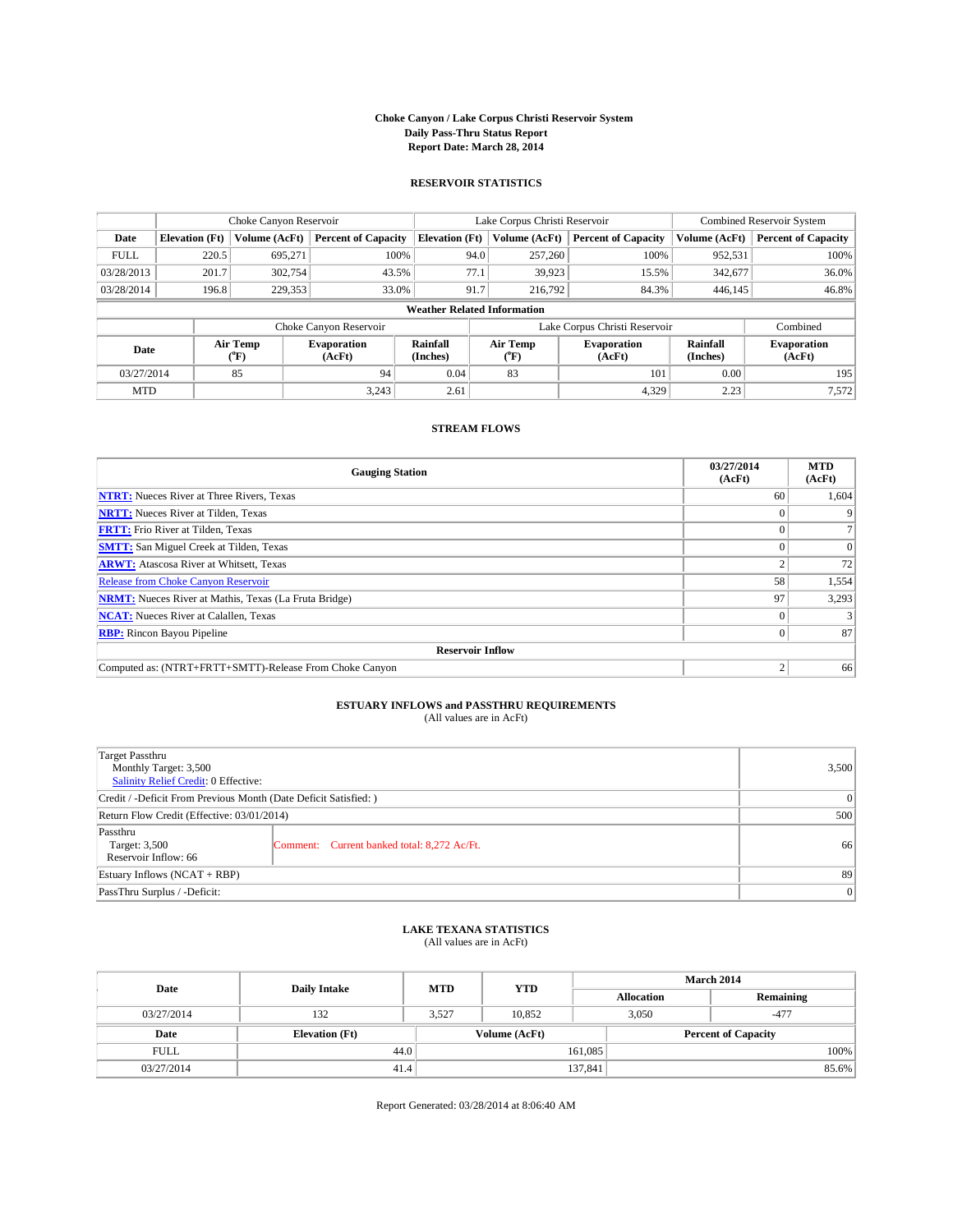#### **Choke Canyon / Lake Corpus Christi Reservoir System Daily Pass-Thru Status Report Report Date: March 28, 2014**

### **RESERVOIR STATISTICS**

|                          | Choke Canyon Reservoir |                              |                            |                                    | Lake Corpus Christi Reservoir | Combined Reservoir System     |                              |                            |
|--------------------------|------------------------|------------------------------|----------------------------|------------------------------------|-------------------------------|-------------------------------|------------------------------|----------------------------|
| Date                     | <b>Elevation</b> (Ft)  | Volume (AcFt)                | <b>Percent of Capacity</b> | <b>Elevation (Ft)</b>              | Volume (AcFt)                 | <b>Percent of Capacity</b>    | Volume (AcFt)                | <b>Percent of Capacity</b> |
| <b>FULL</b>              | 220.5                  | 695,271                      | 100%                       | 94.0                               | 257,260                       | 100%                          | 952,531                      | $100\%$                    |
| 03/28/2013               | 201.7                  | 302,754                      | 43.5%                      | 77.1                               | 39,923                        | 15.5%                         | 342,677                      | $36.0\%$                   |
| 03/28/2014               | 196.8                  | 229.353                      | 33.0%                      | 91.7                               | 216,792                       | 84.3%                         | 446,145                      | 46.8%                      |
|                          |                        |                              |                            | <b>Weather Related Information</b> |                               |                               |                              |                            |
|                          |                        |                              | Choke Canyon Reservoir     |                                    |                               | Lake Corpus Christi Reservoir |                              | Combined                   |
| Air Temp<br>Date<br>(°F) |                        | <b>Evaporation</b><br>(AcFt) | Rainfall<br>(Inches)       | Air Temp<br>("F)                   | <b>Evaporation</b><br>(AcFt)  | Rainfall<br>(Inches)          | <b>Evaporation</b><br>(AcFt) |                            |
| 03/27/2014               | 85                     |                              | 94                         | 0.04                               | 83                            | 101                           | 0.00                         | 195                        |
| <b>MTD</b>               |                        |                              | 3,243                      | 2.61                               |                               | 4,329                         | 2.23                         | 7,572                      |

### **STREAM FLOWS**

| <b>Gauging Station</b>                                       | 03/27/2014<br>(AcFt) | <b>MTD</b><br>(AcFt) |  |  |  |  |
|--------------------------------------------------------------|----------------------|----------------------|--|--|--|--|
| <b>NTRT:</b> Nueces River at Three Rivers, Texas             | 60                   | 1,604                |  |  |  |  |
| <b>NRTT:</b> Nueces River at Tilden, Texas                   |                      | 9                    |  |  |  |  |
| <b>FRTT:</b> Frio River at Tilden, Texas                     |                      |                      |  |  |  |  |
| <b>SMTT:</b> San Miguel Creek at Tilden, Texas               |                      | $\Omega$             |  |  |  |  |
| <b>ARWT:</b> Atascosa River at Whitsett, Texas               |                      | 72                   |  |  |  |  |
| <b>Release from Choke Canyon Reservoir</b>                   | 58                   | 1,554                |  |  |  |  |
| <b>NRMT:</b> Nueces River at Mathis, Texas (La Fruta Bridge) | 97                   | 3,293                |  |  |  |  |
| <b>NCAT:</b> Nueces River at Calallen, Texas                 |                      |                      |  |  |  |  |
| <b>RBP:</b> Rincon Bayou Pipeline                            |                      | 87                   |  |  |  |  |
| <b>Reservoir Inflow</b>                                      |                      |                      |  |  |  |  |
| Computed as: (NTRT+FRTT+SMTT)-Release From Choke Canyon      |                      | 66                   |  |  |  |  |

## **ESTUARY INFLOWS and PASSTHRU REQUIREMENTS**

(All values are in AcFt)

| Target Passthru<br>Monthly Target: 3,500<br>Salinity Relief Credit: 0 Effective: |                                             |    |  |
|----------------------------------------------------------------------------------|---------------------------------------------|----|--|
| Credit / -Deficit From Previous Month (Date Deficit Satisfied: )                 | $\Omega$                                    |    |  |
| Return Flow Credit (Effective: 03/01/2014)                                       | 500                                         |    |  |
| Passthru<br>Target: 3,500<br>Reservoir Inflow: 66                                | Comment: Current banked total: 8,272 Ac/Ft. | 66 |  |
| Estuary Inflows (NCAT + RBP)                                                     | 89                                          |    |  |
| PassThru Surplus / -Deficit:                                                     | $\Omega$                                    |    |  |

### **LAKE TEXANA STATISTICS** (All values are in AcFt)

| Date        | <b>Daily Intake</b>   | <b>MTD</b> | <b>YTD</b>    | <b>March 2014</b> |                            |           |  |
|-------------|-----------------------|------------|---------------|-------------------|----------------------------|-----------|--|
|             |                       |            |               | <b>Allocation</b> |                            | Remaining |  |
| 03/27/2014  | 132                   | 3,527      | 10.852        |                   | 3,050<br>$-477$            |           |  |
| Date        | <b>Elevation</b> (Ft) |            | Volume (AcFt) |                   | <b>Percent of Capacity</b> |           |  |
| <b>FULL</b> | 44.0                  |            |               | 161,085           |                            | 100%      |  |
| 03/27/2014  | 41.4                  |            |               | 137,841           |                            | 85.6%     |  |

Report Generated: 03/28/2014 at 8:06:40 AM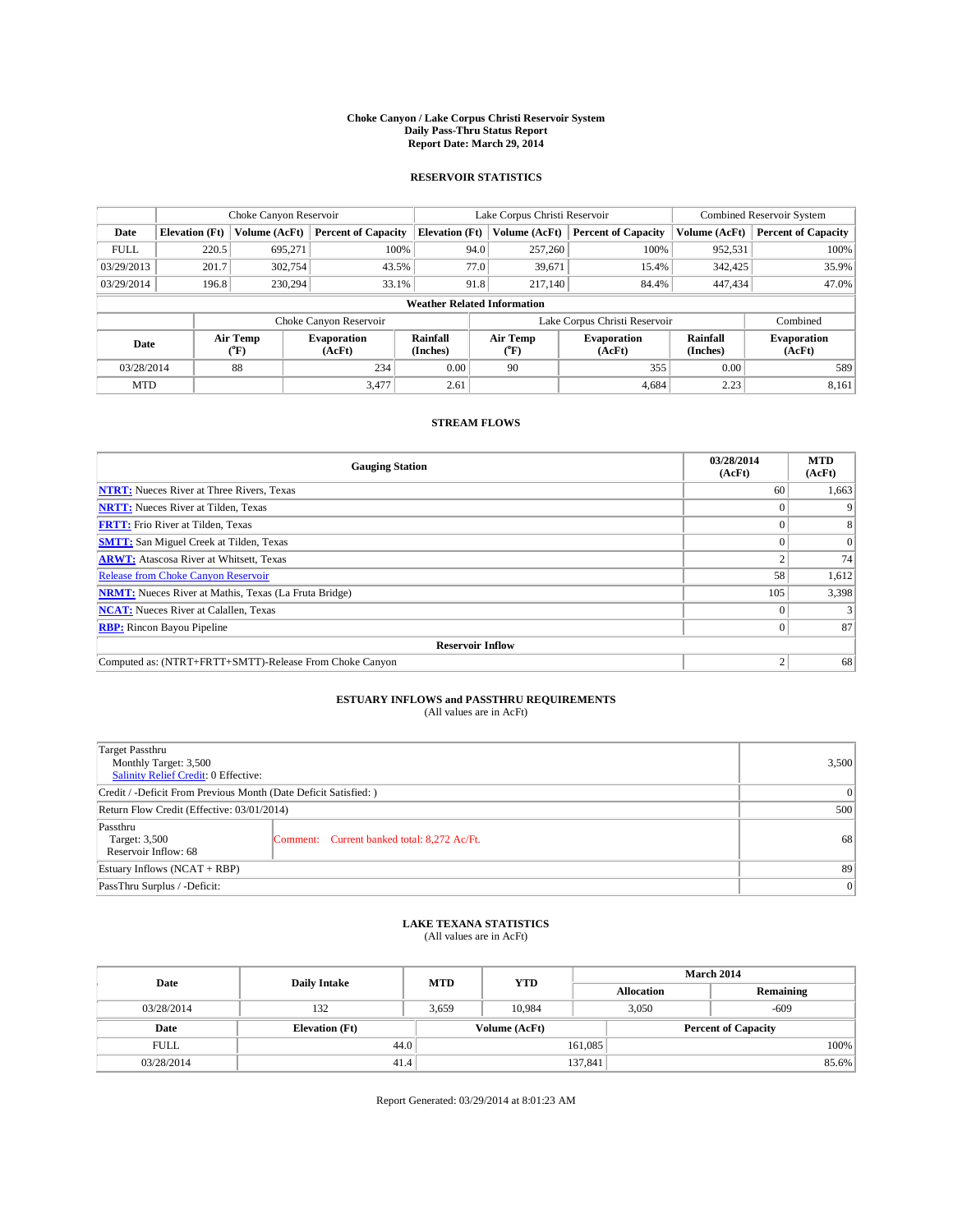#### **Choke Canyon / Lake Corpus Christi Reservoir System Daily Pass-Thru Status Report Report Date: March 29, 2014**

### **RESERVOIR STATISTICS**

|             |                       | Choke Canyon Reservoir |                              |                                    | Lake Corpus Christi Reservoir | <b>Combined Reservoir System</b> |                      |                              |
|-------------|-----------------------|------------------------|------------------------------|------------------------------------|-------------------------------|----------------------------------|----------------------|------------------------------|
| Date        | <b>Elevation</b> (Ft) | Volume (AcFt)          | <b>Percent of Capacity</b>   | <b>Elevation (Ft)</b>              | Volume (AcFt)                 | <b>Percent of Capacity</b>       | Volume (AcFt)        | <b>Percent of Capacity</b>   |
| <b>FULL</b> | 220.5                 | 695.271                | 100%                         | 94.0                               | 257,260                       | 100%                             | 952,531              | 100%                         |
| 03/29/2013  | 201.7                 | 302,754                | 43.5%                        | 77.0                               | 39,671                        | 15.4%                            | 342,425              | 35.9%                        |
| 03/29/2014  | 196.8                 | 230.294                | 33.1%                        | 91.8                               | 217,140                       | 84.4%                            | 447,434              | 47.0%                        |
|             |                       |                        |                              | <b>Weather Related Information</b> |                               |                                  |                      |                              |
|             |                       |                        | Choke Canyon Reservoir       |                                    |                               | Lake Corpus Christi Reservoir    |                      | Combined                     |
| Date        |                       | Air Temp<br>(°F)       | <b>Evaporation</b><br>(AcFt) | Rainfall<br>(Inches)               | Air Temp<br>(°F)              | <b>Evaporation</b><br>(AcFt)     | Rainfall<br>(Inches) | <b>Evaporation</b><br>(AcFt) |
| 03/28/2014  |                       | 88                     | 234                          | 0.00                               | 90                            | 355                              | 0.00                 | 589                          |
| <b>MTD</b>  |                       |                        | 3.477                        | 2.61                               |                               | 4.684                            | 2.23                 | 8,161                        |

### **STREAM FLOWS**

| <b>Gauging Station</b>                                       | 03/28/2014<br>(AcFt) | <b>MTD</b><br>(AcFt) |  |  |  |  |
|--------------------------------------------------------------|----------------------|----------------------|--|--|--|--|
| <b>NTRT:</b> Nueces River at Three Rivers, Texas             | 60                   | 1,663                |  |  |  |  |
| <b>NRTT:</b> Nueces River at Tilden, Texas                   |                      |                      |  |  |  |  |
| <b>FRTT:</b> Frio River at Tilden, Texas                     |                      |                      |  |  |  |  |
| <b>SMTT:</b> San Miguel Creek at Tilden, Texas               |                      | $\Omega$             |  |  |  |  |
| <b>ARWT:</b> Atascosa River at Whitsett, Texas               |                      | 74                   |  |  |  |  |
| <b>Release from Choke Canyon Reservoir</b>                   | 58                   | 1,612                |  |  |  |  |
| <b>NRMT:</b> Nueces River at Mathis, Texas (La Fruta Bridge) | 105                  | 3,398                |  |  |  |  |
| <b>NCAT:</b> Nueces River at Calallen, Texas                 |                      |                      |  |  |  |  |
| <b>RBP:</b> Rincon Bayou Pipeline                            | 0                    | 87                   |  |  |  |  |
| <b>Reservoir Inflow</b>                                      |                      |                      |  |  |  |  |
| Computed as: (NTRT+FRTT+SMTT)-Release From Choke Canyon      | h                    | 68                   |  |  |  |  |

# **ESTUARY INFLOWS and PASSTHRU REQUIREMENTS**<br>(All values are in AcFt)

| Target Passthru<br>Monthly Target: 3,500<br>Salinity Relief Credit: 0 Effective: |                                             |    |  |  |
|----------------------------------------------------------------------------------|---------------------------------------------|----|--|--|
| Credit / -Deficit From Previous Month (Date Deficit Satisfied: )                 | $\Omega$                                    |    |  |  |
| Return Flow Credit (Effective: 03/01/2014)                                       | 500                                         |    |  |  |
| Passthru<br>Target: 3,500<br>Reservoir Inflow: 68                                | Comment: Current banked total: 8,272 Ac/Ft. | 68 |  |  |
| Estuary Inflows (NCAT + RBP)                                                     | 89                                          |    |  |  |
| PassThru Surplus / -Deficit:                                                     | 0                                           |    |  |  |

## **LAKE TEXANA STATISTICS** (All values are in AcFt)

| Date        | <b>Daily Intake</b>   | <b>MTD</b> | <b>YTD</b>    | March 2014        |                            |           |  |
|-------------|-----------------------|------------|---------------|-------------------|----------------------------|-----------|--|
|             |                       |            |               | <b>Allocation</b> |                            | Remaining |  |
| 03/28/2014  | 132                   | 3,659      | 10.984        |                   | 3,050<br>-609              |           |  |
| Date        | <b>Elevation</b> (Ft) |            | Volume (AcFt) |                   | <b>Percent of Capacity</b> |           |  |
| <b>FULL</b> | 44.0                  |            |               | 161,085           |                            | 100%      |  |
| 03/28/2014  | 41.4                  |            |               | 137,841           |                            | 85.6%     |  |

Report Generated: 03/29/2014 at 8:01:23 AM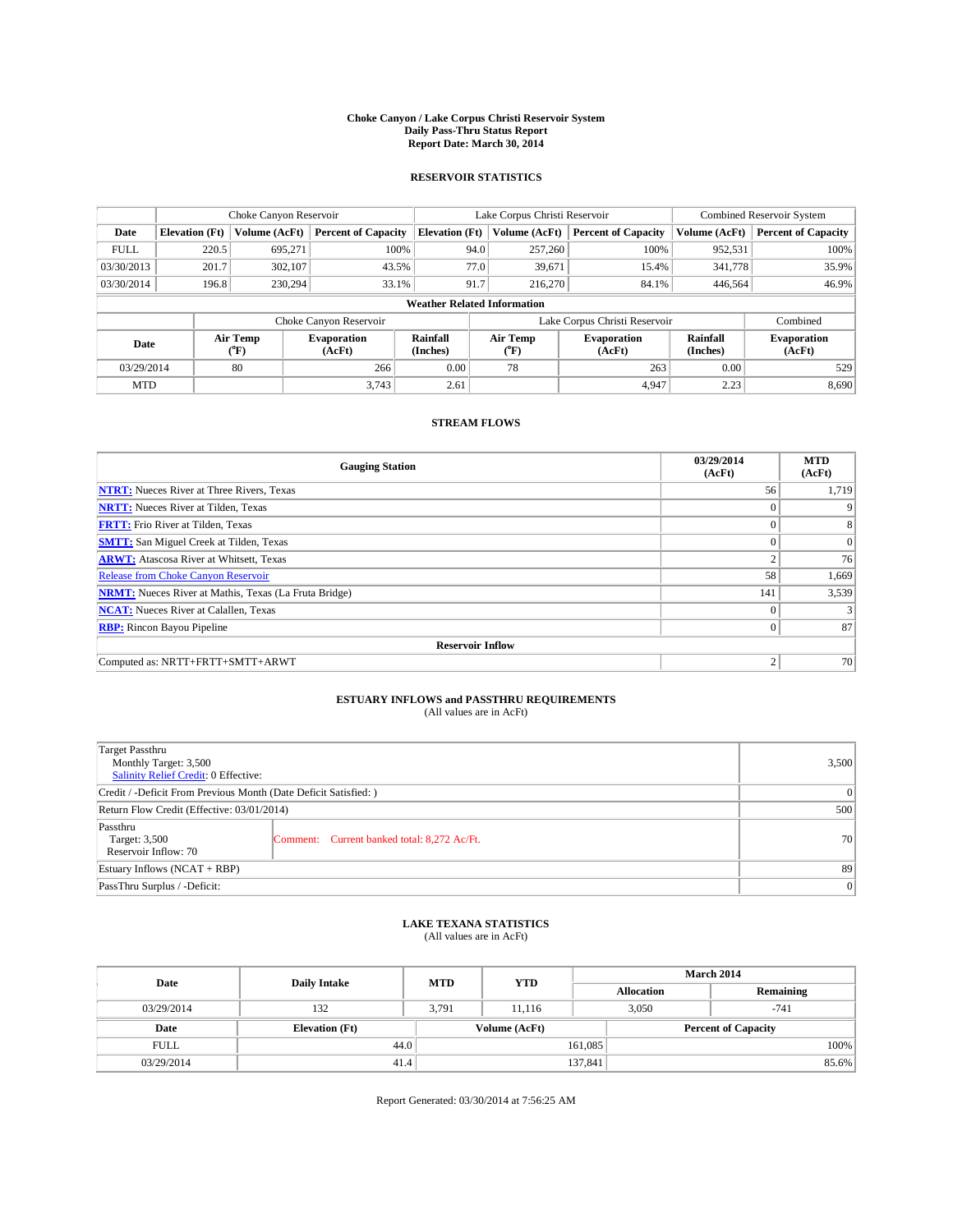#### **Choke Canyon / Lake Corpus Christi Reservoir System Daily Pass-Thru Status Report Report Date: March 30, 2014**

### **RESERVOIR STATISTICS**

|             |                                    | Choke Canyon Reservoir |                              |                       | Lake Corpus Christi Reservoir | <b>Combined Reservoir System</b> |                      |                              |  |
|-------------|------------------------------------|------------------------|------------------------------|-----------------------|-------------------------------|----------------------------------|----------------------|------------------------------|--|
| Date        | <b>Elevation</b> (Ft)              | Volume (AcFt)          | <b>Percent of Capacity</b>   | <b>Elevation (Ft)</b> | Volume (AcFt)                 | <b>Percent of Capacity</b>       | Volume (AcFt)        | <b>Percent of Capacity</b>   |  |
| <b>FULL</b> | 220.5                              | 695,271                | 100%                         | 94.0                  | 257,260                       | 100%                             | 952,531              | 100%                         |  |
| 03/30/2013  | 201.7                              | 302,107                | 43.5%                        |                       | 77.0<br>39,671                | 15.4%                            | 341,778              | 35.9%                        |  |
| 03/30/2014  | 196.8                              | 230,294                | 33.1%                        | 91.7                  | 216,270                       | 84.1%                            | 446.564              | 46.9%                        |  |
|             | <b>Weather Related Information</b> |                        |                              |                       |                               |                                  |                      |                              |  |
|             |                                    |                        | Choke Canyon Reservoir       |                       |                               | Lake Corpus Christi Reservoir    |                      | Combined                     |  |
| Date        | Air Temp<br>(°F)                   |                        | <b>Evaporation</b><br>(AcFt) | Rainfall<br>(Inches)  | Air Temp<br>(°F)              | <b>Evaporation</b><br>(AcFt)     | Rainfall<br>(Inches) | <b>Evaporation</b><br>(AcFt) |  |
| 03/29/2014  |                                    | 80                     | 266                          | 0.00                  | 78                            | 263                              | 0.00                 | 529                          |  |
| <b>MTD</b>  |                                    |                        | 3.743                        | 2.61                  |                               | 4.947                            | 2.23                 | 8,690                        |  |

### **STREAM FLOWS**

| <b>Gauging Station</b>                                       | 03/29/2014<br>(AcFt) | <b>MTD</b><br>(AcFt) |  |  |  |  |
|--------------------------------------------------------------|----------------------|----------------------|--|--|--|--|
| <b>NTRT:</b> Nueces River at Three Rivers, Texas             | 56                   | 1,719                |  |  |  |  |
| <b>NRTT:</b> Nueces River at Tilden, Texas                   | $\theta$             |                      |  |  |  |  |
| <b>FRTT:</b> Frio River at Tilden, Texas                     |                      | 8                    |  |  |  |  |
| <b>SMTT:</b> San Miguel Creek at Tilden, Texas               | $\theta$             | $\overline{0}$       |  |  |  |  |
| <b>ARWT:</b> Atascosa River at Whitsett, Texas               | $\overline{2}$       | 76                   |  |  |  |  |
| <b>Release from Choke Canyon Reservoir</b>                   | 58                   | 1,669                |  |  |  |  |
| <b>NRMT:</b> Nueces River at Mathis, Texas (La Fruta Bridge) | 141                  | 3,539                |  |  |  |  |
| <b>NCAT:</b> Nueces River at Calallen, Texas                 | $\theta$             |                      |  |  |  |  |
| <b>RBP:</b> Rincon Bayou Pipeline                            | $\Omega$             | 87                   |  |  |  |  |
| <b>Reservoir Inflow</b>                                      |                      |                      |  |  |  |  |
| Computed as: NRTT+FRTT+SMTT+ARWT                             | 2                    | 70                   |  |  |  |  |

# **ESTUARY INFLOWS and PASSTHRU REQUIREMENTS**<br>(All values are in AcFt)

| Target Passthru<br>Monthly Target: 3,500<br>Salinity Relief Credit: 0 Effective: |                                             | 3,500 |
|----------------------------------------------------------------------------------|---------------------------------------------|-------|
| Credit / -Deficit From Previous Month (Date Deficit Satisfied: )                 | $\Omega$                                    |       |
| Return Flow Credit (Effective: 03/01/2014)                                       | 500                                         |       |
| Passthru<br>Target: 3,500<br>Reservoir Inflow: 70                                | Comment: Current banked total: 8,272 Ac/Ft. | 70    |
| Estuary Inflows (NCAT + RBP)                                                     | 89                                          |       |
| PassThru Surplus / -Deficit:                                                     | 0                                           |       |

# **LAKE TEXANA STATISTICS** (All values are in AcFt)

| Date        | <b>Daily Intake</b>   | <b>MTD</b> | <b>YTD</b>    | March 2014        |                            |           |  |
|-------------|-----------------------|------------|---------------|-------------------|----------------------------|-----------|--|
|             |                       |            |               | <b>Allocation</b> |                            | Remaining |  |
| 03/29/2014  | 132                   | 3.791      | 11.116        |                   | 3,050<br>$-741$            |           |  |
| Date        | <b>Elevation</b> (Ft) |            | Volume (AcFt) |                   | <b>Percent of Capacity</b> |           |  |
| <b>FULL</b> | 44.0                  |            |               | 161,085           |                            | 100%      |  |
| 03/29/2014  | 41.4                  |            |               | 137,841           |                            | 85.6%     |  |

Report Generated: 03/30/2014 at 7:56:25 AM